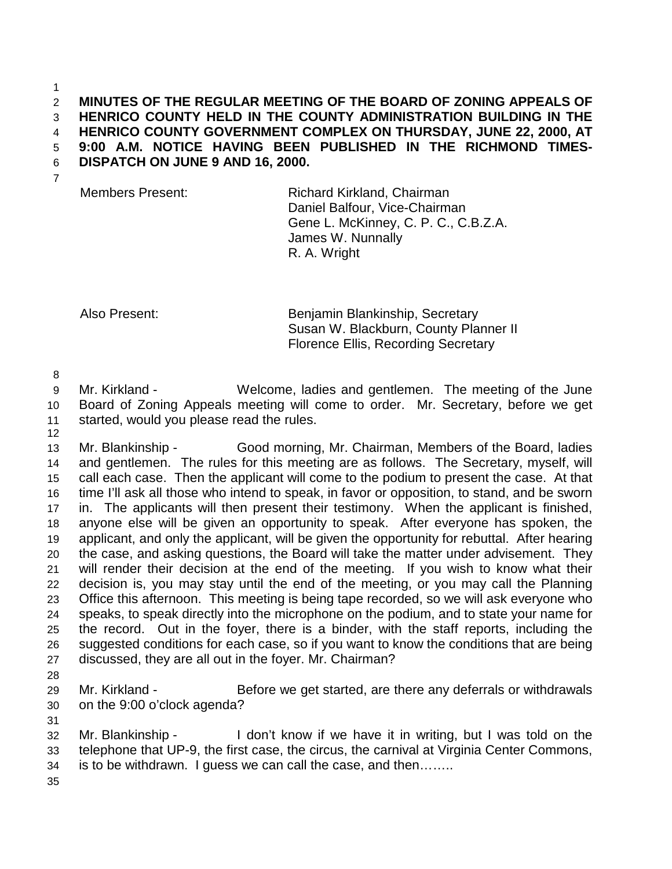1

## 2 **MINUTES OF THE REGULAR MEETING OF THE BOARD OF ZONING APPEALS OF**  3 **HENRICO COUNTY HELD IN THE COUNTY ADMINISTRATION BUILDING IN THE**  4 **HENRICO COUNTY GOVERNMENT COMPLEX ON THURSDAY, JUNE 22, 2000, AT**  5 **9:00 A.M. NOTICE HAVING BEEN PUBLISHED IN THE RICHMOND TIMES-**

6 **DISPATCH ON JUNE 9 AND 16, 2000.** 

7

Members Present: Richard Kirkland, Chairman Daniel Balfour, Vice-Chairman Gene L. McKinney, C. P. C., C.B.Z.A. James W. Nunnally R. A. Wright

Also Present: Benjamin Blankinship, Secretary Susan W. Blackburn, County Planner II Florence Ellis, Recording Secretary

8

12

9 Mr. Kirkland - Welcome, ladies and gentlemen. The meeting of the June 10 Board of Zoning Appeals meeting will come to order. Mr. Secretary, before we get 11 started, would you please read the rules.

13 Mr. Blankinship - Good morning, Mr. Chairman, Members of the Board, ladies 14 and gentlemen. The rules for this meeting are as follows. The Secretary, myself, will 15 call each case. Then the applicant will come to the podium to present the case. At that 16 time I'll ask all those who intend to speak, in favor or opposition, to stand, and be sworn 17 in. The applicants will then present their testimony. When the applicant is finished, 18 anyone else will be given an opportunity to speak. After everyone has spoken, the 19 applicant, and only the applicant, will be given the opportunity for rebuttal. After hearing 20 the case, and asking questions, the Board will take the matter under advisement. They 21 will render their decision at the end of the meeting. If you wish to know what their 22 decision is, you may stay until the end of the meeting, or you may call the Planning 23 Office this afternoon. This meeting is being tape recorded, so we will ask everyone who 24 speaks, to speak directly into the microphone on the podium, and to state your name for 25 the record. Out in the foyer, there is a binder, with the staff reports, including the 26 suggested conditions for each case, so if you want to know the conditions that are being 27 discussed, they are all out in the foyer. Mr. Chairman?

28

31

29 Mr. Kirkland - Before we get started, are there any deferrals or withdrawals 30 on the 9:00 o'clock agenda?

32 Mr. Blankinship - I don't know if we have it in writing, but I was told on the 33 telephone that UP-9, the first case, the circus, the carnival at Virginia Center Commons, 34 is to be withdrawn. I guess we can call the case, and then……..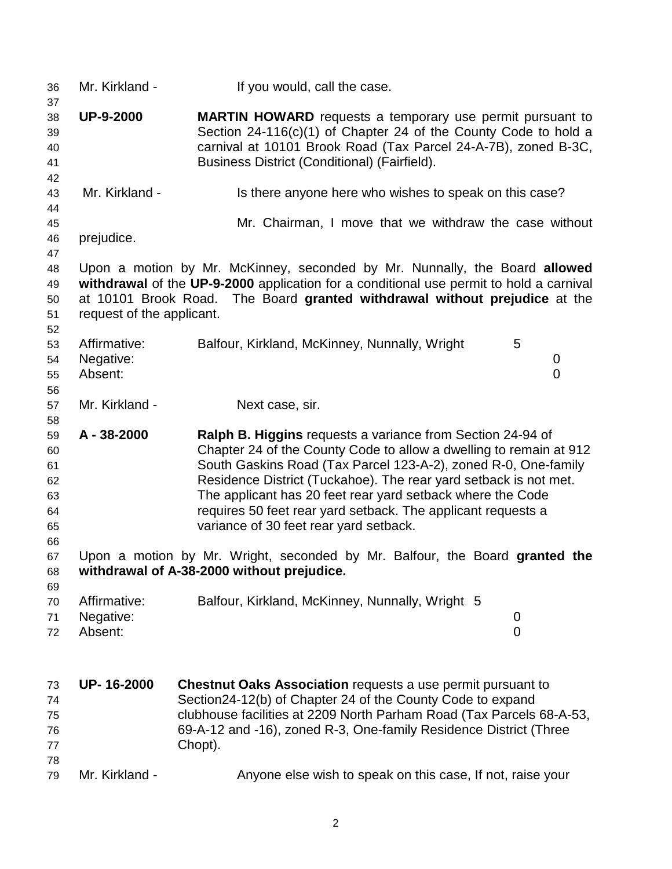| 36<br>37                                           | Mr. Kirkland -                       | If you would, call the case.                                                                                                                                                                                                                                                                                                                                                                                                                   |
|----------------------------------------------------|--------------------------------------|------------------------------------------------------------------------------------------------------------------------------------------------------------------------------------------------------------------------------------------------------------------------------------------------------------------------------------------------------------------------------------------------------------------------------------------------|
| 38<br>39<br>40<br>41<br>42                         | <b>UP-9-2000</b>                     | <b>MARTIN HOWARD</b> requests a temporary use permit pursuant to<br>Section $24-116(c)(1)$ of Chapter 24 of the County Code to hold a<br>carnival at 10101 Brook Road (Tax Parcel 24-A-7B), zoned B-3C,<br>Business District (Conditional) (Fairfield).                                                                                                                                                                                        |
| 43<br>44                                           | Mr. Kirkland -                       | Is there anyone here who wishes to speak on this case?                                                                                                                                                                                                                                                                                                                                                                                         |
| 45<br>46<br>47                                     | prejudice.                           | Mr. Chairman, I move that we withdraw the case without                                                                                                                                                                                                                                                                                                                                                                                         |
| 48<br>49<br>50<br>51<br>52                         | request of the applicant.            | Upon a motion by Mr. McKinney, seconded by Mr. Nunnally, the Board allowed<br>withdrawal of the UP-9-2000 application for a conditional use permit to hold a carnival<br>at 10101 Brook Road. The Board granted withdrawal without prejudice at the                                                                                                                                                                                            |
| 53<br>54<br>55<br>56                               | Affirmative:<br>Negative:<br>Absent: | Balfour, Kirkland, McKinney, Nunnally, Wright<br>5<br>0<br>$\overline{0}$                                                                                                                                                                                                                                                                                                                                                                      |
| 57                                                 | Mr. Kirkland -                       | Next case, sir.                                                                                                                                                                                                                                                                                                                                                                                                                                |
| 58<br>59<br>60<br>61<br>62<br>63<br>64<br>65<br>66 | A - 38-2000                          | Ralph B. Higgins requests a variance from Section 24-94 of<br>Chapter 24 of the County Code to allow a dwelling to remain at 912<br>South Gaskins Road (Tax Parcel 123-A-2), zoned R-0, One-family<br>Residence District (Tuckahoe). The rear yard setback is not met.<br>The applicant has 20 feet rear yard setback where the Code<br>requires 50 feet rear yard setback. The applicant requests a<br>variance of 30 feet rear yard setback. |
| 67<br>68                                           |                                      | Upon a motion by Mr. Wright, seconded by Mr. Balfour, the Board granted the<br>withdrawal of A-38-2000 without prejudice.                                                                                                                                                                                                                                                                                                                      |
| 69<br>70<br>71<br>72                               | Affirmative:<br>Negative:<br>Absent: | Balfour, Kirkland, McKinney, Nunnally, Wright 5<br>0<br>0                                                                                                                                                                                                                                                                                                                                                                                      |
| 73<br>74<br>75<br>76<br>77<br>78                   | UP-16-2000                           | <b>Chestnut Oaks Association requests a use permit pursuant to</b><br>Section24-12(b) of Chapter 24 of the County Code to expand<br>clubhouse facilities at 2209 North Parham Road (Tax Parcels 68-A-53,<br>69-A-12 and -16), zoned R-3, One-family Residence District (Three<br>Chopt).                                                                                                                                                       |
| 79                                                 | Mr. Kirkland -                       | Anyone else wish to speak on this case, If not, raise your                                                                                                                                                                                                                                                                                                                                                                                     |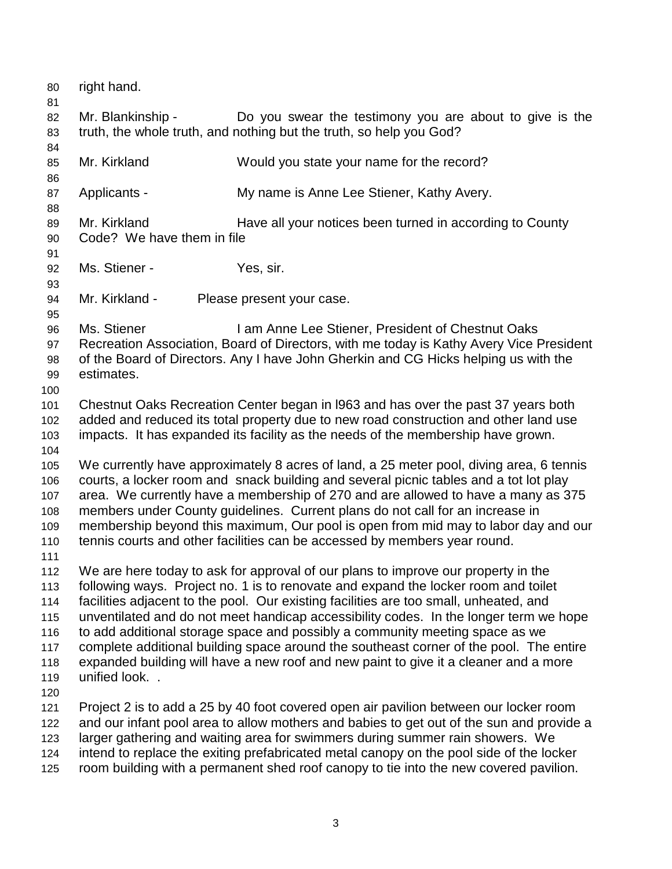80 right hand. 81 82 Mr. Blankinship - Do you swear the testimony you are about to give is the 83 truth, the whole truth, and nothing but the truth, so help you God? 84 85 Mr. Kirkland Would you state your name for the record? 86 87 Applicants - My name is Anne Lee Stiener, Kathy Avery. 88 89 Mr. Kirkland Have all your notices been turned in according to County 90 Code? We have them in file 91 92 Ms. Stiener - Yes, sir. 93 94 Mr. Kirkland - Please present your case. 95 96 Ms. Stiener I am Anne Lee Stiener, President of Chestnut Oaks 97 Recreation Association, Board of Directors, with me today is Kathy Avery Vice President 98 of the Board of Directors. Any I have John Gherkin and CG Hicks helping us with the 99 estimates. 100 101 Chestnut Oaks Recreation Center began in l963 and has over the past 37 years both 102 added and reduced its total property due to new road construction and other land use 103 impacts. It has expanded its facility as the needs of the membership have grown. 104 105 We currently have approximately 8 acres of land, a 25 meter pool, diving area, 6 tennis 106 courts, a locker room and snack building and several picnic tables and a tot lot play 107 area. We currently have a membership of 270 and are allowed to have a many as 375 108 members under County guidelines. Current plans do not call for an increase in 109 membership beyond this maximum, Our pool is open from mid may to labor day and our 110 tennis courts and other facilities can be accessed by members year round. 111 112 We are here today to ask for approval of our plans to improve our property in the 113 following ways. Project no. 1 is to renovate and expand the locker room and toilet 114 facilities adjacent to the pool. Our existing facilities are too small, unheated, and 115 unventilated and do not meet handicap accessibility codes. In the longer term we hope 116 to add additional storage space and possibly a community meeting space as we 117 complete additional building space around the southeast corner of the pool. The entire 118 expanded building will have a new roof and new paint to give it a cleaner and a more 119 unified look. . 120 121 Project 2 is to add a 25 by 40 foot covered open air pavilion between our locker room 122 and our infant pool area to allow mothers and babies to get out of the sun and provide a 123 larger gathering and waiting area for swimmers during summer rain showers. We 124 intend to replace the exiting prefabricated metal canopy on the pool side of the locker 125 room building with a permanent shed roof canopy to tie into the new covered pavilion.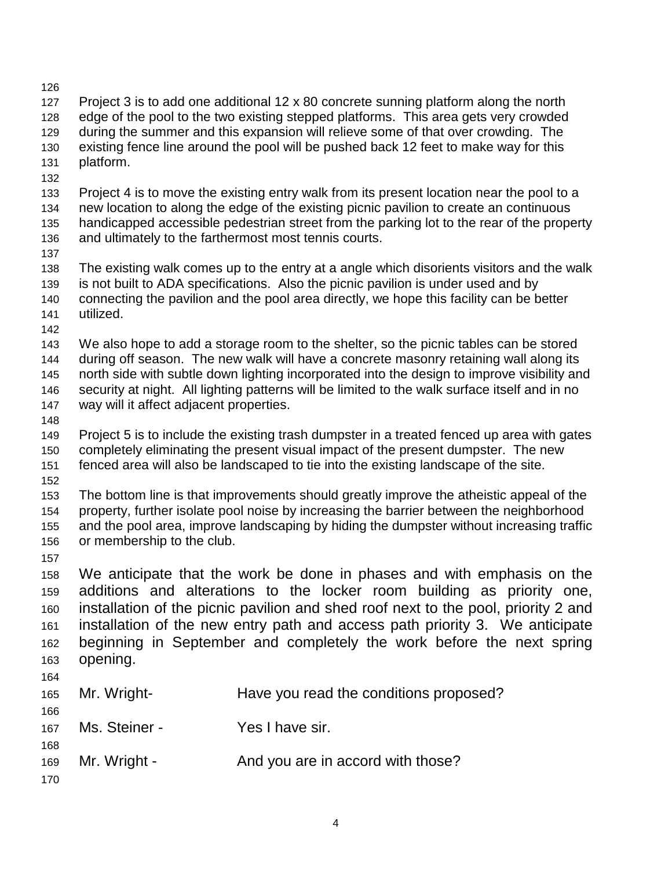| 127<br>128<br>129<br>130<br>131<br>132        | platform.                                             | Project 3 is to add one additional 12 x 80 concrete sunning platform along the north<br>edge of the pool to the two existing stepped platforms. This area gets very crowded<br>during the summer and this expansion will relieve some of that over crowding. The<br>existing fence line around the pool will be pushed back 12 feet to make way for this                                        |
|-----------------------------------------------|-------------------------------------------------------|-------------------------------------------------------------------------------------------------------------------------------------------------------------------------------------------------------------------------------------------------------------------------------------------------------------------------------------------------------------------------------------------------|
| 133<br>134<br>135<br>136<br>137               | and ultimately to the farthermost most tennis courts. | Project 4 is to move the existing entry walk from its present location near the pool to a<br>new location to along the edge of the existing picnic pavilion to create an continuous<br>handicapped accessible pedestrian street from the parking lot to the rear of the property                                                                                                                |
| 138<br>139<br>140<br>141<br>142               | utilized.                                             | The existing walk comes up to the entry at a angle which disorients visitors and the walk<br>is not built to ADA specifications. Also the picnic pavilion is under used and by<br>connecting the pavilion and the pool area directly, we hope this facility can be better                                                                                                                       |
| 143<br>144<br>145<br>146<br>147<br>148        | way will it affect adjacent properties.               | We also hope to add a storage room to the shelter, so the picnic tables can be stored<br>during off season. The new walk will have a concrete masonry retaining wall along its<br>north side with subtle down lighting incorporated into the design to improve visibility and<br>security at night. All lighting patterns will be limited to the walk surface itself and in no                  |
| 149<br>150<br>151<br>152                      |                                                       | Project 5 is to include the existing trash dumpster in a treated fenced up area with gates<br>completely eliminating the present visual impact of the present dumpster. The new<br>fenced area will also be landscaped to tie into the existing landscape of the site.                                                                                                                          |
| 153<br>154<br>155<br>156<br>157               | or membership to the club.                            | The bottom line is that improvements should greatly improve the atheistic appeal of the<br>property, further isolate pool noise by increasing the barrier between the neighborhood<br>and the pool area, improve landscaping by hiding the dumpster without increasing traffic                                                                                                                  |
| 158<br>159<br>160<br>161<br>162<br>163<br>164 | opening.                                              | We anticipate that the work be done in phases and with emphasis on the<br>additions and alterations to the locker room building as priority one,<br>installation of the picnic pavilion and shed roof next to the pool, priority 2 and<br>installation of the new entry path and access path priority 3. We anticipate<br>beginning in September and completely the work before the next spring |
| 165<br>166                                    | Mr. Wright-                                           | Have you read the conditions proposed?                                                                                                                                                                                                                                                                                                                                                          |
| 167<br>168                                    | Ms. Steiner -                                         | Yes I have sir.                                                                                                                                                                                                                                                                                                                                                                                 |
| 169<br>170                                    | Mr. Wright -                                          | And you are in accord with those?                                                                                                                                                                                                                                                                                                                                                               |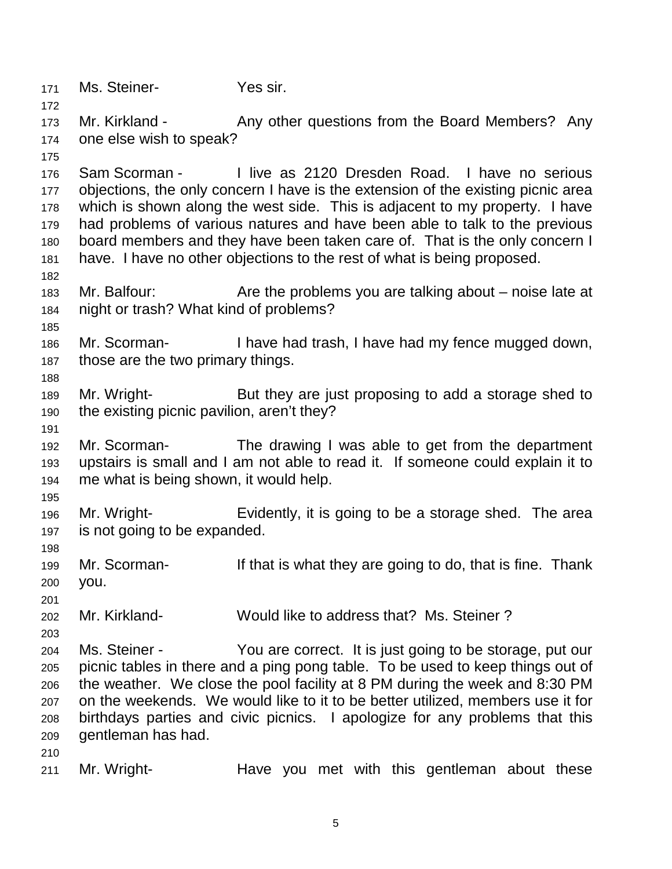171 Ms. Steiner- Yes sir.

173 Mr. Kirkland - Any other questions from the Board Members? Any 174 one else wish to speak?

176 Sam Scorman - I live as 2120 Dresden Road. I have no serious 177 objections, the only concern I have is the extension of the existing picnic area 178 which is shown along the west side. This is adjacent to my property. I have 179 had problems of various natures and have been able to talk to the previous 180 board members and they have been taken care of. That is the only concern I 181 have. I have no other objections to the rest of what is being proposed.

- 183 Mr. Balfour: Are the problems you are talking about noise late at 184 night or trash? What kind of problems?
- 186 Mr. Scorman- I have had trash, I have had my fence mugged down, 187 those are the two primary things.
- 189 Mr. Wright- But they are just proposing to add a storage shed to 190 the existing picnic pavilion, aren't they?
- 192 Mr. Scorman- The drawing I was able to get from the department 193 upstairs is small and I am not able to read it. If someone could explain it to 194 me what is being shown, it would help.
- 195

198

201

172

175

182

185

188

191

196 Mr. Wright- Evidently, it is going to be a storage shed. The area 197 is not going to be expanded.

- 199 Mr. Scorman- If that is what they are going to do, that is fine. Thank 200 you.
- 202 Mr. Kirkland- Would like to address that? Ms. Steiner ?
- 203
	- 204 Ms. Steiner You are correct. It is just going to be storage, put our
	- 205 picnic tables in there and a ping pong table. To be used to keep things out of 206 the weather. We close the pool facility at 8 PM during the week and 8:30 PM 207 on the weekends. We would like to it to be better utilized, members use it for 208 birthdays parties and civic picnics. I apologize for any problems that this 209 gentleman has had.
	- 210
	- 211 Mr. Wright- Have you met with this gentleman about these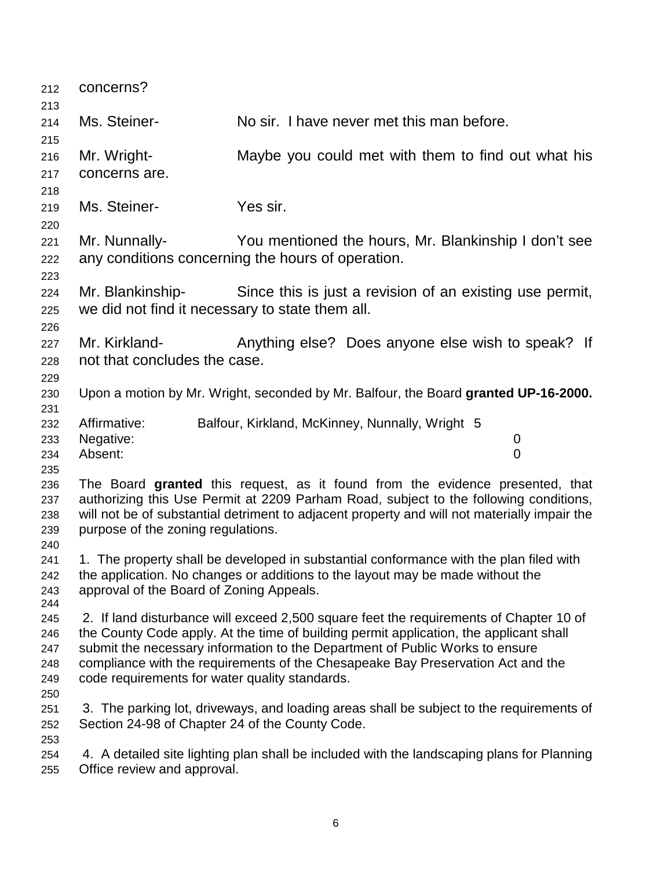| 212<br>213                                    | concerns?                                                           |                                                                                                                                                                                                                                                                                                                                                     |
|-----------------------------------------------|---------------------------------------------------------------------|-----------------------------------------------------------------------------------------------------------------------------------------------------------------------------------------------------------------------------------------------------------------------------------------------------------------------------------------------------|
| 214<br>215                                    | Ms. Steiner-                                                        | No sir. I have never met this man before.                                                                                                                                                                                                                                                                                                           |
| 216<br>217<br>218                             | Mr. Wright-<br>concerns are.                                        | Maybe you could met with them to find out what his                                                                                                                                                                                                                                                                                                  |
| 219<br>220                                    | Ms. Steiner-                                                        | Yes sir.                                                                                                                                                                                                                                                                                                                                            |
| 221<br>222<br>223                             | Mr. Nunnally-                                                       | You mentioned the hours, Mr. Blankinship I don't see<br>any conditions concerning the hours of operation.                                                                                                                                                                                                                                           |
| 224<br>225                                    | Mr. Blankinship-<br>we did not find it necessary to state them all. | Since this is just a revision of an existing use permit,                                                                                                                                                                                                                                                                                            |
| 226<br>227<br>228<br>229                      | Mr. Kirkland-<br>not that concludes the case.                       | Anything else? Does anyone else wish to speak? If                                                                                                                                                                                                                                                                                                   |
| 230<br>231                                    |                                                                     | Upon a motion by Mr. Wright, seconded by Mr. Balfour, the Board granted UP-16-2000.                                                                                                                                                                                                                                                                 |
| 232<br>233<br>234                             | Affirmative:<br>Negative:<br>Absent:                                | Balfour, Kirkland, McKinney, Nunnally, Wright 5<br>$\mathbf 0$<br>$\overline{0}$                                                                                                                                                                                                                                                                    |
| 235<br>236<br>237<br>238<br>239<br>240        | purpose of the zoning regulations.                                  | The Board granted this request, as it found from the evidence presented, that<br>authorizing this Use Permit at 2209 Parham Road, subject to the following conditions,<br>will not be of substantial detriment to adjacent property and will not materially impair the                                                                              |
| 241<br>242<br>243                             | approval of the Board of Zoning Appeals.                            | 1. The property shall be developed in substantial conformance with the plan filed with<br>the application. No changes or additions to the layout may be made without the                                                                                                                                                                            |
| 244<br>245<br>246<br>247<br>248<br>249<br>250 | code requirements for water quality standards.                      | 2. If land disturbance will exceed 2,500 square feet the requirements of Chapter 10 of<br>the County Code apply. At the time of building permit application, the applicant shall<br>submit the necessary information to the Department of Public Works to ensure<br>compliance with the requirements of the Chesapeake Bay Preservation Act and the |
| 251<br>252<br>253                             | Section 24-98 of Chapter 24 of the County Code.                     | 3. The parking lot, driveways, and loading areas shall be subject to the requirements of                                                                                                                                                                                                                                                            |
| 254<br>255                                    | Office review and approval.                                         | 4. A detailed site lighting plan shall be included with the landscaping plans for Planning                                                                                                                                                                                                                                                          |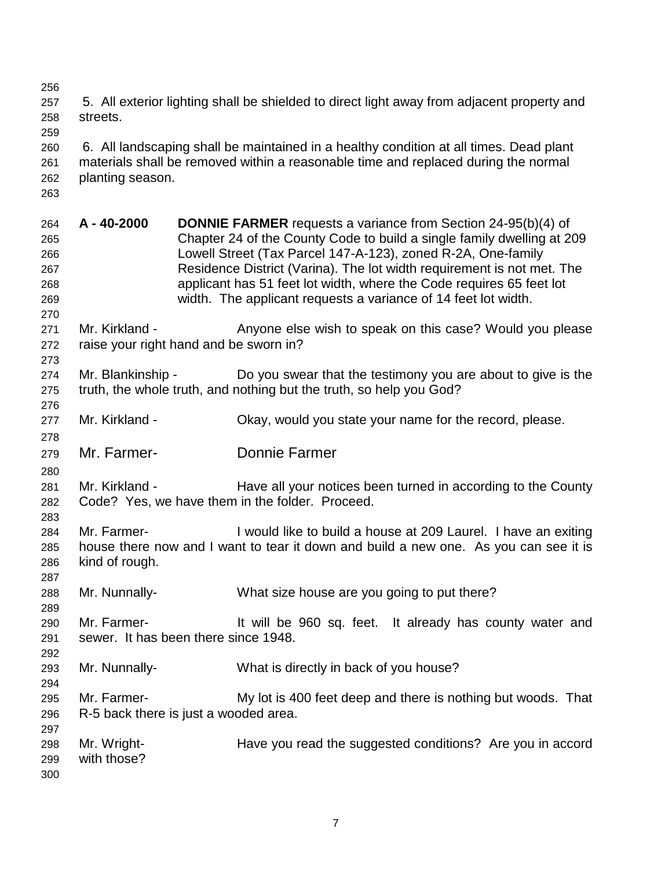256 257 5. All exterior lighting shall be shielded to direct light away from adjacent property and 258 streets.

260 6. All landscaping shall be maintained in a healthy condition at all times. Dead plant 261 materials shall be removed within a reasonable time and replaced during the normal 262 planting season.

263

259

264 **A - 40-2000 DONNIE FARMER** requests a variance from Section 24-95(b)(4) of 265 Chapter 24 of the County Code to build a single family dwelling at 209 266 Lowell Street (Tax Parcel 147-A-123), zoned R-2A, One-family 267 Residence District (Varina). The lot width requirement is not met. The 268 applicant has 51 feet lot width, where the Code requires 65 feet lot 269 width. The applicant requests a variance of 14 feet lot width. 270 271 Mr. Kirkland - Anyone else wish to speak on this case? Would you please 272 raise your right hand and be sworn in? 273 274 Mr. Blankinship - Do you swear that the testimony you are about to give is the 275 truth, the whole truth, and nothing but the truth, so help you God? 276 277 Mr. Kirkland - Ckay, would you state your name for the record, please. 278 279 Mr. Farmer- Donnie Farmer 280 281 Mr. Kirkland - Have all your notices been turned in according to the County 282 Code? Yes, we have them in the folder. Proceed. 283 284 Mr. Farmer- I would like to build a house at 209 Laurel. I have an exiting 285 house there now and I want to tear it down and build a new one. As you can see it is 286 kind of rough. 287 288 Mr. Nunnally- What size house are you going to put there? 289 290 Mr. Farmer- It will be 960 sq. feet. It already has county water and 291 sewer. It has been there since 1948. 292 293 Mr. Nunnally- What is directly in back of you house? 294 295 Mr. Farmer- My lot is 400 feet deep and there is nothing but woods. That 296 R-5 back there is just a wooded area. 297 298 Mr. Wright- Have you read the suggested conditions? Are you in accord 299 with those? 300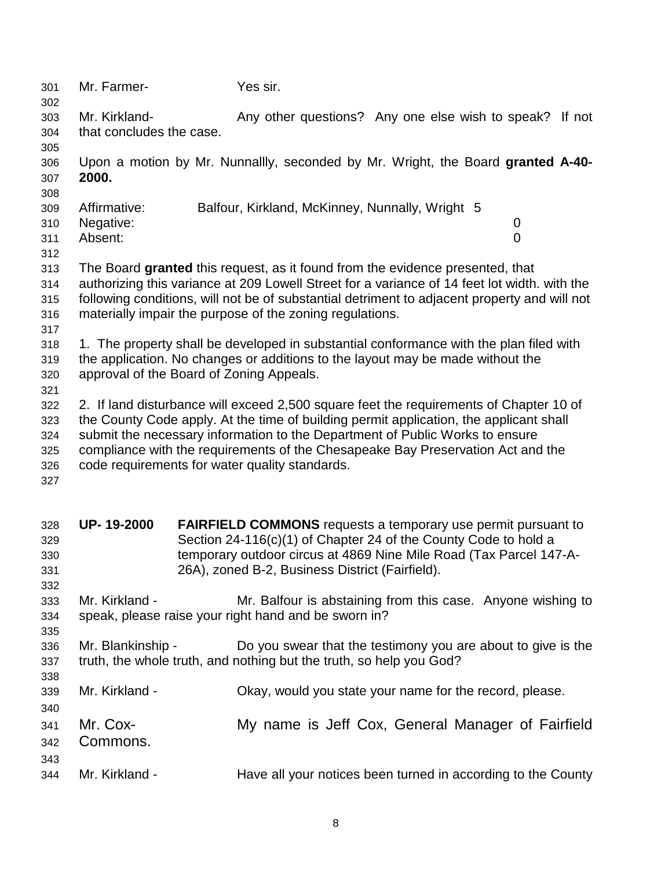| 301                                    | Mr. Farmer-                          | Yes sir.                                                                                                                                                                                                                                                                                                                                                                                              |
|----------------------------------------|--------------------------------------|-------------------------------------------------------------------------------------------------------------------------------------------------------------------------------------------------------------------------------------------------------------------------------------------------------------------------------------------------------------------------------------------------------|
| 302<br>303                             | Mr. Kirkland-                        | Any other questions? Any one else wish to speak?<br>If not                                                                                                                                                                                                                                                                                                                                            |
| 304<br>305                             | that concludes the case.             |                                                                                                                                                                                                                                                                                                                                                                                                       |
| 306<br>307<br>308                      | 2000.                                | Upon a motion by Mr. Nunnallly, seconded by Mr. Wright, the Board granted A-40-                                                                                                                                                                                                                                                                                                                       |
| 309<br>310<br>311<br>312               | Affirmative:<br>Negative:<br>Absent: | Balfour, Kirkland, McKinney, Nunnally, Wright 5<br>$\mathbf 0$<br>$\overline{0}$                                                                                                                                                                                                                                                                                                                      |
| 313<br>314<br>315<br>316<br>317        |                                      | The Board granted this request, as it found from the evidence presented, that<br>authorizing this variance at 209 Lowell Street for a variance of 14 feet lot width. with the<br>following conditions, will not be of substantial detriment to adjacent property and will not<br>materially impair the purpose of the zoning regulations.                                                             |
| 318<br>319<br>320<br>321               |                                      | 1. The property shall be developed in substantial conformance with the plan filed with<br>the application. No changes or additions to the layout may be made without the<br>approval of the Board of Zoning Appeals.                                                                                                                                                                                  |
| 322<br>323<br>324<br>325<br>326<br>327 |                                      | 2. If land disturbance will exceed 2,500 square feet the requirements of Chapter 10 of<br>the County Code apply. At the time of building permit application, the applicant shall<br>submit the necessary information to the Department of Public Works to ensure<br>compliance with the requirements of the Chesapeake Bay Preservation Act and the<br>code requirements for water quality standards. |
| 328<br>329<br>330<br>331<br>332        | UP-19-2000                           | <b>FAIRFIELD COMMONS</b> requests a temporary use permit pursuant to<br>Section 24-116(c)(1) of Chapter 24 of the County Code to hold a<br>temporary outdoor circus at 4869 Nine Mile Road (Tax Parcel 147-A-<br>26A), zoned B-2, Business District (Fairfield).                                                                                                                                      |
| 333<br>334                             | Mr. Kirkland -                       | Mr. Balfour is abstaining from this case. Anyone wishing to<br>speak, please raise your right hand and be sworn in?                                                                                                                                                                                                                                                                                   |
| 335<br>336<br>337<br>338               | Mr. Blankinship -                    | Do you swear that the testimony you are about to give is the<br>truth, the whole truth, and nothing but the truth, so help you God?                                                                                                                                                                                                                                                                   |
| 339<br>340                             | Mr. Kirkland -                       | Okay, would you state your name for the record, please.                                                                                                                                                                                                                                                                                                                                               |
| 341<br>342                             | Mr. Cox-<br>Commons.                 | My name is Jeff Cox, General Manager of Fairfield                                                                                                                                                                                                                                                                                                                                                     |
| 343<br>344                             | Mr. Kirkland -                       | Have all your notices been turned in according to the County                                                                                                                                                                                                                                                                                                                                          |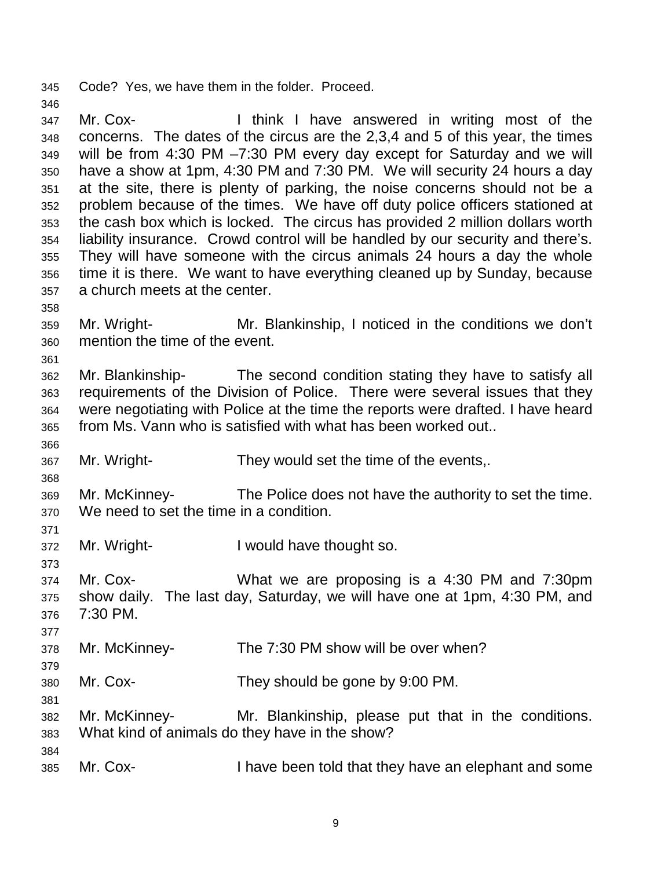345 Code? Yes, we have them in the folder. Proceed.

347 Mr. Cox- I think I have answered in writing most of the 348 concerns. The dates of the circus are the 2,3,4 and 5 of this year, the times 349 will be from 4:30 PM –7:30 PM every day except for Saturday and we will 350 have a show at 1pm, 4:30 PM and 7:30 PM. We will security 24 hours a day 351 at the site, there is plenty of parking, the noise concerns should not be a 352 problem because of the times. We have off duty police officers stationed at 353 the cash box which is locked. The circus has provided 2 million dollars worth 354 liability insurance. Crowd control will be handled by our security and there's. 355 They will have someone with the circus animals 24 hours a day the whole 356 time it is there. We want to have everything cleaned up by Sunday, because 357 a church meets at the center.

- 359 Mr. Wright- Mr. Blankinship, I noticed in the conditions we don't 360 mention the time of the event.
- 362 Mr. Blankinship- The second condition stating they have to satisfy all 363 requirements of the Division of Police. There were several issues that they 364 were negotiating with Police at the time the reports were drafted. I have heard 365 from Ms. Vann who is satisfied with what has been worked out..
- 366

368

371

373

377

379

381

358

361

346

367 Mr. Wright- They would set the time of the events,.

369 Mr. McKinney- The Police does not have the authority to set the time. 370 We need to set the time in a condition.

372 Mr. Wright- I would have thought so.

374 Mr. Cox- What we are proposing is a 4:30 PM and 7:30pm 375 show daily. The last day, Saturday, we will have one at 1pm, 4:30 PM, and 376 7:30 PM.

378 Mr. McKinney- The 7:30 PM show will be over when?

380 Mr. Cox- They should be gone by 9:00 PM.

382 Mr. McKinney- Mr. Blankinship, please put that in the conditions. 383 What kind of animals do they have in the show?

384

385 Mr. Cox- I have been told that they have an elephant and some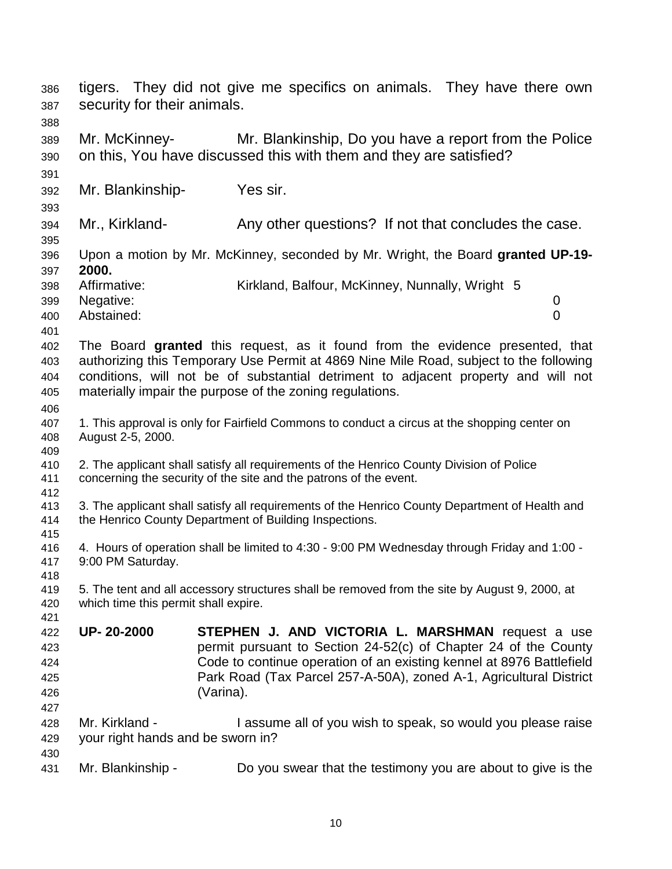| 386<br>387 | tigers. They did not give me specifics on animals. They have there own<br>security for their animals. |                                                                                                                             |  |  |  |
|------------|-------------------------------------------------------------------------------------------------------|-----------------------------------------------------------------------------------------------------------------------------|--|--|--|
| 388        |                                                                                                       |                                                                                                                             |  |  |  |
| 389        | Mr. McKinney-                                                                                         | Mr. Blankinship, Do you have a report from the Police                                                                       |  |  |  |
| 390        |                                                                                                       | on this, You have discussed this with them and they are satisfied?                                                          |  |  |  |
| 391        |                                                                                                       |                                                                                                                             |  |  |  |
| 392        | Mr. Blankinship-                                                                                      | Yes sir.                                                                                                                    |  |  |  |
| 393        |                                                                                                       |                                                                                                                             |  |  |  |
| 394        | Mr., Kirkland-                                                                                        | Any other questions? If not that concludes the case.                                                                        |  |  |  |
| 395        |                                                                                                       |                                                                                                                             |  |  |  |
| 396<br>397 | 2000.                                                                                                 | Upon a motion by Mr. McKinney, seconded by Mr. Wright, the Board granted UP-19-                                             |  |  |  |
| 398        | Affirmative:                                                                                          | Kirkland, Balfour, McKinney, Nunnally, Wright 5                                                                             |  |  |  |
| 399        | Negative:                                                                                             | $\mathbf 0$                                                                                                                 |  |  |  |
| 400        | Abstained:                                                                                            | $\overline{0}$                                                                                                              |  |  |  |
| 401        |                                                                                                       |                                                                                                                             |  |  |  |
| 402        |                                                                                                       | The Board granted this request, as it found from the evidence presented, that                                               |  |  |  |
| 403        |                                                                                                       | authorizing this Temporary Use Permit at 4869 Nine Mile Road, subject to the following                                      |  |  |  |
| 404        |                                                                                                       | conditions, will not be of substantial detriment to adjacent property and will not                                          |  |  |  |
| 405        |                                                                                                       | materially impair the purpose of the zoning regulations.                                                                    |  |  |  |
| 406        |                                                                                                       |                                                                                                                             |  |  |  |
| 407        | 1. This approval is only for Fairfield Commons to conduct a circus at the shopping center on          |                                                                                                                             |  |  |  |
| 408        | August 2-5, 2000.                                                                                     |                                                                                                                             |  |  |  |
| 409        |                                                                                                       |                                                                                                                             |  |  |  |
| 410        | 2. The applicant shall satisfy all requirements of the Henrico County Division of Police              |                                                                                                                             |  |  |  |
| 411        | concerning the security of the site and the patrons of the event.                                     |                                                                                                                             |  |  |  |
| 412<br>413 | 3. The applicant shall satisfy all requirements of the Henrico County Department of Health and        |                                                                                                                             |  |  |  |
| 414        | the Henrico County Department of Building Inspections.                                                |                                                                                                                             |  |  |  |
| 415        |                                                                                                       |                                                                                                                             |  |  |  |
| 416        | 4. Hours of operation shall be limited to 4:30 - 9:00 PM Wednesday through Friday and 1:00 -          |                                                                                                                             |  |  |  |
| 417        | 9:00 PM Saturday.                                                                                     |                                                                                                                             |  |  |  |
| 418        |                                                                                                       |                                                                                                                             |  |  |  |
| 419        |                                                                                                       | 5. The tent and all accessory structures shall be removed from the site by August 9, 2000, at                               |  |  |  |
| 420        | which time this permit shall expire.                                                                  |                                                                                                                             |  |  |  |
| 421        | UP-20-2000                                                                                            |                                                                                                                             |  |  |  |
| 422<br>423 |                                                                                                       | <b>STEPHEN J. AND VICTORIA L. MARSHMAN request a use</b><br>permit pursuant to Section 24-52(c) of Chapter 24 of the County |  |  |  |
| 424        |                                                                                                       | Code to continue operation of an existing kennel at 8976 Battlefield                                                        |  |  |  |
| 425        |                                                                                                       | Park Road (Tax Parcel 257-A-50A), zoned A-1, Agricultural District                                                          |  |  |  |
| 426        |                                                                                                       | (Varina).                                                                                                                   |  |  |  |
| 427        |                                                                                                       |                                                                                                                             |  |  |  |
| 428        | Mr. Kirkland -                                                                                        | I assume all of you wish to speak, so would you please raise                                                                |  |  |  |
| 429        | your right hands and be sworn in?                                                                     |                                                                                                                             |  |  |  |
| 430        |                                                                                                       |                                                                                                                             |  |  |  |
| 431        | Mr. Blankinship -                                                                                     | Do you swear that the testimony you are about to give is the                                                                |  |  |  |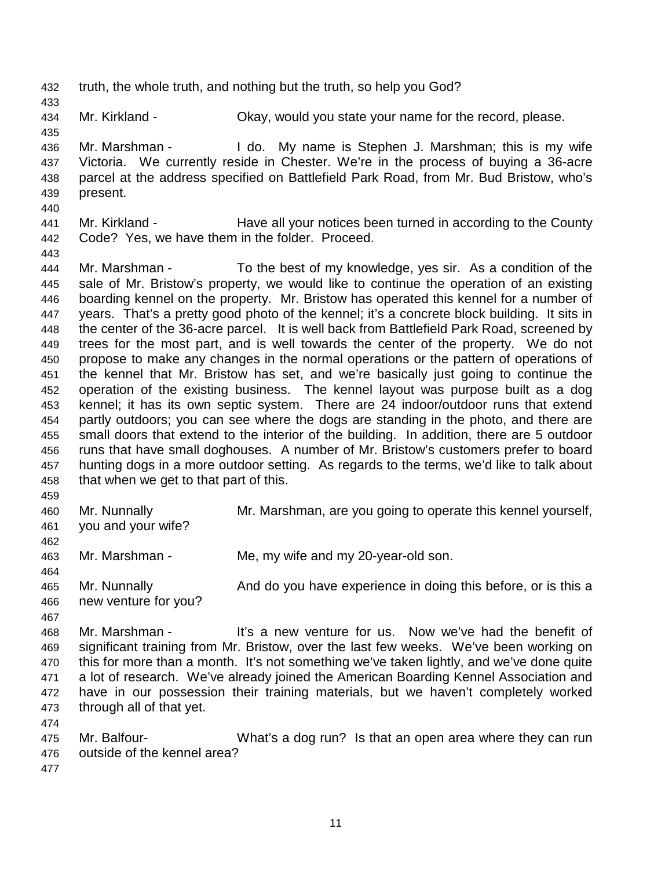432 truth, the whole truth, and nothing but the truth, so help you God?

434 Mr. Kirkland - Okay, would you state your name for the record, please.

435 436 Mr. Marshman - I do. My name is Stephen J. Marshman; this is my wife 437 Victoria. We currently reside in Chester. We're in the process of buying a 36-acre 438 parcel at the address specified on Battlefield Park Road, from Mr. Bud Bristow, who's 439 present.

440

443

433

441 Mr. Kirkland - Have all your notices been turned in according to the County 442 Code? Yes, we have them in the folder. Proceed.

444 Mr. Marshman - To the best of my knowledge, yes sir. As a condition of the 445 sale of Mr. Bristow's property, we would like to continue the operation of an existing 446 boarding kennel on the property. Mr. Bristow has operated this kennel for a number of 447 years. That's a pretty good photo of the kennel; it's a concrete block building. It sits in 448 the center of the 36-acre parcel. It is well back from Battlefield Park Road, screened by 449 trees for the most part, and is well towards the center of the property. We do not 450 propose to make any changes in the normal operations or the pattern of operations of 451 the kennel that Mr. Bristow has set, and we're basically just going to continue the 452 operation of the existing business. The kennel layout was purpose built as a dog 453 kennel; it has its own septic system. There are 24 indoor/outdoor runs that extend 454 partly outdoors; you can see where the dogs are standing in the photo, and there are 455 small doors that extend to the interior of the building. In addition, there are 5 outdoor 456 runs that have small doghouses. A number of Mr. Bristow's customers prefer to board 457 hunting dogs in a more outdoor setting. As regards to the terms, we'd like to talk about 458 that when we get to that part of this.

459

462

460 Mr. Nunnally Mr. Marshman, are you going to operate this kennel yourself,

461 you and your wife?

463 Mr. Marshman - Me, my wife and my 20-year-old son.

464 465 Mr. Nunnally **And do you have experience in doing this before**, or is this a 466 new venture for you?

467

468 Mr. Marshman - It's a new venture for us. Now we've had the benefit of 469 significant training from Mr. Bristow, over the last few weeks. We've been working on 470 this for more than a month. It's not something we've taken lightly, and we've done quite 471 a lot of research. We've already joined the American Boarding Kennel Association and 472 have in our possession their training materials, but we haven't completely worked 473 through all of that yet.

475 Mr. Balfour- What's a dog run? Is that an open area where they can run 476 outside of the kennel area?

477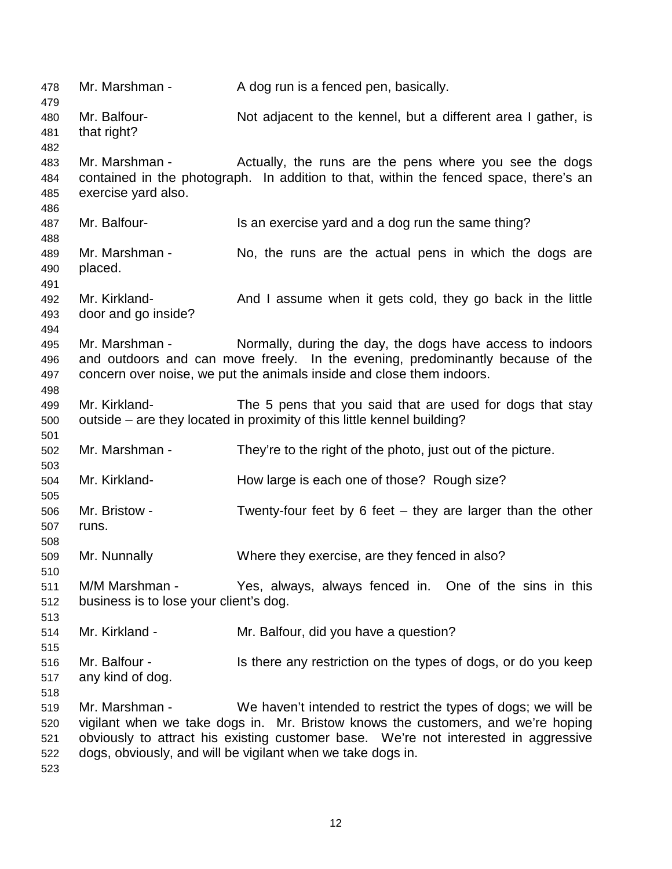478 Mr. Marshman - A dog run is a fenced pen, basically. 479 480 Mr. Balfour- Not adjacent to the kennel, but a different area I gather, is 481 that right? 482 483 Mr. Marshman - Actually, the runs are the pens where you see the dogs 484 contained in the photograph. In addition to that, within the fenced space, there's an 485 exercise yard also. 486 487 Mr. Balfour- Is an exercise yard and a dog run the same thing? 488 489 Mr. Marshman - No, the runs are the actual pens in which the dogs are 490 placed. 491 492 Mr. Kirkland- And I assume when it gets cold, they go back in the little 493 door and go inside? 494 495 Mr. Marshman - Normally, during the day, the dogs have access to indoors 496 and outdoors and can move freely. In the evening, predominantly because of the 497 concern over noise, we put the animals inside and close them indoors. 498 499 Mr. Kirkland- The 5 pens that you said that are used for dogs that stay 500 outside – are they located in proximity of this little kennel building? 501 502 Mr. Marshman - They're to the right of the photo, just out of the picture. 503 504 Mr. Kirkland- How large is each one of those? Rough size? 505 506 Mr. Bristow - Twenty-four feet by 6 feet – they are larger than the other 507 runs. 508 509 Mr. Nunnally Where they exercise, are they fenced in also? 510 511 M/M Marshman - Yes, always, always fenced in. One of the sins in this 512 business is to lose your client's dog. 513 514 Mr. Kirkland - Mr. Balfour, did you have a question? 515 516 Mr. Balfour - Is there any restriction on the types of dogs, or do you keep 517 any kind of dog. 518 519 Mr. Marshman - We haven't intended to restrict the types of dogs; we will be 520 vigilant when we take dogs in. Mr. Bristow knows the customers, and we're hoping 521 obviously to attract his existing customer base. We're not interested in aggressive 522 dogs, obviously, and will be vigilant when we take dogs in. 523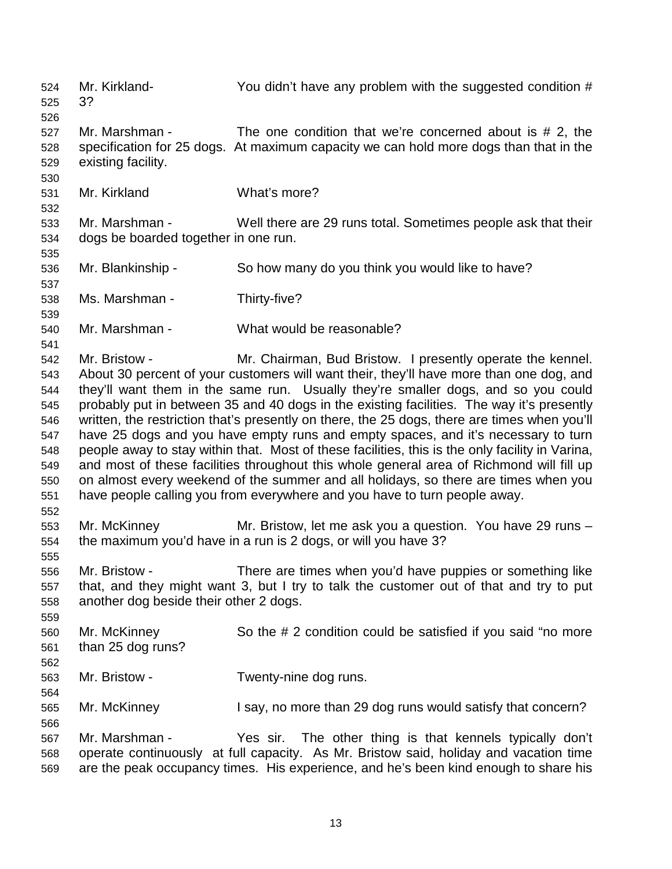524 Mr. Kirkland- You didn't have any problem with the suggested condition # 525 3? 526 527 Mr. Marshman - The one condition that we're concerned about is # 2, the 528 specification for 25 dogs. At maximum capacity we can hold more dogs than that in the 529 existing facility. 530 531 Mr. Kirkland What's more? 532 533 Mr. Marshman - Well there are 29 runs total. Sometimes people ask that their 534 dogs be boarded together in one run. 535 536 Mr. Blankinship - So how many do you think you would like to have? 537 538 Ms. Marshman - Thirty-five? 539 540 Mr. Marshman - What would be reasonable? 541 542 Mr. Bristow - Mr. Chairman, Bud Bristow. I presently operate the kennel. 543 About 30 percent of your customers will want their, they'll have more than one dog, and 544 they'll want them in the same run. Usually they're smaller dogs, and so you could 545 probably put in between 35 and 40 dogs in the existing facilities. The way it's presently 546 written, the restriction that's presently on there, the 25 dogs, there are times when you'll 547 have 25 dogs and you have empty runs and empty spaces, and it's necessary to turn 548 people away to stay within that. Most of these facilities, this is the only facility in Varina, 549 and most of these facilities throughout this whole general area of Richmond will fill up 550 on almost every weekend of the summer and all holidays, so there are times when you 551 have people calling you from everywhere and you have to turn people away. 552 553 Mr. McKinney Mr. Bristow, let me ask you a question. You have 29 runs – 554 the maximum you'd have in a run is 2 dogs, or will you have 3? 555 556 Mr. Bristow - There are times when you'd have puppies or something like 557 that, and they might want 3, but I try to talk the customer out of that and try to put 558 another dog beside their other 2 dogs. 559 560 Mr. McKinney So the # 2 condition could be satisfied if you said "no more 561 than 25 dog runs? 562 563 Mr. Bristow - Twenty-nine dog runs. 564 565 Mr. McKinney I say, no more than 29 dog runs would satisfy that concern? 566 567 Mr. Marshman - Yes sir. The other thing is that kennels typically don't 568 operate continuously at full capacity. As Mr. Bristow said, holiday and vacation time 569 are the peak occupancy times. His experience, and he's been kind enough to share his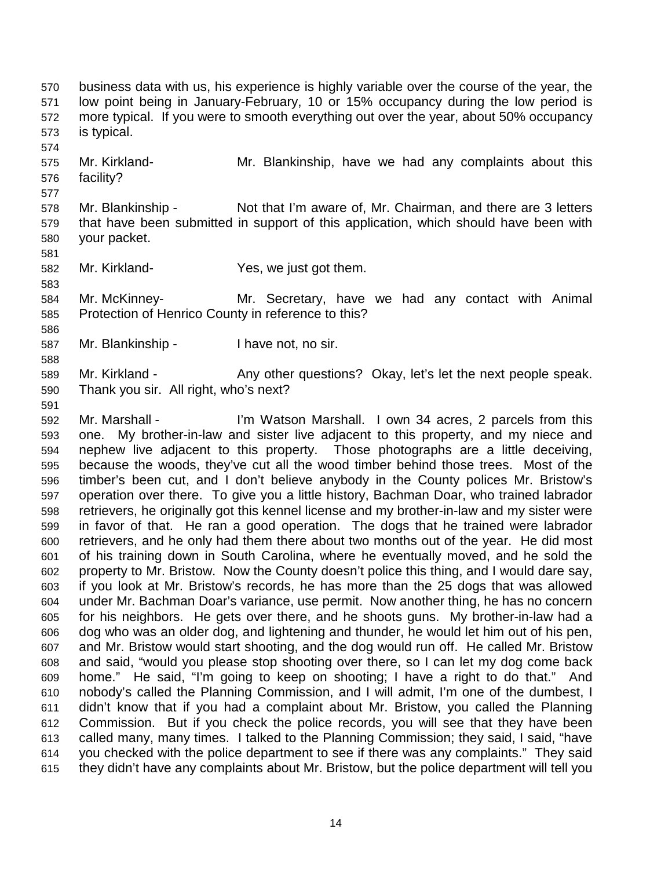570 business data with us, his experience is highly variable over the course of the year, the 571 low point being in January-February, 10 or 15% occupancy during the low period is 572 more typical. If you were to smooth everything out over the year, about 50% occupancy 573 is typical.

- 575 Mr. Kirkland- Mr. Blankinship, have we had any complaints about this 576 facility?
- 578 Mr. Blankinship Not that I'm aware of, Mr. Chairman, and there are 3 letters 579 that have been submitted in support of this application, which should have been with 580 your packet.
- 582 Mr. Kirkland- Yes, we just got them.
- 584 Mr. McKinney- Mr. Secretary, have we had any contact with Animal 585 Protection of Henrico County in reference to this?
- 587 Mr. Blankinship I have not, no sir.
- 589 Mr. Kirkland Any other questions? Okay, let's let the next people speak. 590 Thank you sir. All right, who's next?
- 591

574

577

581

583

586

588

592 Mr. Marshall - I'm Watson Marshall. I own 34 acres, 2 parcels from this 593 one. My brother-in-law and sister live adjacent to this property, and my niece and 594 nephew live adjacent to this property. Those photographs are a little deceiving, 595 because the woods, they've cut all the wood timber behind those trees. Most of the 596 timber's been cut, and I don't believe anybody in the County polices Mr. Bristow's 597 operation over there. To give you a little history, Bachman Doar, who trained labrador 598 retrievers, he originally got this kennel license and my brother-in-law and my sister were 599 in favor of that. He ran a good operation. The dogs that he trained were labrador 600 retrievers, and he only had them there about two months out of the year. He did most 601 of his training down in South Carolina, where he eventually moved, and he sold the 602 property to Mr. Bristow. Now the County doesn't police this thing, and I would dare say, 603 if you look at Mr. Bristow's records, he has more than the 25 dogs that was allowed 604 under Mr. Bachman Doar's variance, use permit. Now another thing, he has no concern 605 for his neighbors. He gets over there, and he shoots guns. My brother-in-law had a 606 dog who was an older dog, and lightening and thunder, he would let him out of his pen, 607 and Mr. Bristow would start shooting, and the dog would run off. He called Mr. Bristow 608 and said, "would you please stop shooting over there, so I can let my dog come back 609 home." He said, "I'm going to keep on shooting; I have a right to do that." And 610 nobody's called the Planning Commission, and I will admit, I'm one of the dumbest, I 611 didn't know that if you had a complaint about Mr. Bristow, you called the Planning 612 Commission. But if you check the police records, you will see that they have been 613 called many, many times. I talked to the Planning Commission; they said, I said, "have 614 you checked with the police department to see if there was any complaints." They said 615 they didn't have any complaints about Mr. Bristow, but the police department will tell you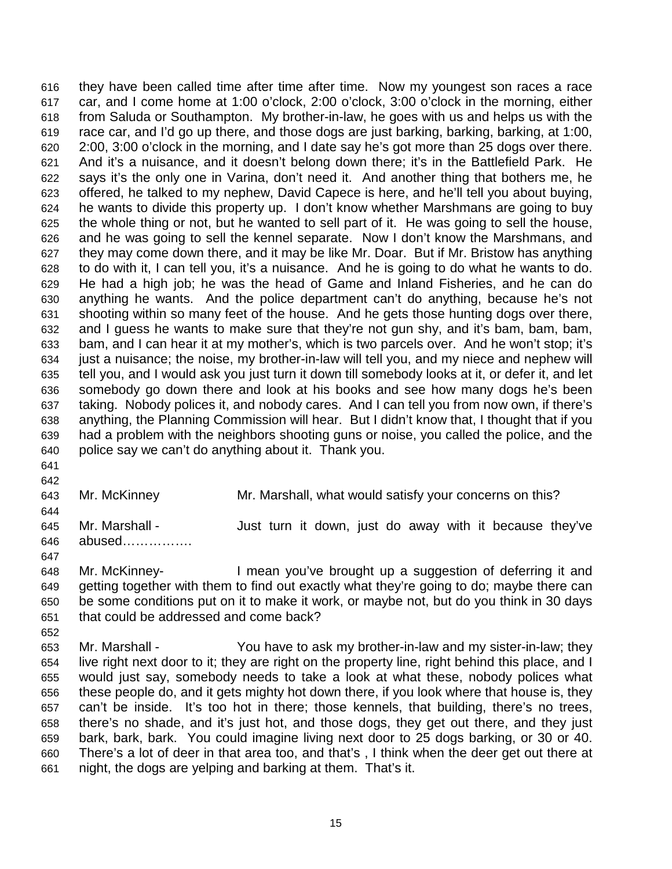616 they have been called time after time after time. Now my youngest son races a race 617 car, and I come home at 1:00 o'clock, 2:00 o'clock, 3:00 o'clock in the morning, either 618 from Saluda or Southampton. My brother-in-law, he goes with us and helps us with the 619 race car, and I'd go up there, and those dogs are just barking, barking, barking, at 1:00, 620 2:00, 3:00 o'clock in the morning, and I date say he's got more than 25 dogs over there. 621 And it's a nuisance, and it doesn't belong down there; it's in the Battlefield Park. He 622 says it's the only one in Varina, don't need it. And another thing that bothers me, he 623 offered, he talked to my nephew, David Capece is here, and he'll tell you about buying, 624 he wants to divide this property up. I don't know whether Marshmans are going to buy 625 the whole thing or not, but he wanted to sell part of it. He was going to sell the house, 626 and he was going to sell the kennel separate. Now I don't know the Marshmans, and 627 they may come down there, and it may be like Mr. Doar. But if Mr. Bristow has anything 628 to do with it, I can tell you, it's a nuisance. And he is going to do what he wants to do. 629 He had a high job; he was the head of Game and Inland Fisheries, and he can do 630 anything he wants. And the police department can't do anything, because he's not 631 shooting within so many feet of the house. And he gets those hunting dogs over there, 632 and I guess he wants to make sure that they're not gun shy, and it's bam, bam, bam, 633 bam, and I can hear it at my mother's, which is two parcels over. And he won't stop; it's 634 just a nuisance; the noise, my brother-in-law will tell you, and my niece and nephew will 635 tell you, and I would ask you just turn it down till somebody looks at it, or defer it, and let 636 somebody go down there and look at his books and see how many dogs he's been 637 taking. Nobody polices it, and nobody cares. And I can tell you from now own, if there's 638 anything, the Planning Commission will hear. But I didn't know that, I thought that if you 639 had a problem with the neighbors shooting guns or noise, you called the police, and the 640 police say we can't do anything about it. Thank you.

641 642

643 Mr. McKinney Mr. Marshall, what would satisfy your concerns on this? 644 645 Mr. Marshall - Just turn it down, just do away with it because they've 646 abused……………. 647 648 Mr. McKinney- I mean you've brought up a suggestion of deferring it and

649 getting together with them to find out exactly what they're going to do; maybe there can 650 be some conditions put on it to make it work, or maybe not, but do you think in 30 days 651 that could be addressed and come back? 652

653 Mr. Marshall - You have to ask my brother-in-law and my sister-in-law; they 654 live right next door to it; they are right on the property line, right behind this place, and I 655 would just say, somebody needs to take a look at what these, nobody polices what 656 these people do, and it gets mighty hot down there, if you look where that house is, they 657 can't be inside. It's too hot in there; those kennels, that building, there's no trees, 658 there's no shade, and it's just hot, and those dogs, they get out there, and they just 659 bark, bark, bark. You could imagine living next door to 25 dogs barking, or 30 or 40. 660 There's a lot of deer in that area too, and that's , I think when the deer get out there at 661 night, the dogs are yelping and barking at them. That's it.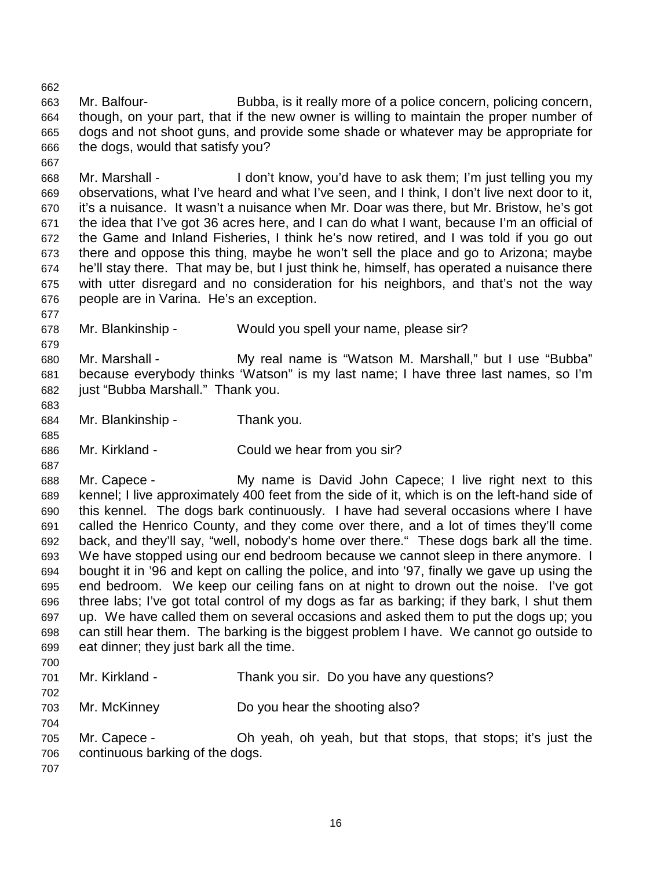663 Mr. Balfour- Bubba, is it really more of a police concern, policing concern, 664 though, on your part, that if the new owner is willing to maintain the proper number of 665 dogs and not shoot guns, and provide some shade or whatever may be appropriate for 666 the dogs, would that satisfy you?

668 Mr. Marshall - I don't know, you'd have to ask them; I'm just telling you my 669 observations, what I've heard and what I've seen, and I think, I don't live next door to it, 670 it's a nuisance. It wasn't a nuisance when Mr. Doar was there, but Mr. Bristow, he's got 671 the idea that I've got 36 acres here, and I can do what I want, because I'm an official of 672 the Game and Inland Fisheries, I think he's now retired, and I was told if you go out 673 there and oppose this thing, maybe he won't sell the place and go to Arizona; maybe 674 he'll stay there. That may be, but I just think he, himself, has operated a nuisance there 675 with utter disregard and no consideration for his neighbors, and that's not the way 676 people are in Varina. He's an exception.

678 Mr. Blankinship - Would you spell your name, please sir?

680 Mr. Marshall - My real name is "Watson M. Marshall," but I use "Bubba" 681 because everybody thinks 'Watson" is my last name; I have three last names, so I'm 682 just "Bubba Marshall." Thank you.

684 Mr. Blankinship - Thank you.

686 Mr. Kirkland - Could we hear from you sir?

688 Mr. Capece - My name is David John Capece; I live right next to this 689 kennel; I live approximately 400 feet from the side of it, which is on the left-hand side of 690 this kennel. The dogs bark continuously. I have had several occasions where I have 691 called the Henrico County, and they come over there, and a lot of times they'll come 692 back, and they'll say, "well, nobody's home over there." These dogs bark all the time. 693 We have stopped using our end bedroom because we cannot sleep in there anymore. I 694 bought it in '96 and kept on calling the police, and into '97, finally we gave up using the 695 end bedroom. We keep our ceiling fans on at night to drown out the noise. I've got 696 three labs; I've got total control of my dogs as far as barking; if they bark, I shut them 697 up. We have called them on several occasions and asked them to put the dogs up; you 698 can still hear them. The barking is the biggest problem I have. We cannot go outside to 699 eat dinner; they just bark all the time.

700

702

704

662

667

677

679

683

685

687

701 Mr. Kirkland - Thank you sir. Do you have any questions?

703 Mr. McKinney Do you hear the shooting also?

705 Mr. Capece - Oh yeah, oh yeah, but that stops, that stops; it's just the 706 continuous barking of the dogs.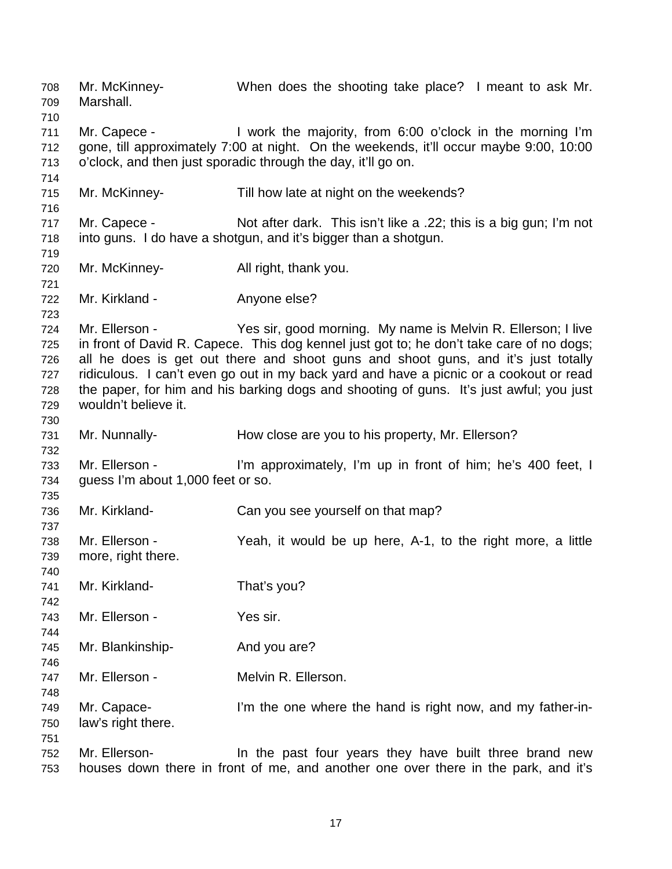708 Mr. McKinney- When does the shooting take place? I meant to ask Mr. 709 Marshall. 710 711 Mr. Capece - I work the majority, from 6:00 o'clock in the morning I'm 712 gone, till approximately 7:00 at night. On the weekends, it'll occur maybe 9:00, 10:00 713 o'clock, and then just sporadic through the day, it'll go on. 714 715 Mr. McKinney- Till how late at night on the weekends? 716 717 Mr. Capece - Not after dark. This isn't like a .22; this is a big gun; I'm not 718 into guns. I do have a shotgun, and it's bigger than a shotgun. 719 720 Mr. McKinney- All right, thank you. 721 722 Mr. Kirkland - Anyone else? 723 724 Mr. Ellerson - Yes sir, good morning. My name is Melvin R. Ellerson; I live 725 in front of David R. Capece. This dog kennel just got to; he don't take care of no dogs; 726 all he does is get out there and shoot guns and shoot guns, and it's just totally 727 ridiculous. I can't even go out in my back yard and have a picnic or a cookout or read 728 the paper, for him and his barking dogs and shooting of guns. It's just awful; you just 729 wouldn't believe it. 730 731 Mr. Nunnally- How close are you to his property, Mr. Ellerson? 732 733 Mr. Ellerson - I'm approximately, I'm up in front of him; he's 400 feet, I 734 guess I'm about 1,000 feet or so. 735 736 Mr. Kirkland- Can you see yourself on that map? 737 738 Mr. Ellerson - Yeah, it would be up here, A-1, to the right more, a little 739 more, right there. 740 741 Mr. Kirkland- That's you? 742 743 Mr. Ellerson - Yes sir. 744 745 Mr. Blankinship- And you are? 746 747 Mr. Ellerson - Melvin R. Ellerson. 748 749 Mr. Capace- I'm the one where the hand is right now, and my father-in-750 law's right there. 751 752 Mr. Ellerson- In the past four years they have built three brand new 753 houses down there in front of me, and another one over there in the park, and it's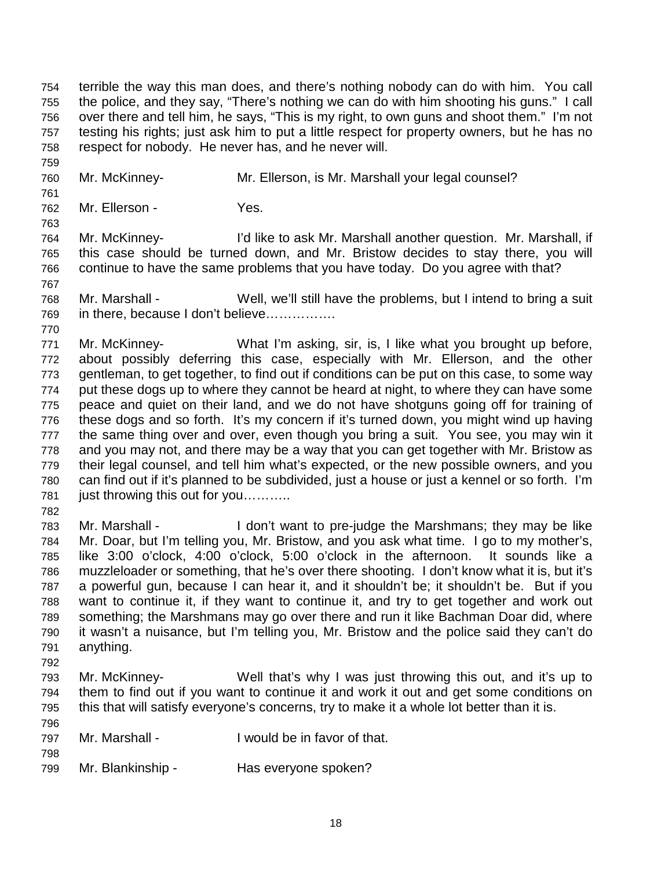754 terrible the way this man does, and there's nothing nobody can do with him. You call 755 the police, and they say, "There's nothing we can do with him shooting his guns." I call 756 over there and tell him, he says, "This is my right, to own guns and shoot them." I'm not 757 testing his rights; just ask him to put a little respect for property owners, but he has no 758 respect for nobody. He never has, and he never will.

760 Mr. McKinney- Mr. Ellerson, is Mr. Marshall your legal counsel?

761

763

767

770

759

762 Mr. Ellerson - Yes.

764 Mr. McKinney- I'd like to ask Mr. Marshall another question. Mr. Marshall, if 765 this case should be turned down, and Mr. Bristow decides to stay there, you will 766 continue to have the same problems that you have today. Do you agree with that?

768 Mr. Marshall - Well, we'll still have the problems, but I intend to bring a suit 769 in there, because I don't believe…………….

771 Mr. McKinney- What I'm asking, sir, is, I like what you brought up before, 772 about possibly deferring this case, especially with Mr. Ellerson, and the other 773 gentleman, to get together, to find out if conditions can be put on this case, to some way 774 put these dogs up to where they cannot be heard at night, to where they can have some 775 peace and quiet on their land, and we do not have shotguns going off for training of 776 these dogs and so forth. It's my concern if it's turned down, you might wind up having 777 the same thing over and over, even though you bring a suit. You see, you may win it 778 and you may not, and there may be a way that you can get together with Mr. Bristow as 779 their legal counsel, and tell him what's expected, or the new possible owners, and you 780 can find out if it's planned to be subdivided, just a house or just a kennel or so forth. I'm 781 just throwing this out for you..........

782

783 Mr. Marshall - I don't want to pre-judge the Marshmans; they may be like 784 Mr. Doar, but I'm telling you, Mr. Bristow, and you ask what time. I go to my mother's, 785 like 3:00 o'clock, 4:00 o'clock, 5:00 o'clock in the afternoon. It sounds like a 786 muzzleloader or something, that he's over there shooting. I don't know what it is, but it's 787 a powerful gun, because I can hear it, and it shouldn't be; it shouldn't be. But if you 788 want to continue it, if they want to continue it, and try to get together and work out 789 something; the Marshmans may go over there and run it like Bachman Doar did, where 790 it wasn't a nuisance, but I'm telling you, Mr. Bristow and the police said they can't do 791 anything.

792

798

793 Mr. McKinney- Well that's why I was just throwing this out, and it's up to 794 them to find out if you want to continue it and work it out and get some conditions on 795 this that will satisfy everyone's concerns, try to make it a whole lot better than it is.

| 796 |                |                              |
|-----|----------------|------------------------------|
| 797 | Mr. Marshall - | I would be in favor of that. |

799 Mr. Blankinship - Has everyone spoken?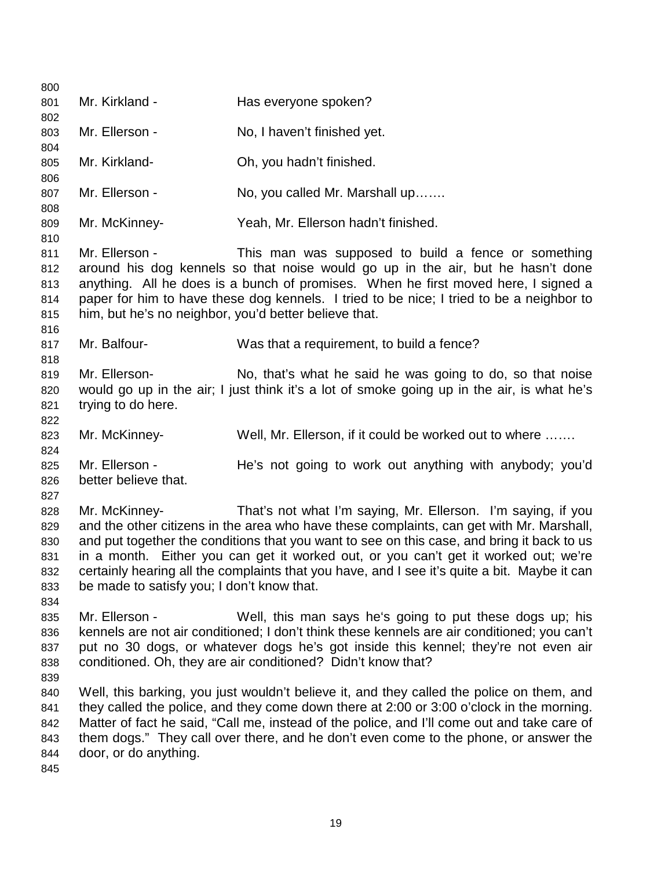800 801 Mr. Kirkland - Has everyone spoken? 802 803 Mr. Ellerson - No, I haven't finished yet. 804 805 Mr. Kirkland- Oh, you hadn't finished. 806 807 Mr. Ellerson - No, you called Mr. Marshall up....... 808 809 Mr. McKinney- Yeah, Mr. Ellerson hadn't finished. 810 811 Mr. Ellerson - This man was supposed to build a fence or something 812 around his dog kennels so that noise would go up in the air, but he hasn't done 813 anything. All he does is a bunch of promises. When he first moved here, I signed a 814 paper for him to have these dog kennels. I tried to be nice; I tried to be a neighbor to 815 him, but he's no neighbor, you'd better believe that. 816 817 Mr. Balfour- Was that a requirement, to build a fence? 818 819 Mr. Ellerson- No, that's what he said he was going to do, so that noise 820 would go up in the air; I just think it's a lot of smoke going up in the air, is what he's 821 trying to do here. 822 823 Mr. McKinney- Well, Mr. Ellerson, if it could be worked out to where ……. 824 825 Mr. Ellerson - He's not going to work out anything with anybody; you'd 826 better believe that. 827 828 Mr. McKinney- That's not what I'm saying, Mr. Ellerson. I'm saying, if you 829 and the other citizens in the area who have these complaints, can get with Mr. Marshall, 830 and put together the conditions that you want to see on this case, and bring it back to us 831 in a month. Either you can get it worked out, or you can't get it worked out; we're 832 certainly hearing all the complaints that you have, and I see it's quite a bit. Maybe it can 833 be made to satisfy you; I don't know that. 834 835 Mr. Ellerson - Well, this man says he's going to put these dogs up; his 836 kennels are not air conditioned; I don't think these kennels are air conditioned; you can't 837 put no 30 dogs, or whatever dogs he's got inside this kennel; they're not even air 838 conditioned. Oh, they are air conditioned? Didn't know that? 839 840 Well, this barking, you just wouldn't believe it, and they called the police on them, and 841 they called the police, and they come down there at 2:00 or 3:00 o'clock in the morning. 842 Matter of fact he said, "Call me, instead of the police, and I'll come out and take care of 843 them dogs." They call over there, and he don't even come to the phone, or answer the 844 door, or do anything. 845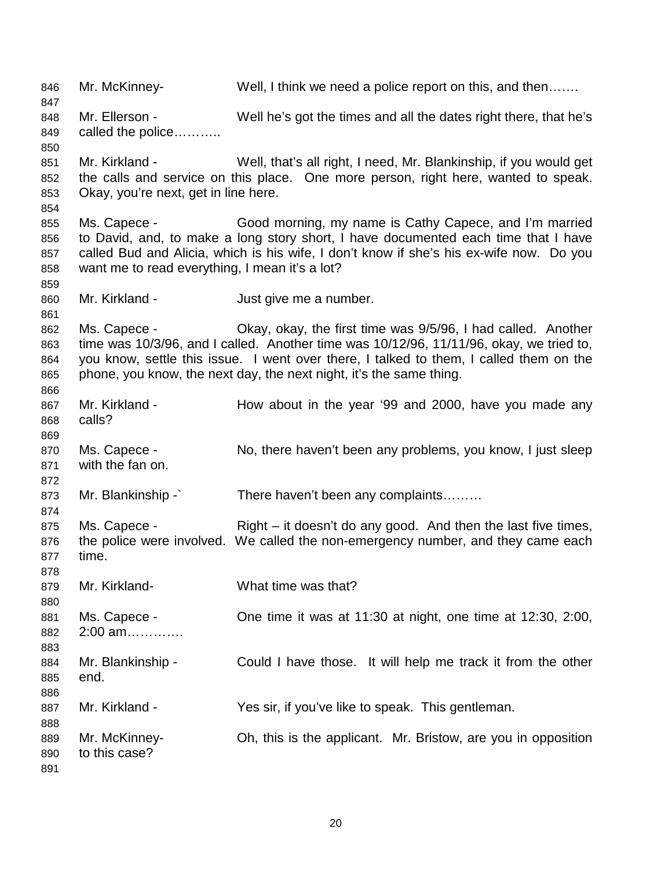846 Mr. McKinney- Well, I think we need a police report on this, and then……. 847 848 Mr. Ellerson - Well he's got the times and all the dates right there, that he's 849 called the police……….. 850 851 Mr. Kirkland - Well, that's all right, I need, Mr. Blankinship, if you would get 852 the calls and service on this place. One more person, right here, wanted to speak. 853 Okay, you're next, get in line here. 854 855 Ms. Capece - Good morning, my name is Cathy Capece, and I'm married 856 to David, and, to make a long story short, I have documented each time that I have 857 called Bud and Alicia, which is his wife, I don't know if she's his ex-wife now. Do you 858 want me to read everything, I mean it's a lot? 859 860 Mr. Kirkland - Just give me a number. 861 862 Ms. Capece - Okay, okay, the first time was 9/5/96, I had called. Another 863 time was 10/3/96, and I called. Another time was 10/12/96, 11/11/96, okay, we tried to, 864 you know, settle this issue. I went over there, I talked to them, I called them on the 865 phone, you know, the next day, the next night, it's the same thing. 866 867 Mr. Kirkland - How about in the year '99 and 2000, have you made any 868 calls? 869 870 Ms. Capece - No, there haven't been any problems, you know, I just sleep 871 with the fan on. 872 873 Mr. Blankinship -` There haven't been any complaints……… 874 875 Ms. Capece - Right – it doesn't do any good. And then the last five times, 876 the police were involved. We called the non-emergency number, and they came each 877 time. 878 879 Mr. Kirkland- What time was that? 880 881 Ms. Capece - One time it was at 11:30 at night, one time at 12:30, 2:00, 882 2:00 am…………. 883 884 Mr. Blankinship - Could I have those. It will help me track it from the other 885 end. 886 887 Mr. Kirkland - Yes sir, if you've like to speak. This gentleman. 888 889 Mr. McKinney- Oh, this is the applicant. Mr. Bristow, are you in opposition 890 to this case? 891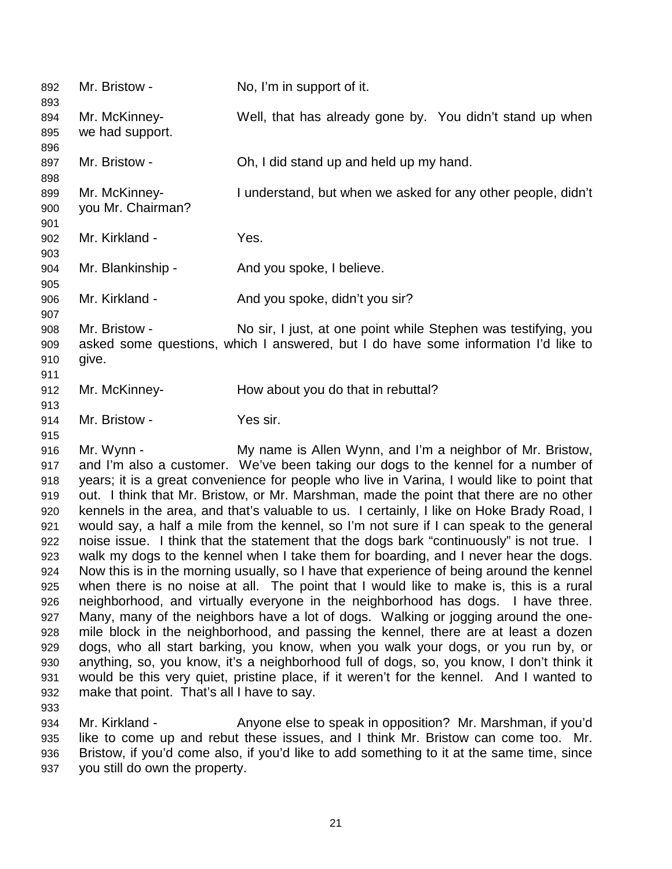| 892<br>893                                                                                                                 | Mr. Bristow -                                            | No, I'm in support of it.                                                                                                                                                                                                                                                                                                                                                                                                                                                                                                                                                                                                                                                                                                                                                                                                                                                                                                                                                                                                                                                                                                                                                                                                                                                                                                                                                                                                                            |
|----------------------------------------------------------------------------------------------------------------------------|----------------------------------------------------------|------------------------------------------------------------------------------------------------------------------------------------------------------------------------------------------------------------------------------------------------------------------------------------------------------------------------------------------------------------------------------------------------------------------------------------------------------------------------------------------------------------------------------------------------------------------------------------------------------------------------------------------------------------------------------------------------------------------------------------------------------------------------------------------------------------------------------------------------------------------------------------------------------------------------------------------------------------------------------------------------------------------------------------------------------------------------------------------------------------------------------------------------------------------------------------------------------------------------------------------------------------------------------------------------------------------------------------------------------------------------------------------------------------------------------------------------------|
| 894<br>895<br>896                                                                                                          | Mr. McKinney-<br>we had support.                         | Well, that has already gone by. You didn't stand up when                                                                                                                                                                                                                                                                                                                                                                                                                                                                                                                                                                                                                                                                                                                                                                                                                                                                                                                                                                                                                                                                                                                                                                                                                                                                                                                                                                                             |
| 897<br>898                                                                                                                 | Mr. Bristow -                                            | Oh, I did stand up and held up my hand.                                                                                                                                                                                                                                                                                                                                                                                                                                                                                                                                                                                                                                                                                                                                                                                                                                                                                                                                                                                                                                                                                                                                                                                                                                                                                                                                                                                                              |
| 899<br>900<br>901                                                                                                          | Mr. McKinney-<br>you Mr. Chairman?                       | I understand, but when we asked for any other people, didn't                                                                                                                                                                                                                                                                                                                                                                                                                                                                                                                                                                                                                                                                                                                                                                                                                                                                                                                                                                                                                                                                                                                                                                                                                                                                                                                                                                                         |
| 902<br>903                                                                                                                 | Mr. Kirkland -                                           | Yes.                                                                                                                                                                                                                                                                                                                                                                                                                                                                                                                                                                                                                                                                                                                                                                                                                                                                                                                                                                                                                                                                                                                                                                                                                                                                                                                                                                                                                                                 |
| 904<br>905                                                                                                                 | Mr. Blankinship -                                        | And you spoke, I believe.                                                                                                                                                                                                                                                                                                                                                                                                                                                                                                                                                                                                                                                                                                                                                                                                                                                                                                                                                                                                                                                                                                                                                                                                                                                                                                                                                                                                                            |
| 906<br>907                                                                                                                 | Mr. Kirkland -                                           | And you spoke, didn't you sir?                                                                                                                                                                                                                                                                                                                                                                                                                                                                                                                                                                                                                                                                                                                                                                                                                                                                                                                                                                                                                                                                                                                                                                                                                                                                                                                                                                                                                       |
| 908<br>909<br>910<br>911                                                                                                   | Mr. Bristow -<br>give.                                   | No sir, I just, at one point while Stephen was testifying, you<br>asked some questions, which I answered, but I do have some information I'd like to                                                                                                                                                                                                                                                                                                                                                                                                                                                                                                                                                                                                                                                                                                                                                                                                                                                                                                                                                                                                                                                                                                                                                                                                                                                                                                 |
| 912<br>913                                                                                                                 | Mr. McKinney-                                            | How about you do that in rebuttal?                                                                                                                                                                                                                                                                                                                                                                                                                                                                                                                                                                                                                                                                                                                                                                                                                                                                                                                                                                                                                                                                                                                                                                                                                                                                                                                                                                                                                   |
| 914<br>915                                                                                                                 | Mr. Bristow -                                            | Yes sir.                                                                                                                                                                                                                                                                                                                                                                                                                                                                                                                                                                                                                                                                                                                                                                                                                                                                                                                                                                                                                                                                                                                                                                                                                                                                                                                                                                                                                                             |
| 916<br>917<br>918<br>919<br>920<br>921<br>922<br>923<br>924<br>925<br>926<br>927<br>928<br>929<br>930<br>931<br>932<br>933 | Mr. Wynn -<br>make that point. That's all I have to say. | My name is Allen Wynn, and I'm a neighbor of Mr. Bristow,<br>and I'm also a customer. We've been taking our dogs to the kennel for a number of<br>years; it is a great convenience for people who live in Varina, I would like to point that<br>out. I think that Mr. Bristow, or Mr. Marshman, made the point that there are no other<br>kennels in the area, and that's valuable to us. I certainly, I like on Hoke Brady Road, I<br>would say, a half a mile from the kennel, so I'm not sure if I can speak to the general<br>noise issue. I think that the statement that the dogs bark "continuously" is not true. I<br>walk my dogs to the kennel when I take them for boarding, and I never hear the dogs.<br>Now this is in the morning usually, so I have that experience of being around the kennel<br>when there is no noise at all. The point that I would like to make is, this is a rural<br>neighborhood, and virtually everyone in the neighborhood has dogs. I have three.<br>Many, many of the neighbors have a lot of dogs. Walking or jogging around the one-<br>mile block in the neighborhood, and passing the kennel, there are at least a dozen<br>dogs, who all start barking, you know, when you walk your dogs, or you run by, or<br>anything, so, you know, it's a neighborhood full of dogs, so, you know, I don't think it<br>would be this very quiet, pristine place, if it weren't for the kennel. And I wanted to |
| 934                                                                                                                        | Mr. Kirkland -                                           | Anyone else to speak in opposition? Mr. Marshman, if you'd                                                                                                                                                                                                                                                                                                                                                                                                                                                                                                                                                                                                                                                                                                                                                                                                                                                                                                                                                                                                                                                                                                                                                                                                                                                                                                                                                                                           |

935 like to come up and rebut these issues, and I think Mr. Bristow can come too. Mr. 936 Bristow, if you'd come also, if you'd like to add something to it at the same time, since 937 you still do own the property.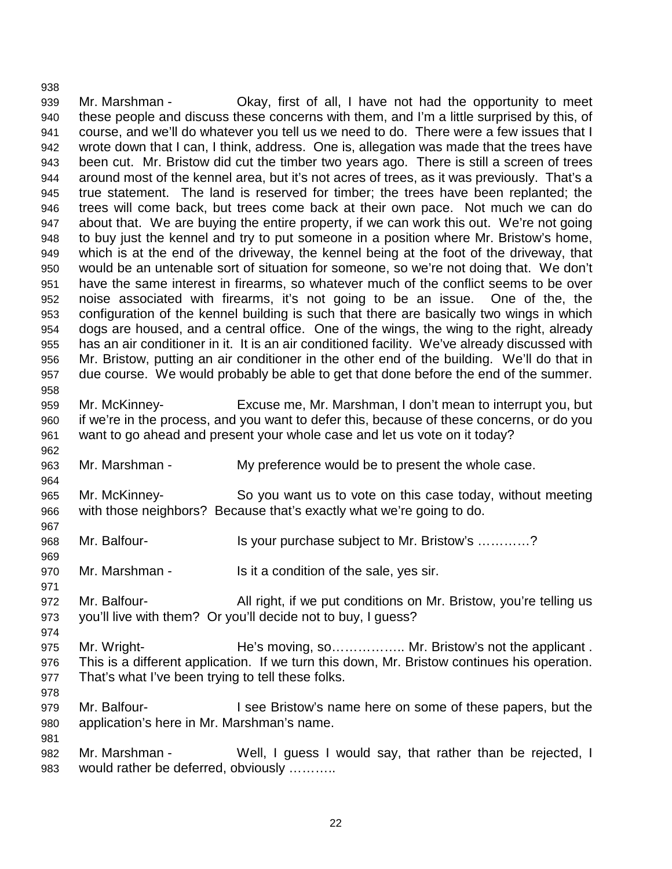939 Mr. Marshman - Okay, first of all, I have not had the opportunity to meet 940 these people and discuss these concerns with them, and I'm a little surprised by this, of 941 course, and we'll do whatever you tell us we need to do. There were a few issues that I 942 wrote down that I can, I think, address. One is, allegation was made that the trees have 943 been cut. Mr. Bristow did cut the timber two years ago. There is still a screen of trees 944 around most of the kennel area, but it's not acres of trees, as it was previously. That's a 945 true statement. The land is reserved for timber; the trees have been replanted; the 946 trees will come back, but trees come back at their own pace. Not much we can do 947 about that. We are buying the entire property, if we can work this out. We're not going 948 to buy just the kennel and try to put someone in a position where Mr. Bristow's home, 949 which is at the end of the driveway, the kennel being at the foot of the driveway, that 950 would be an untenable sort of situation for someone, so we're not doing that. We don't 951 have the same interest in firearms, so whatever much of the conflict seems to be over 952 noise associated with firearms, it's not going to be an issue. One of the, the 953 configuration of the kennel building is such that there are basically two wings in which 954 dogs are housed, and a central office. One of the wings, the wing to the right, already 955 has an air conditioner in it. It is an air conditioned facility. We've already discussed with 956 Mr. Bristow, putting an air conditioner in the other end of the building. We'll do that in 957 due course. We would probably be able to get that done before the end of the summer. 958 959 Mr. McKinney- Excuse me, Mr. Marshman, I don't mean to interrupt you, but 960 if we're in the process, and you want to defer this, because of these concerns, or do you 961 want to go ahead and present your whole case and let us vote on it today? 962 963 Mr. Marshman - My preference would be to present the whole case. 964 965 Mr. McKinney- So you want us to vote on this case today, without meeting 966 with those neighbors? Because that's exactly what we're going to do. 967 968 Mr. Balfour- Is your purchase subject to Mr. Bristow's …………? 969 970 Mr. Marshman - Is it a condition of the sale, yes sir. 971 972 Mr. Balfour- All right, if we put conditions on Mr. Bristow, you're telling us 973 you'll live with them? Or you'll decide not to buy, I guess? 974 975 Mr. Wright- He's moving, so................. Mr. Bristow's not the applicant. 976 This is a different application. If we turn this down, Mr. Bristow continues his operation. 977 That's what I've been trying to tell these folks. 978 979 Mr. Balfour- I see Bristow's name here on some of these papers, but the 980 application's here in Mr. Marshman's name. 981 982 Mr. Marshman - Well, I guess I would say, that rather than be rejected, I 983 would rather be deferred, obviously ………..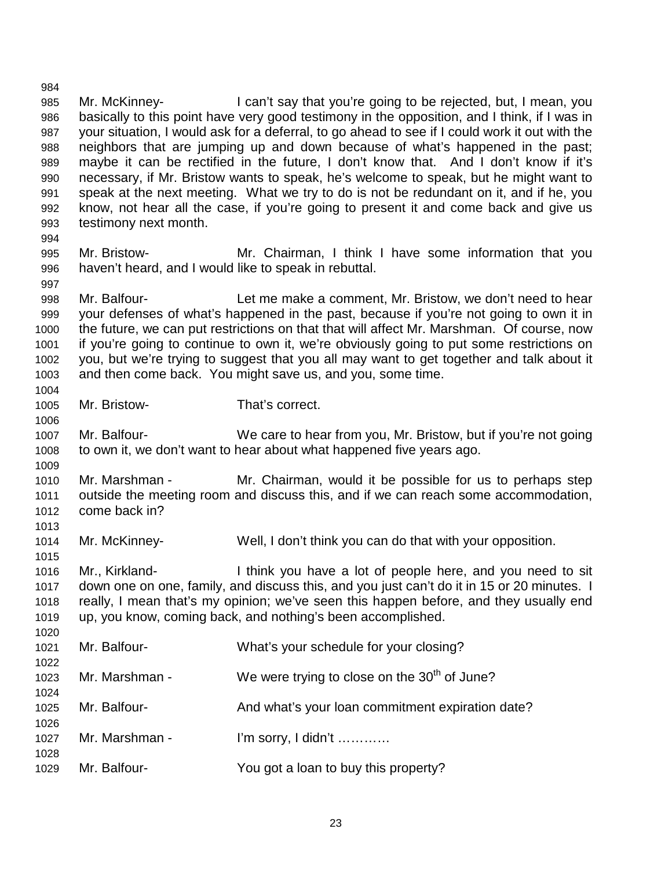985 Mr. McKinney- I can't say that you're going to be rejected, but, I mean, you 986 basically to this point have very good testimony in the opposition, and I think, if I was in 987 your situation, I would ask for a deferral, to go ahead to see if I could work it out with the 988 neighbors that are jumping up and down because of what's happened in the past; 989 maybe it can be rectified in the future, I don't know that. And I don't know if it's 990 necessary, if Mr. Bristow wants to speak, he's welcome to speak, but he might want to 991 speak at the next meeting. What we try to do is not be redundant on it, and if he, you 992 know, not hear all the case, if you're going to present it and come back and give us 993 testimony next month. 994 995 Mr. Bristow- Mr. Chairman, I think I have some information that you 996 haven't heard, and I would like to speak in rebuttal. 997 998 Mr. Balfour- Let me make a comment, Mr. Bristow, we don't need to hear 999 your defenses of what's happened in the past, because if you're not going to own it in 1000 the future, we can put restrictions on that that will affect Mr. Marshman. Of course, now 1001 if you're going to continue to own it, we're obviously going to put some restrictions on 1002 you, but we're trying to suggest that you all may want to get together and talk about it 1003 and then come back. You might save us, and you, some time. 1004 1005 Mr. Bristow- That's correct. 1006 1007 Mr. Balfour- We care to hear from you, Mr. Bristow, but if you're not going 1008 to own it, we don't want to hear about what happened five years ago. 1009 1010 Mr. Marshman - Mr. Chairman, would it be possible for us to perhaps step 1011 outside the meeting room and discuss this, and if we can reach some accommodation, 1012 come back in? 1013 1014 Mr. McKinney- Well, I don't think you can do that with your opposition. 1015 1016 Mr., Kirkland- I think you have a lot of people here, and you need to sit 1017 down one on one, family, and discuss this, and you just can't do it in 15 or 20 minutes. I 1018 really, I mean that's my opinion; we've seen this happen before, and they usually end 1019 up, you know, coming back, and nothing's been accomplished. 1020 1021 Mr. Balfour- What's your schedule for your closing? 1022 1023 Mr. Marshman - We were trying to close on the  $30<sup>th</sup>$  of June? 1024 1025 Mr. Balfour- And what's your loan commitment expiration date? 1026 1027 Mr. Marshman - I'm sorry, I didn't ………… 1028 1029 Mr. Balfour- You got a loan to buy this property?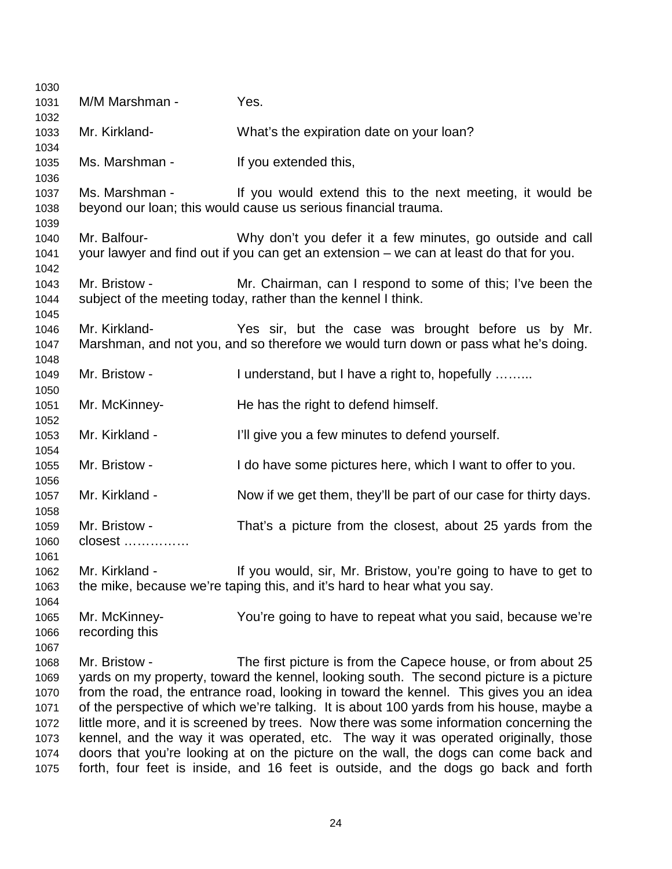| 1030         |                |                                                                                                                                                                                   |
|--------------|----------------|-----------------------------------------------------------------------------------------------------------------------------------------------------------------------------------|
| 1031         | M/M Marshman - | Yes.                                                                                                                                                                              |
| 1032         |                |                                                                                                                                                                                   |
| 1033         | Mr. Kirkland-  | What's the expiration date on your loan?                                                                                                                                          |
| 1034         |                |                                                                                                                                                                                   |
| 1035         | Ms. Marshman - | If you extended this,                                                                                                                                                             |
| 1036         |                |                                                                                                                                                                                   |
| 1037<br>1038 |                | Ms. Marshman - If you would extend this to the next meeting, it would be<br>beyond our loan; this would cause us serious financial trauma.                                        |
| 1039         |                |                                                                                                                                                                                   |
| 1040         | Mr. Balfour-   | Why don't you defer it a few minutes, go outside and call                                                                                                                         |
| 1041         |                | your lawyer and find out if you can get an extension – we can at least do that for you.                                                                                           |
| 1042         |                |                                                                                                                                                                                   |
| 1043         | Mr. Bristow -  | Mr. Chairman, can I respond to some of this; I've been the                                                                                                                        |
| 1044         |                | subject of the meeting today, rather than the kennel I think.                                                                                                                     |
| 1045         |                |                                                                                                                                                                                   |
| 1046         | Mr. Kirkland-  | Yes sir, but the case was brought before us by Mr.                                                                                                                                |
| 1047         |                | Marshman, and not you, and so therefore we would turn down or pass what he's doing.                                                                                               |
| 1048         |                |                                                                                                                                                                                   |
| 1049         | Mr. Bristow -  | I understand, but I have a right to, hopefully                                                                                                                                    |
| 1050         |                |                                                                                                                                                                                   |
| 1051         | Mr. McKinney-  | He has the right to defend himself.                                                                                                                                               |
| 1052         |                |                                                                                                                                                                                   |
| 1053<br>1054 | Mr. Kirkland - | I'll give you a few minutes to defend yourself.                                                                                                                                   |
| 1055         | Mr. Bristow -  | I do have some pictures here, which I want to offer to you.                                                                                                                       |
| 1056         |                |                                                                                                                                                                                   |
| 1057         | Mr. Kirkland - | Now if we get them, they'll be part of our case for thirty days.                                                                                                                  |
| 1058         |                |                                                                                                                                                                                   |
| 1059         | Mr. Bristow -  | That's a picture from the closest, about 25 yards from the                                                                                                                        |
| 1060         | closest        |                                                                                                                                                                                   |
| 1061         |                |                                                                                                                                                                                   |
| 1062         | Mr. Kirkland - | If you would, sir, Mr. Bristow, you're going to have to get to                                                                                                                    |
| 1063         |                | the mike, because we're taping this, and it's hard to hear what you say.                                                                                                          |
| 1064         |                |                                                                                                                                                                                   |
| 1065         | Mr. McKinney-  | You're going to have to repeat what you said, because we're                                                                                                                       |
| 1066         | recording this |                                                                                                                                                                                   |
| 1067         |                |                                                                                                                                                                                   |
| 1068         | Mr. Bristow -  | The first picture is from the Capece house, or from about 25                                                                                                                      |
| 1069         |                | yards on my property, toward the kennel, looking south. The second picture is a picture<br>from the road, the entrance road, looking in toward the kennel. This gives you an idea |
| 1070<br>1071 |                | of the perspective of which we're talking. It is about 100 yards from his house, maybe a                                                                                          |
| 1072         |                | little more, and it is screened by trees. Now there was some information concerning the                                                                                           |
| 1073         |                | kennel, and the way it was operated, etc. The way it was operated originally, those                                                                                               |
| 1074         |                | doors that you're looking at on the picture on the wall, the dogs can come back and                                                                                               |
| 1075         |                | forth, four feet is inside, and 16 feet is outside, and the dogs go back and forth                                                                                                |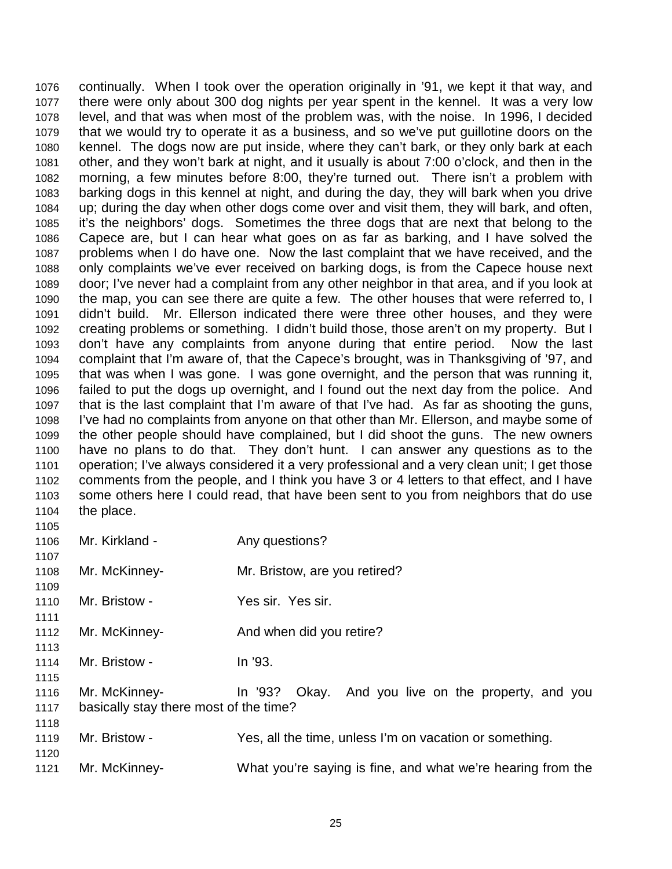1076 continually. When I took over the operation originally in '91, we kept it that way, and 1077 there were only about 300 dog nights per year spent in the kennel. It was a very low 1078 level, and that was when most of the problem was, with the noise. In 1996, I decided 1079 that we would try to operate it as a business, and so we've put guillotine doors on the 1080 kennel. The dogs now are put inside, where they can't bark, or they only bark at each 1081 other, and they won't bark at night, and it usually is about 7:00 o'clock, and then in the 1082 morning, a few minutes before 8:00, they're turned out. There isn't a problem with 1083 barking dogs in this kennel at night, and during the day, they will bark when you drive 1084 up; during the day when other dogs come over and visit them, they will bark, and often, 1085 it's the neighbors' dogs. Sometimes the three dogs that are next that belong to the 1086 Capece are, but I can hear what goes on as far as barking, and I have solved the 1087 problems when I do have one. Now the last complaint that we have received, and the 1088 only complaints we've ever received on barking dogs, is from the Capece house next 1089 door; I've never had a complaint from any other neighbor in that area, and if you look at 1090 the map, you can see there are quite a few. The other houses that were referred to, I 1091 didn't build. Mr. Ellerson indicated there were three other houses, and they were 1092 creating problems or something. I didn't build those, those aren't on my property. But I 1093 don't have any complaints from anyone during that entire period. Now the last 1094 complaint that I'm aware of, that the Capece's brought, was in Thanksgiving of '97, and 1095 that was when I was gone. I was gone overnight, and the person that was running it, 1096 failed to put the dogs up overnight, and I found out the next day from the police. And 1097 that is the last complaint that I'm aware of that I've had. As far as shooting the guns, 1098 I've had no complaints from anyone on that other than Mr. Ellerson, and maybe some of 1099 the other people should have complained, but I did shoot the guns. The new owners 1100 have no plans to do that. They don't hunt. I can answer any questions as to the 1101 operation; I've always considered it a very professional and a very clean unit; I get those 1102 comments from the people, and I think you have 3 or 4 letters to that effect, and I have 1103 some others here I could read, that have been sent to you from neighbors that do use 1104 the place. 1105

1106 Mr. Kirkland - Any questions? 1107 1108 Mr. McKinney- Mr. Bristow, are you retired? 1109 1110 Mr. Bristow - Yes sir. Yes sir. 1111 1112 Mr. McKinney-<br>
And when did you retire? 1113 1114 Mr. Bristow - In '93. 1115 1116 Mr. McKinney- In '93? Okay. And you live on the property, and you 1117 basically stay there most of the time? 1118 1119 Mr. Bristow - Yes, all the time, unless I'm on vacation or something. 1120 1121 Mr. McKinney- What you're saying is fine, and what we're hearing from the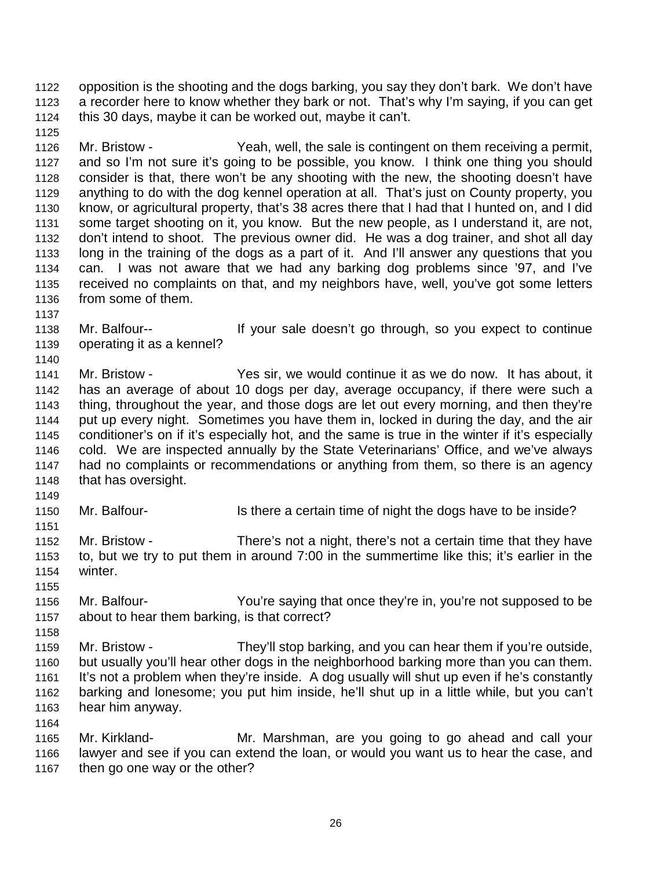1122 opposition is the shooting and the dogs barking, you say they don't bark. We don't have 1123 a recorder here to know whether they bark or not. That's why I'm saying, if you can get 1124 this 30 days, maybe it can be worked out, maybe it can't.

1126 Mr. Bristow - Yeah, well, the sale is contingent on them receiving a permit, 1127 and so I'm not sure it's going to be possible, you know. I think one thing you should 1128 consider is that, there won't be any shooting with the new, the shooting doesn't have 1129 anything to do with the dog kennel operation at all. That's just on County property, you 1130 know, or agricultural property, that's 38 acres there that I had that I hunted on, and I did 1131 some target shooting on it, you know. But the new people, as I understand it, are not, 1132 don't intend to shoot. The previous owner did. He was a dog trainer, and shot all day 1133 long in the training of the dogs as a part of it. And I'll answer any questions that you 1134 can. I was not aware that we had any barking dog problems since '97, and I've 1135 received no complaints on that, and my neighbors have, well, you've got some letters 1136 from some of them.

1137

1140

1125

1138 Mr. Balfour-- If your sale doesn't go through, so you expect to continue 1139 operating it as a kennel?

1141 Mr. Bristow - Yes sir, we would continue it as we do now. It has about, it 1142 has an average of about 10 dogs per day, average occupancy, if there were such a 1143 thing, throughout the year, and those dogs are let out every morning, and then they're 1144 put up every night. Sometimes you have them in, locked in during the day, and the air 1145 conditioner's on if it's especially hot, and the same is true in the winter if it's especially 1146 cold. We are inspected annually by the State Veterinarians' Office, and we've always 1147 had no complaints or recommendations or anything from them, so there is an agency 1148 that has oversight.

1149

1151

1155

1164

1150 Mr. Balfour- Is there a certain time of night the dogs have to be inside?

1152 Mr. Bristow - There's not a night, there's not a certain time that they have 1153 to, but we try to put them in around 7:00 in the summertime like this; it's earlier in the 1154 winter.

1156 Mr. Balfour- You're saying that once they're in, you're not supposed to be 1157 about to hear them barking, is that correct?

1158 1159 Mr. Bristow - They'll stop barking, and you can hear them if you're outside, 1160 but usually you'll hear other dogs in the neighborhood barking more than you can them. 1161 It's not a problem when they're inside. A dog usually will shut up even if he's constantly 1162 barking and lonesome; you put him inside, he'll shut up in a little while, but you can't 1163 hear him anyway.

1165 Mr. Kirkland- Mr. Marshman, are you going to go ahead and call your 1166 lawyer and see if you can extend the loan, or would you want us to hear the case, and 1167 then go one way or the other?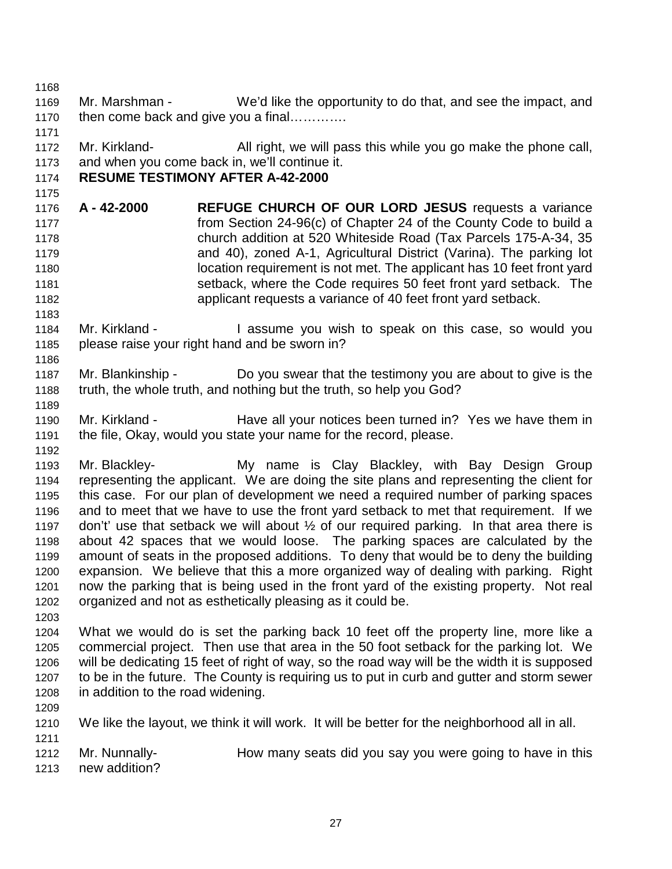1168 1169 Mr. Marshman - We'd like the opportunity to do that, and see the impact, and 1170 then come back and give you a final………….

1172 Mr. Kirkland- All right, we will pass this while you go make the phone call, 1173 and when you come back in, we'll continue it.

## 1174 **RESUME TESTIMONY AFTER A-42-2000**

- 1176 **A 42-2000 REFUGE CHURCH OF OUR LORD JESUS** requests a variance 1177 from Section 24-96(c) of Chapter 24 of the County Code to build a 1178 church addition at 520 Whiteside Road (Tax Parcels 175-A-34, 35 1179 and 40), zoned A-1, Agricultural District (Varina). The parking lot 1180 location requirement is not met. The applicant has 10 feet front yard 1181 setback, where the Code requires 50 feet front yard setback. The 1182 applicant requests a variance of 40 feet front yard setback.
- 1184 Mr. Kirkland I assume you wish to speak on this case, so would you 1185 please raise your right hand and be sworn in?
- 1187 Mr. Blankinship Do you swear that the testimony you are about to give is the 1188 truth, the whole truth, and nothing but the truth, so help you God?
- 1190 Mr. Kirkland Have all your notices been turned in? Yes we have them in 1191 the file, Okay, would you state your name for the record, please.

1193 Mr. Blackley- My name is Clay Blackley, with Bay Design Group 1194 representing the applicant. We are doing the site plans and representing the client for 1195 this case. For our plan of development we need a required number of parking spaces 1196 and to meet that we have to use the front yard setback to met that requirement. If we 1197 don't' use that setback we will about  $\frac{1}{2}$  of our required parking. In that area there is 1198 about 42 spaces that we would loose. The parking spaces are calculated by the 1199 amount of seats in the proposed additions. To deny that would be to deny the building 1200 expansion. We believe that this a more organized way of dealing with parking. Right 1201 now the parking that is being used in the front yard of the existing property. Not real 1202 organized and not as esthetically pleasing as it could be.

1203

1171

1175

1183

1186

1189

1192

- 1204 What we would do is set the parking back 10 feet off the property line, more like a 1205 commercial project. Then use that area in the 50 foot setback for the parking lot. We 1206 will be dedicating 15 feet of right of way, so the road way will be the width it is supposed 1207 to be in the future. The County is requiring us to put in curb and gutter and storm sewer 1208 in addition to the road widening.
- 1209
- 1210 We like the layout, we think it will work. It will be better for the neighborhood all in all. 1211

1212 Mr. Nunnally- How many seats did you say you were going to have in this

1213 new addition?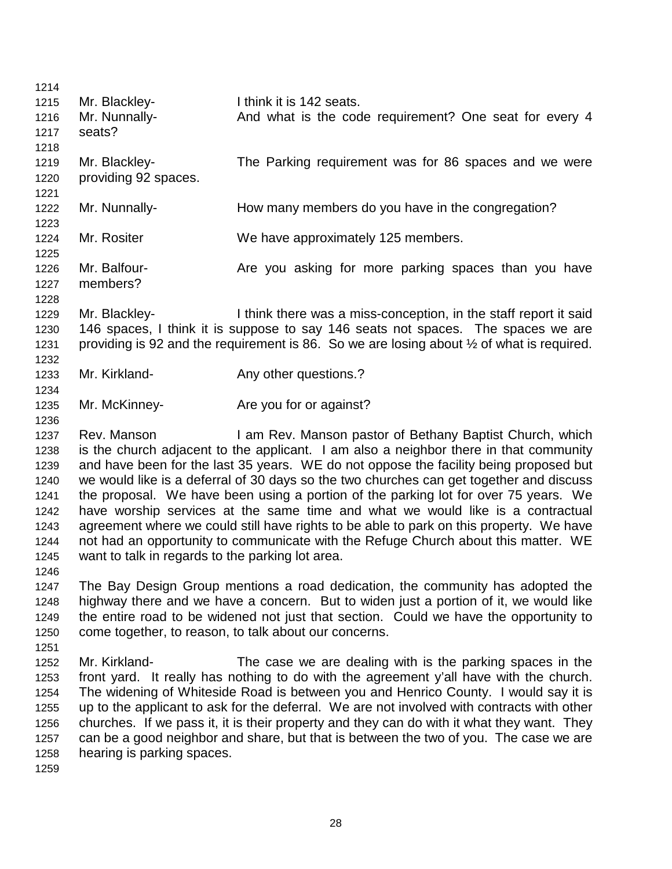| 1214 |                                                  |                                                                                                      |
|------|--------------------------------------------------|------------------------------------------------------------------------------------------------------|
| 1215 | Mr. Blackley-                                    | I think it is 142 seats.                                                                             |
| 1216 | Mr. Nunnally-                                    | And what is the code requirement? One seat for every 4                                               |
| 1217 | seats?                                           |                                                                                                      |
| 1218 |                                                  |                                                                                                      |
| 1219 | Mr. Blackley-                                    | The Parking requirement was for 86 spaces and we were                                                |
| 1220 | providing 92 spaces.                             |                                                                                                      |
| 1221 |                                                  |                                                                                                      |
| 1222 | Mr. Nunnally-                                    | How many members do you have in the congregation?                                                    |
| 1223 |                                                  |                                                                                                      |
|      | Mr. Rositer                                      |                                                                                                      |
| 1224 |                                                  | We have approximately 125 members.                                                                   |
| 1225 |                                                  |                                                                                                      |
| 1226 | Mr. Balfour-                                     | Are you asking for more parking spaces than you have                                                 |
| 1227 | members?                                         |                                                                                                      |
| 1228 |                                                  |                                                                                                      |
| 1229 | Mr. Blackley-                                    | I think there was a miss-conception, in the staff report it said                                     |
| 1230 |                                                  | 146 spaces, I think it is suppose to say 146 seats not spaces. The spaces we are                     |
| 1231 |                                                  | providing is 92 and the requirement is 86. So we are losing about $\frac{1}{2}$ of what is required. |
| 1232 |                                                  |                                                                                                      |
| 1233 | Mr. Kirkland-                                    | Any other questions.?                                                                                |
| 1234 |                                                  |                                                                                                      |
| 1235 | Mr. McKinney-                                    | Are you for or against?                                                                              |
| 1236 |                                                  |                                                                                                      |
| 1237 | Rev. Manson                                      | I am Rev. Manson pastor of Bethany Baptist Church, which                                             |
| 1238 |                                                  | is the church adjacent to the applicant. I am also a neighbor there in that community                |
| 1239 |                                                  | and have been for the last 35 years. WE do not oppose the facility being proposed but                |
| 1240 |                                                  | we would like is a deferral of 30 days so the two churches can get together and discuss              |
| 1241 |                                                  | the proposal. We have been using a portion of the parking lot for over 75 years. We                  |
| 1242 |                                                  | have worship services at the same time and what we would like is a contractual                       |
| 1243 |                                                  | agreement where we could still have rights to be able to park on this property. We have              |
|      |                                                  | not had an opportunity to communicate with the Refuge Church about this matter. WE                   |
| 1244 |                                                  |                                                                                                      |
| 1245 | want to talk in regards to the parking lot area. |                                                                                                      |
| 1246 |                                                  |                                                                                                      |
| 1247 |                                                  | The Bay Design Group mentions a road dedication, the community has adopted the                       |
| 1248 |                                                  | highway there and we have a concern. But to widen just a portion of it, we would like                |
| 1249 |                                                  | the entire road to be widened not just that section. Could we have the opportunity to                |
| 1250 |                                                  | come together, to reason, to talk about our concerns.                                                |
| 1251 |                                                  |                                                                                                      |
| 1252 | Mr. Kirkland-                                    | The case we are dealing with is the parking spaces in the                                            |
| 1253 |                                                  | front yard. It really has nothing to do with the agreement y'all have with the church.               |
| 1254 |                                                  | The widening of Whiteside Road is between you and Henrico County. I would say it is                  |
| 1255 |                                                  | up to the applicant to ask for the deferral. We are not involved with contracts with other           |
| 1256 |                                                  | churches. If we pass it, it is their property and they can do with it what they want. They           |
| 1257 |                                                  | can be a good neighbor and share, but that is between the two of you. The case we are                |
| 1258 | hearing is parking spaces.                       |                                                                                                      |
| 1259 |                                                  |                                                                                                      |
|      |                                                  |                                                                                                      |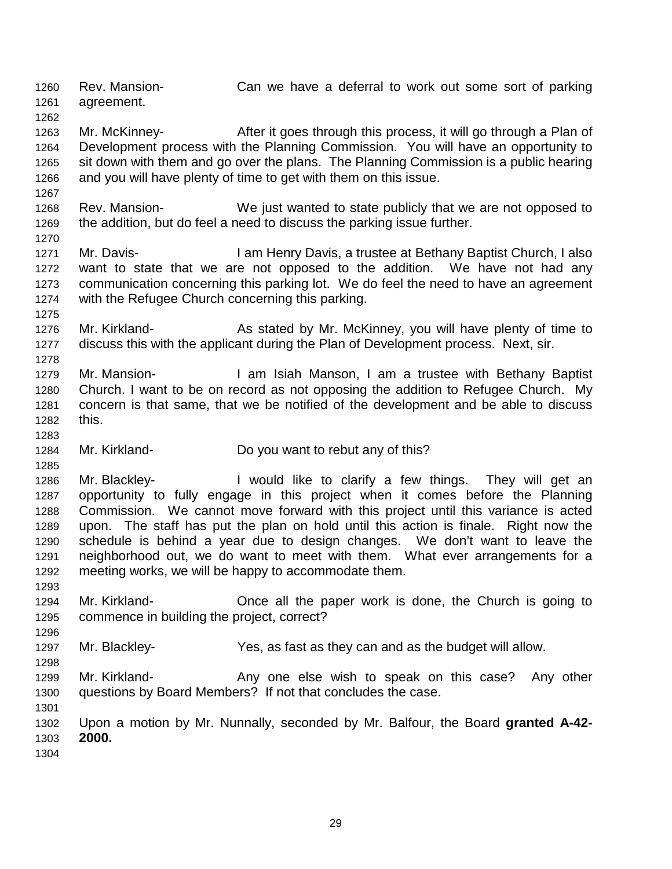1260 Rev. Mansion- Can we have a deferral to work out some sort of parking 1261 agreement. 1262

1263 Mr. McKinney- After it goes through this process, it will go through a Plan of 1264 Development process with the Planning Commission. You will have an opportunity to 1265 sit down with them and go over the plans. The Planning Commission is a public hearing 1266 and you will have plenty of time to get with them on this issue.

- 1268 Rev. Mansion- We just wanted to state publicly that we are not opposed to 1269 the addition, but do feel a need to discuss the parking issue further.
- 1271 Mr. Davis- I am Henry Davis, a trustee at Bethany Baptist Church, I also 1272 want to state that we are not opposed to the addition. We have not had any 1273 communication concerning this parking lot. We do feel the need to have an agreement 1274 with the Refugee Church concerning this parking.
- 1276 Mr. Kirkland- As stated by Mr. McKinney, you will have plenty of time to 1277 discuss this with the applicant during the Plan of Development process. Next, sir.
- 1279 Mr. Mansion- **I** am Isiah Manson, I am a trustee with Bethany Baptist 1280 Church. I want to be on record as not opposing the addition to Refugee Church. My 1281 concern is that same, that we be notified of the development and be able to discuss 1282 this.
- 1284 Mr. Kirkland- Do you want to rebut any of this?

1267

1270

1275

1278

1283

1285

1293

1296

1298

- 1286 Mr. Blackley- I would like to clarify a few things. They will get an 1287 opportunity to fully engage in this project when it comes before the Planning 1288 Commission. We cannot move forward with this project until this variance is acted 1289 upon. The staff has put the plan on hold until this action is finale. Right now the 1290 schedule is behind a year due to design changes. We don't want to leave the 1291 neighborhood out, we do want to meet with them. What ever arrangements for a 1292 meeting works, we will be happy to accommodate them.
- 1294 Mr. Kirkland- Once all the paper work is done, the Church is going to 1295 commence in building the project, correct?
- 1297 Mr. Blackley- Yes, as fast as they can and as the budget will allow.
- 1299 Mr. Kirkland- Any one else wish to speak on this case? Any other 1300 questions by Board Members? If not that concludes the case.
- 1302 Upon a motion by Mr. Nunnally, seconded by Mr. Balfour, the Board **granted A-42-** 1303 **2000.** 1304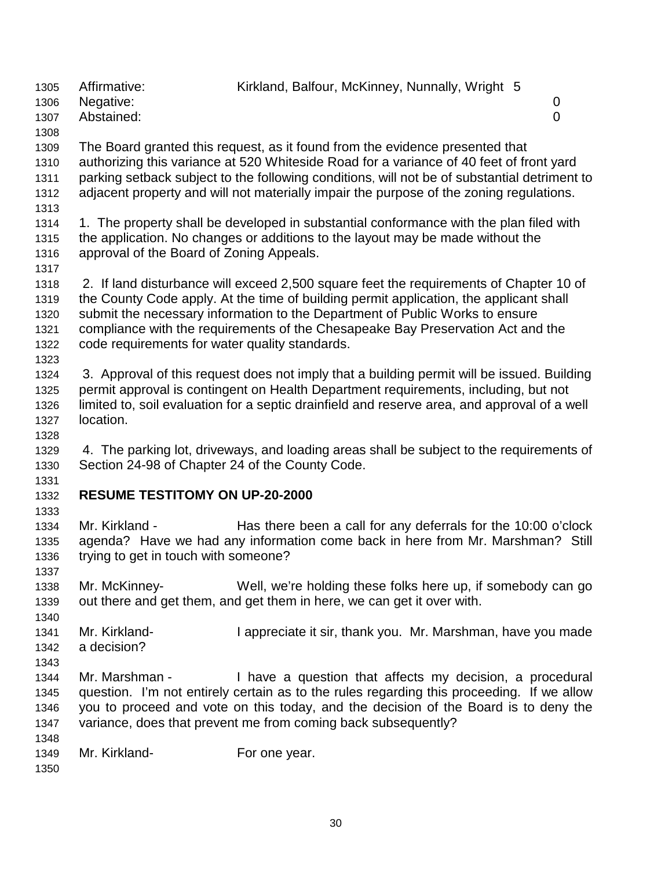1306 Negative: 0 1307 Abstained: 0 1308 1309 The Board granted this request, as it found from the evidence presented that 1310 authorizing this variance at 520 Whiteside Road for a variance of 40 feet of front yard 1311 parking setback subject to the following conditions, will not be of substantial detriment to 1312 adjacent property and will not materially impair the purpose of the zoning regulations. 1313 1314 1. The property shall be developed in substantial conformance with the plan filed with 1315 the application. No changes or additions to the layout may be made without the 1316 approval of the Board of Zoning Appeals. 1317 1318 2. If land disturbance will exceed 2,500 square feet the requirements of Chapter 10 of 1319 the County Code apply. At the time of building permit application, the applicant shall 1320 submit the necessary information to the Department of Public Works to ensure 1321 compliance with the requirements of the Chesapeake Bay Preservation Act and the 1322 code requirements for water quality standards. 1323 1324 3. Approval of this request does not imply that a building permit will be issued. Building 1325 permit approval is contingent on Health Department requirements, including, but not 1326 limited to, soil evaluation for a septic drainfield and reserve area, and approval of a well 1327 location. 1328 1329 4. The parking lot, driveways, and loading areas shall be subject to the requirements of 1330 Section 24-98 of Chapter 24 of the County Code. 1331 1332 **RESUME TESTITOMY ON UP-20-2000**  1333 1334 Mr. Kirkland - Has there been a call for any deferrals for the 10:00 o'clock 1335 agenda? Have we had any information come back in here from Mr. Marshman? Still 1336 trying to get in touch with someone? 1337 1338 Mr. McKinney- Well, we're holding these folks here up, if somebody can go 1339 out there and get them, and get them in here, we can get it over with. 1340 1341 Mr. Kirkland- I appreciate it sir, thank you. Mr. Marshman, have you made 1342 a decision? 1343 1344 Mr. Marshman - I have a question that affects my decision, a procedural 1345 question. I'm not entirely certain as to the rules regarding this proceeding. If we allow 1346 you to proceed and vote on this today, and the decision of the Board is to deny the 1347 variance, does that prevent me from coming back subsequently? 1348 1349 Mr. Kirkland- For one year. 1350

1305 Affirmative: Kirkland, Balfour, McKinney, Nunnally, Wright 5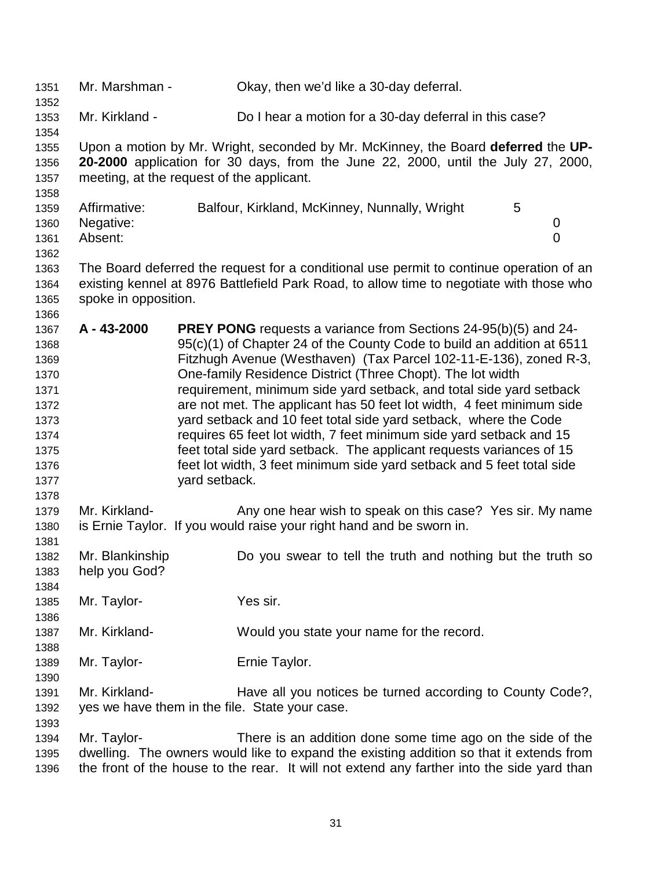| 1351<br>1352                                                                                 | Mr. Marshman -                            |               | Okay, then we'd like a 30-day deferral.                                                                                                                                                                                                                                                                                                                                                                                                                                                                                                                                                                                                                                                                                          |   |                     |
|----------------------------------------------------------------------------------------------|-------------------------------------------|---------------|----------------------------------------------------------------------------------------------------------------------------------------------------------------------------------------------------------------------------------------------------------------------------------------------------------------------------------------------------------------------------------------------------------------------------------------------------------------------------------------------------------------------------------------------------------------------------------------------------------------------------------------------------------------------------------------------------------------------------------|---|---------------------|
| 1353<br>1354                                                                                 | Mr. Kirkland -                            |               | Do I hear a motion for a 30-day deferral in this case?                                                                                                                                                                                                                                                                                                                                                                                                                                                                                                                                                                                                                                                                           |   |                     |
| 1355<br>1356<br>1357<br>1358                                                                 | meeting, at the request of the applicant. |               | Upon a motion by Mr. Wright, seconded by Mr. McKinney, the Board deferred the UP-<br>20-2000 application for 30 days, from the June 22, 2000, until the July 27, 2000,                                                                                                                                                                                                                                                                                                                                                                                                                                                                                                                                                           |   |                     |
| 1359<br>1360<br>1361<br>1362                                                                 | Affirmative:<br>Negative:<br>Absent:      |               | Balfour, Kirkland, McKinney, Nunnally, Wright                                                                                                                                                                                                                                                                                                                                                                                                                                                                                                                                                                                                                                                                                    | 5 | 0<br>$\overline{0}$ |
| 1363<br>1364<br>1365<br>1366                                                                 | spoke in opposition.                      |               | The Board deferred the request for a conditional use permit to continue operation of an<br>existing kennel at 8976 Battlefield Park Road, to allow time to negotiate with those who                                                                                                                                                                                                                                                                                                                                                                                                                                                                                                                                              |   |                     |
| 1367<br>1368<br>1369<br>1370<br>1371<br>1372<br>1373<br>1374<br>1375<br>1376<br>1377<br>1378 | A - 43-2000                               | yard setback. | <b>PREY PONG</b> requests a variance from Sections 24-95(b)(5) and 24-<br>95(c)(1) of Chapter 24 of the County Code to build an addition at 6511<br>Fitzhugh Avenue (Westhaven) (Tax Parcel 102-11-E-136), zoned R-3,<br>One-family Residence District (Three Chopt). The lot width<br>requirement, minimum side yard setback, and total side yard setback<br>are not met. The applicant has 50 feet lot width, 4 feet minimum side<br>yard setback and 10 feet total side yard setback, where the Code<br>requires 65 feet lot width, 7 feet minimum side yard setback and 15<br>feet total side yard setback. The applicant requests variances of 15<br>feet lot width, 3 feet minimum side yard setback and 5 feet total side |   |                     |
| 1379<br>1380<br>1381                                                                         | Mr. Kirkland-                             |               | Any one hear wish to speak on this case? Yes sir. My name<br>is Ernie Taylor. If you would raise your right hand and be sworn in.                                                                                                                                                                                                                                                                                                                                                                                                                                                                                                                                                                                                |   |                     |
| 1382<br>1383<br>1384                                                                         | Mr. Blankinship<br>help you God?          |               | Do you swear to tell the truth and nothing but the truth so                                                                                                                                                                                                                                                                                                                                                                                                                                                                                                                                                                                                                                                                      |   |                     |
| 1385<br>1386                                                                                 | Mr. Taylor-                               |               | Yes sir.                                                                                                                                                                                                                                                                                                                                                                                                                                                                                                                                                                                                                                                                                                                         |   |                     |
| 1387<br>1388                                                                                 | Mr. Kirkland-                             |               | Would you state your name for the record.                                                                                                                                                                                                                                                                                                                                                                                                                                                                                                                                                                                                                                                                                        |   |                     |
| 1389<br>1390                                                                                 | Mr. Taylor-                               |               | Ernie Taylor.                                                                                                                                                                                                                                                                                                                                                                                                                                                                                                                                                                                                                                                                                                                    |   |                     |
| 1391<br>1392<br>1393                                                                         | Mr. Kirkland-                             |               | Have all you notices be turned according to County Code?,<br>yes we have them in the file. State your case.                                                                                                                                                                                                                                                                                                                                                                                                                                                                                                                                                                                                                      |   |                     |
| 1394<br>1395<br>1396                                                                         | Mr. Taylor-                               |               | There is an addition done some time ago on the side of the<br>dwelling. The owners would like to expand the existing addition so that it extends from<br>the front of the house to the rear. It will not extend any farther into the side yard than                                                                                                                                                                                                                                                                                                                                                                                                                                                                              |   |                     |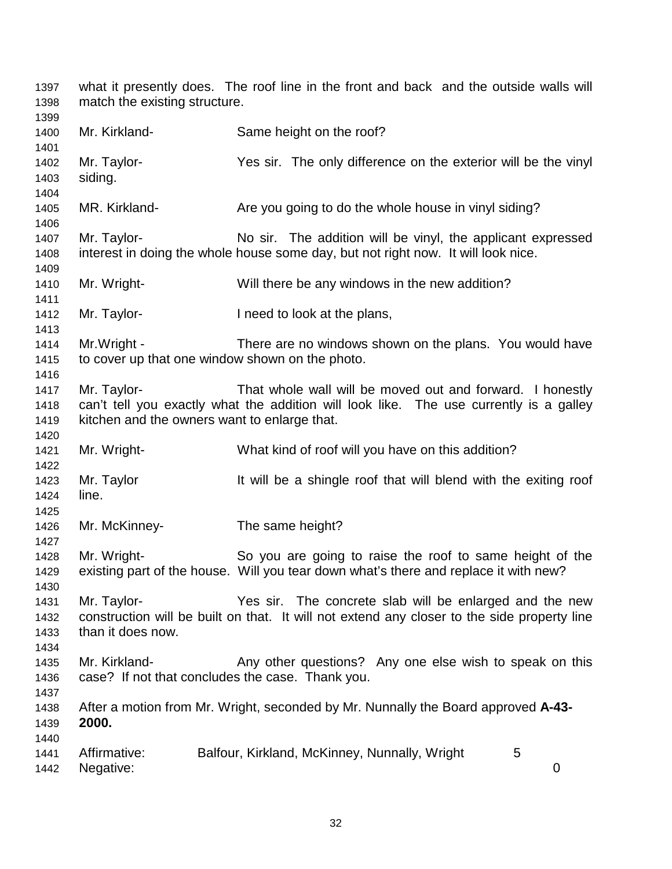| 1397<br>1398                 | match the existing structure.                               | what it presently does. The roof line in the front and back and the outside walls will                                                                 |
|------------------------------|-------------------------------------------------------------|--------------------------------------------------------------------------------------------------------------------------------------------------------|
| 1399<br>1400<br>1401         | Mr. Kirkland-                                               | Same height on the roof?                                                                                                                               |
| 1402<br>1403<br>1404         | Mr. Taylor-<br>siding.                                      | Yes sir. The only difference on the exterior will be the vinyl                                                                                         |
| 1405<br>1406                 | MR. Kirkland-                                               | Are you going to do the whole house in vinyl siding?                                                                                                   |
| 1407<br>1408<br>1409         | Mr. Taylor-                                                 | No sir. The addition will be vinyl, the applicant expressed<br>interest in doing the whole house some day, but not right now. It will look nice.       |
| 1410<br>1411                 | Mr. Wright-                                                 | Will there be any windows in the new addition?                                                                                                         |
| 1412<br>1413                 | Mr. Taylor-                                                 | I need to look at the plans,                                                                                                                           |
| 1414<br>1415<br>1416         | Mr. Wright -                                                | There are no windows shown on the plans. You would have<br>to cover up that one window shown on the photo.                                             |
| 1417<br>1418<br>1419<br>1420 | Mr. Taylor-<br>kitchen and the owners want to enlarge that. | That whole wall will be moved out and forward. I honestly<br>can't tell you exactly what the addition will look like. The use currently is a galley    |
| 1421<br>1422                 | Mr. Wright-                                                 | What kind of roof will you have on this addition?                                                                                                      |
| 1423<br>1424<br>1425         | Mr. Taylor<br>line.                                         | It will be a shingle roof that will blend with the exiting roof                                                                                        |
| 1426<br>1427                 | Mr. McKinney-                                               | The same height?                                                                                                                                       |
| 1428<br>1429<br>1430         | Mr. Wright-                                                 | So you are going to raise the roof to same height of the<br>existing part of the house. Will you tear down what's there and replace it with new?       |
| 1431<br>1432<br>1433<br>1434 | Mr. Taylor-<br>than it does now.                            | Yes sir. The concrete slab will be enlarged and the new<br>construction will be built on that. It will not extend any closer to the side property line |
| 1435<br>1436<br>1437         | Mr. Kirkland-                                               | Any other questions? Any one else wish to speak on this<br>case? If not that concludes the case. Thank you.                                            |
| 1438<br>1439<br>1440         | 2000.                                                       | After a motion from Mr. Wright, seconded by Mr. Nunnally the Board approved A-43-                                                                      |
| 1441<br>1442                 | Affirmative:<br>Negative:                                   | Balfour, Kirkland, McKinney, Nunnally, Wright<br>5<br>$\mathbf 0$                                                                                      |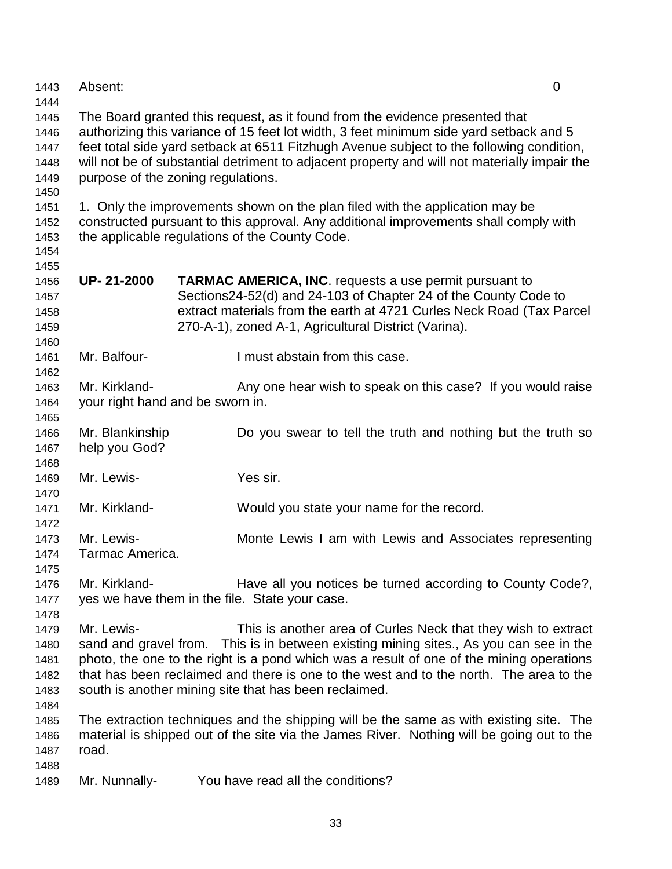| 1443                 | Absent:                                                                                      |                                                                                                                                                                        | $\overline{0}$ |  |
|----------------------|----------------------------------------------------------------------------------------------|------------------------------------------------------------------------------------------------------------------------------------------------------------------------|----------------|--|
| 1444<br>1445<br>1446 |                                                                                              | The Board granted this request, as it found from the evidence presented that<br>authorizing this variance of 15 feet lot width, 3 feet minimum side yard setback and 5 |                |  |
| 1447                 | feet total side yard setback at 6511 Fitzhugh Avenue subject to the following condition,     |                                                                                                                                                                        |                |  |
| 1448                 | will not be of substantial detriment to adjacent property and will not materially impair the |                                                                                                                                                                        |                |  |
| 1449                 |                                                                                              | purpose of the zoning regulations.                                                                                                                                     |                |  |
| 1450                 |                                                                                              |                                                                                                                                                                        |                |  |
| 1451                 |                                                                                              | 1. Only the improvements shown on the plan filed with the application may be                                                                                           |                |  |
| 1452                 |                                                                                              | constructed pursuant to this approval. Any additional improvements shall comply with<br>the applicable regulations of the County Code.                                 |                |  |
| 1453<br>1454         |                                                                                              |                                                                                                                                                                        |                |  |
| 1455                 |                                                                                              |                                                                                                                                                                        |                |  |
| 1456                 | <b>UP-21-2000</b>                                                                            | <b>TARMAC AMERICA, INC.</b> requests a use permit pursuant to                                                                                                          |                |  |
| 1457                 |                                                                                              | Sections24-52(d) and 24-103 of Chapter 24 of the County Code to                                                                                                        |                |  |
| 1458                 |                                                                                              | extract materials from the earth at 4721 Curles Neck Road (Tax Parcel                                                                                                  |                |  |
| 1459                 |                                                                                              | 270-A-1), zoned A-1, Agricultural District (Varina).                                                                                                                   |                |  |
| 1460                 |                                                                                              |                                                                                                                                                                        |                |  |
| 1461                 | Mr. Balfour-                                                                                 | I must abstain from this case.                                                                                                                                         |                |  |
| 1462                 |                                                                                              |                                                                                                                                                                        |                |  |
| 1463                 | Mr. Kirkland-                                                                                | Any one hear wish to speak on this case? If you would raise                                                                                                            |                |  |
| 1464                 |                                                                                              | your right hand and be sworn in.                                                                                                                                       |                |  |
| 1465<br>1466         | Mr. Blankinship                                                                              | Do you swear to tell the truth and nothing but the truth so                                                                                                            |                |  |
| 1467                 | help you God?                                                                                |                                                                                                                                                                        |                |  |
| 1468                 |                                                                                              |                                                                                                                                                                        |                |  |
| 1469                 | Mr. Lewis-                                                                                   | Yes sir.                                                                                                                                                               |                |  |
| 1470                 |                                                                                              |                                                                                                                                                                        |                |  |
| 1471                 | Mr. Kirkland-                                                                                | Would you state your name for the record.                                                                                                                              |                |  |
| 1472                 |                                                                                              |                                                                                                                                                                        |                |  |
| 1473                 | Mr. Lewis-                                                                                   | Monte Lewis I am with Lewis and Associates representing                                                                                                                |                |  |
| 1474                 | Tarmac America.                                                                              |                                                                                                                                                                        |                |  |
| 1475                 |                                                                                              |                                                                                                                                                                        |                |  |
| 1476                 | Mr. Kirkland-                                                                                | Have all you notices be turned according to County Code?,                                                                                                              |                |  |
| 1477<br>1478         |                                                                                              | yes we have them in the file. State your case.                                                                                                                         |                |  |
| 1479                 | Mr. Lewis-                                                                                   | This is another area of Curles Neck that they wish to extract                                                                                                          |                |  |
| 1480                 |                                                                                              | sand and gravel from. This is in between existing mining sites., As you can see in the                                                                                 |                |  |
| 1481                 |                                                                                              | photo, the one to the right is a pond which was a result of one of the mining operations                                                                               |                |  |
| 1482                 |                                                                                              | that has been reclaimed and there is one to the west and to the north. The area to the                                                                                 |                |  |
| 1483                 |                                                                                              | south is another mining site that has been reclaimed.                                                                                                                  |                |  |
| 1484                 |                                                                                              |                                                                                                                                                                        |                |  |
| 1485                 |                                                                                              | The extraction techniques and the shipping will be the same as with existing site. The                                                                                 |                |  |
| 1486                 |                                                                                              | material is shipped out of the site via the James River. Nothing will be going out to the                                                                              |                |  |
| 1487                 | road.                                                                                        |                                                                                                                                                                        |                |  |
| 1488                 |                                                                                              |                                                                                                                                                                        |                |  |
| 1489                 | Mr. Nunnally-                                                                                | You have read all the conditions?                                                                                                                                      |                |  |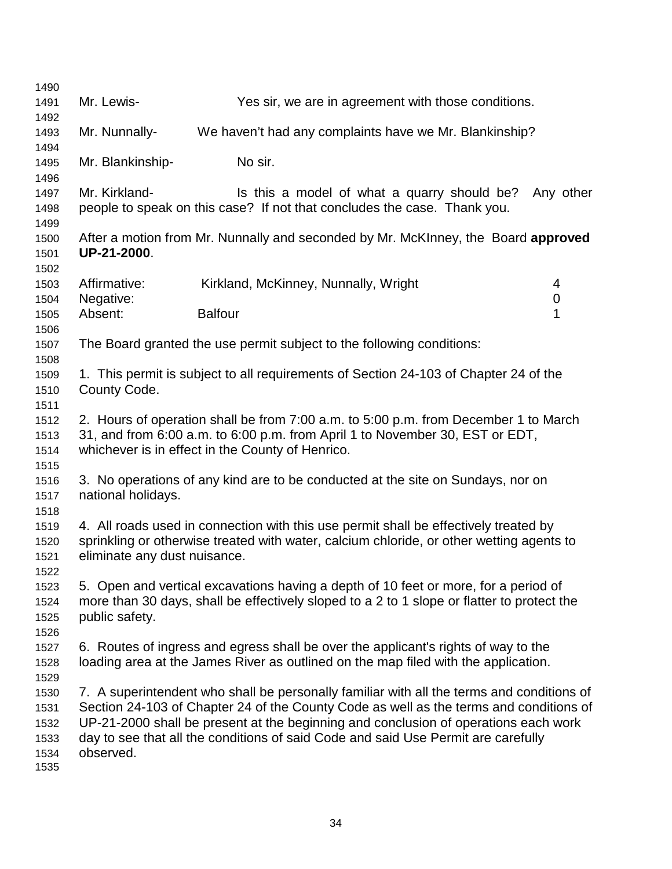| 1490         |                                                                                                       |                                                                                            |                  |
|--------------|-------------------------------------------------------------------------------------------------------|--------------------------------------------------------------------------------------------|------------------|
| 1491         | Mr. Lewis-                                                                                            | Yes sir, we are in agreement with those conditions.                                        |                  |
| 1492         |                                                                                                       |                                                                                            |                  |
| 1493         | Mr. Nunnally-                                                                                         | We haven't had any complaints have we Mr. Blankinship?                                     |                  |
| 1494         |                                                                                                       |                                                                                            |                  |
| 1495         | Mr. Blankinship-                                                                                      | No sir.                                                                                    |                  |
| 1496         |                                                                                                       |                                                                                            |                  |
| 1497         | Mr. Kirkland-                                                                                         | Is this a model of what a quarry should be?                                                | Any other        |
| 1498         |                                                                                                       | people to speak on this case? If not that concludes the case. Thank you.                   |                  |
| 1499         |                                                                                                       |                                                                                            |                  |
| 1500         |                                                                                                       | After a motion from Mr. Nunnally and seconded by Mr. McKInney, the Board approved          |                  |
| 1501         | UP-21-2000.                                                                                           |                                                                                            |                  |
| 1502         |                                                                                                       |                                                                                            |                  |
| 1503         | Affirmative:                                                                                          | Kirkland, McKinney, Nunnally, Wright                                                       | 4                |
| 1504         | Negative:                                                                                             |                                                                                            | $\boldsymbol{0}$ |
| 1505         | Absent:                                                                                               | <b>Balfour</b>                                                                             | 1                |
| 1506         |                                                                                                       |                                                                                            |                  |
| 1507         |                                                                                                       | The Board granted the use permit subject to the following conditions:                      |                  |
| 1508         |                                                                                                       |                                                                                            |                  |
| 1509         |                                                                                                       | 1. This permit is subject to all requirements of Section 24-103 of Chapter 24 of the       |                  |
| 1510         | County Code.                                                                                          |                                                                                            |                  |
| 1511         |                                                                                                       |                                                                                            |                  |
| 1512         | 2. Hours of operation shall be from 7:00 a.m. to 5:00 p.m. from December 1 to March                   |                                                                                            |                  |
| 1513         | 31, and from 6:00 a.m. to 6:00 p.m. from April 1 to November 30, EST or EDT,                          |                                                                                            |                  |
| 1514         |                                                                                                       | whichever is in effect in the County of Henrico.                                           |                  |
| 1515         |                                                                                                       |                                                                                            |                  |
| 1516         | 3. No operations of any kind are to be conducted at the site on Sundays, nor on<br>national holidays. |                                                                                            |                  |
| 1517<br>1518 |                                                                                                       |                                                                                            |                  |
| 1519         |                                                                                                       | 4. All roads used in connection with this use permit shall be effectively treated by       |                  |
| 1520         |                                                                                                       | sprinkling or otherwise treated with water, calcium chloride, or other wetting agents to   |                  |
| 1521         | eliminate any dust nuisance.                                                                          |                                                                                            |                  |
| 1522         |                                                                                                       |                                                                                            |                  |
| 1523         |                                                                                                       | 5. Open and vertical excavations having a depth of 10 feet or more, for a period of        |                  |
| 1524         |                                                                                                       | more than 30 days, shall be effectively sloped to a 2 to 1 slope or flatter to protect the |                  |
| 1525         | public safety.                                                                                        |                                                                                            |                  |
| 1526         |                                                                                                       |                                                                                            |                  |
| 1527         |                                                                                                       | 6. Routes of ingress and egress shall be over the applicant's rights of way to the         |                  |
| 1528         |                                                                                                       | loading area at the James River as outlined on the map filed with the application.         |                  |
| 1529         |                                                                                                       |                                                                                            |                  |
| 1530         |                                                                                                       | 7. A superintendent who shall be personally familiar with all the terms and conditions of  |                  |
| 1531         |                                                                                                       | Section 24-103 of Chapter 24 of the County Code as well as the terms and conditions of     |                  |
| 1532         |                                                                                                       | UP-21-2000 shall be present at the beginning and conclusion of operations each work        |                  |
| 1533         |                                                                                                       | day to see that all the conditions of said Code and said Use Permit are carefully          |                  |
| 1534         | observed.                                                                                             |                                                                                            |                  |
| 1535         |                                                                                                       |                                                                                            |                  |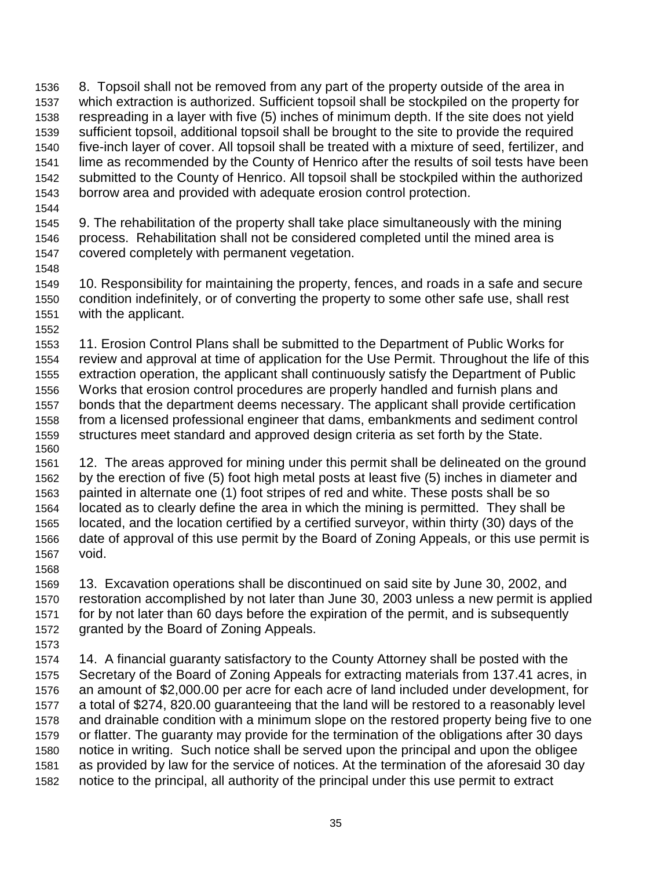1536 8. Topsoil shall not be removed from any part of the property outside of the area in 1537 which extraction is authorized. Sufficient topsoil shall be stockpiled on the property for 1538 respreading in a layer with five (5) inches of minimum depth. If the site does not yield 1539 sufficient topsoil, additional topsoil shall be brought to the site to provide the required 1540 five-inch layer of cover. All topsoil shall be treated with a mixture of seed, fertilizer, and 1541 lime as recommended by the County of Henrico after the results of soil tests have been 1542 submitted to the County of Henrico. All topsoil shall be stockpiled within the authorized 1543 borrow area and provided with adequate erosion control protection.

1544

1545 9. The rehabilitation of the property shall take place simultaneously with the mining 1546 process. Rehabilitation shall not be considered completed until the mined area is 1547 covered completely with permanent vegetation.

- 1549 10. Responsibility for maintaining the property, fences, and roads in a safe and secure 1550 condition indefinitely, or of converting the property to some other safe use, shall rest 1551 with the applicant.
- 1552

1548

1553 11. Erosion Control Plans shall be submitted to the Department of Public Works for 1554 review and approval at time of application for the Use Permit. Throughout the life of this 1555 extraction operation, the applicant shall continuously satisfy the Department of Public 1556 Works that erosion control procedures are properly handled and furnish plans and 1557 bonds that the department deems necessary. The applicant shall provide certification 1558 from a licensed professional engineer that dams, embankments and sediment control 1559 structures meet standard and approved design criteria as set forth by the State. 1560

1561 12. The areas approved for mining under this permit shall be delineated on the ground 1562 by the erection of five (5) foot high metal posts at least five (5) inches in diameter and 1563 painted in alternate one (1) foot stripes of red and white. These posts shall be so 1564 located as to clearly define the area in which the mining is permitted. They shall be 1565 located, and the location certified by a certified surveyor, within thirty (30) days of the 1566 date of approval of this use permit by the Board of Zoning Appeals, or this use permit is 1567 void. 1568

1569 13. Excavation operations shall be discontinued on said site by June 30, 2002, and 1570 restoration accomplished by not later than June 30, 2003 unless a new permit is applied 1571 for by not later than 60 days before the expiration of the permit, and is subsequently 1572 granted by the Board of Zoning Appeals.

1573

1574 14. A financial guaranty satisfactory to the County Attorney shall be posted with the 1575 Secretary of the Board of Zoning Appeals for extracting materials from 137.41 acres, in 1576 an amount of \$2,000.00 per acre for each acre of land included under development, for 1577 a total of \$274, 820.00 guaranteeing that the land will be restored to a reasonably level 1578 and drainable condition with a minimum slope on the restored property being five to one 1579 or flatter. The guaranty may provide for the termination of the obligations after 30 days 1580 notice in writing. Such notice shall be served upon the principal and upon the obligee 1581 as provided by law for the service of notices. At the termination of the aforesaid 30 day 1582 notice to the principal, all authority of the principal under this use permit to extract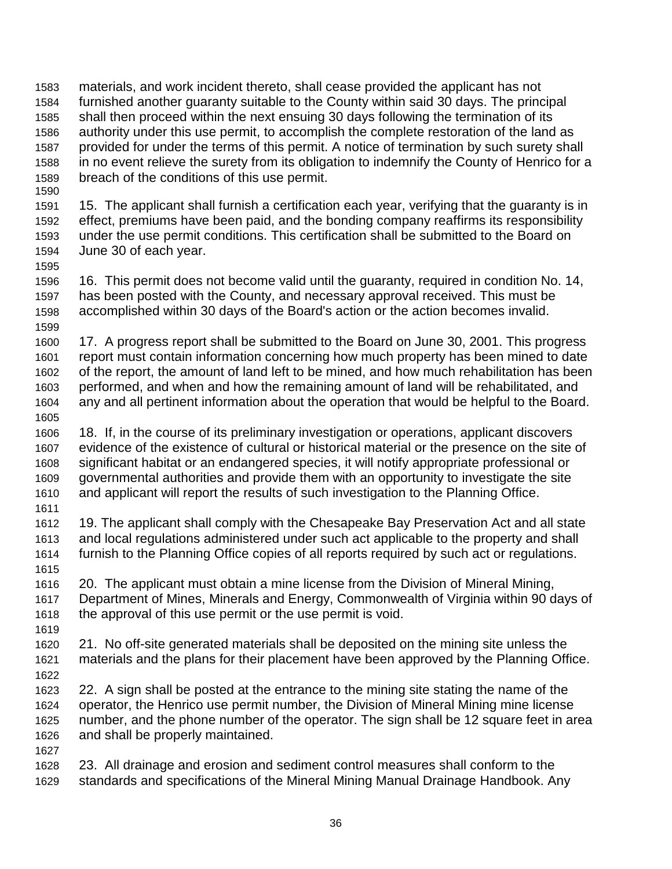1583 materials, and work incident thereto, shall cease provided the applicant has not 1584 furnished another guaranty suitable to the County within said 30 days. The principal 1585 shall then proceed within the next ensuing 30 days following the termination of its 1586 authority under this use permit, to accomplish the complete restoration of the land as 1587 provided for under the terms of this permit. A notice of termination by such surety shall 1588 in no event relieve the surety from its obligation to indemnify the County of Henrico for a 1589 breach of the conditions of this use permit. 1590

1591 15. The applicant shall furnish a certification each year, verifying that the guaranty is in 1592 effect, premiums have been paid, and the bonding company reaffirms its responsibility 1593 under the use permit conditions. This certification shall be submitted to the Board on 1594 June 30 of each year.

1596 16. This permit does not become valid until the guaranty, required in condition No. 14, 1597 has been posted with the County, and necessary approval received. This must be 1598 accomplished within 30 days of the Board's action or the action becomes invalid. 1599

1600 17. A progress report shall be submitted to the Board on June 30, 2001. This progress 1601 report must contain information concerning how much property has been mined to date 1602 of the report, the amount of land left to be mined, and how much rehabilitation has been 1603 performed, and when and how the remaining amount of land will be rehabilitated, and 1604 any and all pertinent information about the operation that would be helpful to the Board. 1605

1606 18. If, in the course of its preliminary investigation or operations, applicant discovers 1607 evidence of the existence of cultural or historical material or the presence on the site of 1608 significant habitat or an endangered species, it will notify appropriate professional or 1609 governmental authorities and provide them with an opportunity to investigate the site 1610 and applicant will report the results of such investigation to the Planning Office.

1611

1595

1612 19. The applicant shall comply with the Chesapeake Bay Preservation Act and all state 1613 and local regulations administered under such act applicable to the property and shall 1614 furnish to the Planning Office copies of all reports required by such act or regulations. 1615

- 1616 20. The applicant must obtain a mine license from the Division of Mineral Mining, 1617 Department of Mines, Minerals and Energy, Commonwealth of Virginia within 90 days of 1618 the approval of this use permit or the use permit is void.
- 1619 1620 21. No off-site generated materials shall be deposited on the mining site unless the 1621 materials and the plans for their placement have been approved by the Planning Office. 1622
- 1623 22. A sign shall be posted at the entrance to the mining site stating the name of the 1624 operator, the Henrico use permit number, the Division of Mineral Mining mine license 1625 number, and the phone number of the operator. The sign shall be 12 square feet in area 1626 and shall be properly maintained.
- 1627
- 1628 23. All drainage and erosion and sediment control measures shall conform to the 1629 standards and specifications of the Mineral Mining Manual Drainage Handbook. Any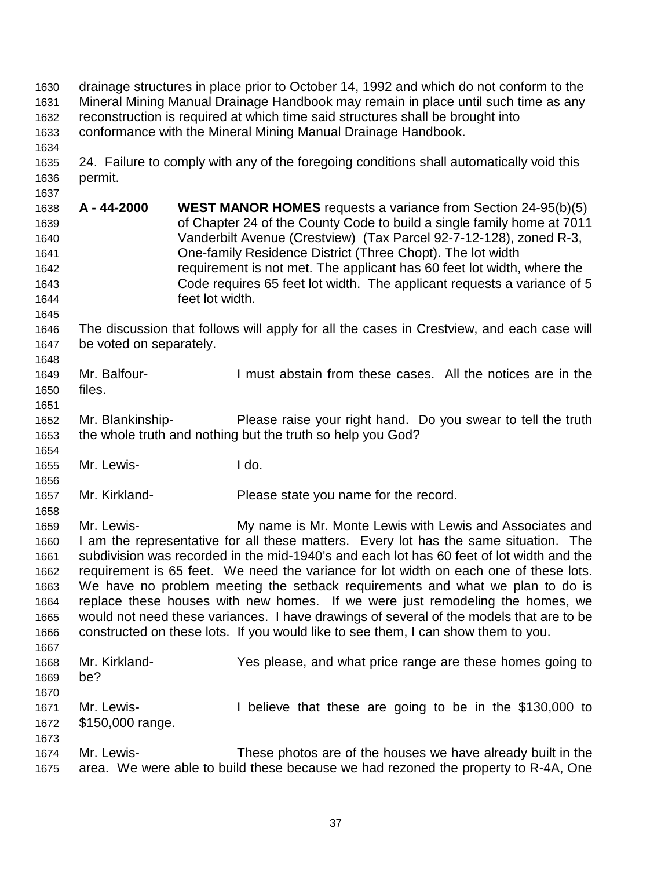| 1630<br>1631<br>1632<br>1633 | drainage structures in place prior to October 14, 1992 and which do not conform to the<br>Mineral Mining Manual Drainage Handbook may remain in place until such time as any<br>reconstruction is required at which time said structures shall be brought into<br>conformance with the Mineral Mining Manual Drainage Handbook. |                                                                                           |  |
|------------------------------|---------------------------------------------------------------------------------------------------------------------------------------------------------------------------------------------------------------------------------------------------------------------------------------------------------------------------------|-------------------------------------------------------------------------------------------|--|
| 1634<br>1635                 |                                                                                                                                                                                                                                                                                                                                 | 24. Failure to comply with any of the foregoing conditions shall automatically void this  |  |
| 1636                         | permit.                                                                                                                                                                                                                                                                                                                         |                                                                                           |  |
| 1637<br>1638                 | A - 44-2000                                                                                                                                                                                                                                                                                                                     | <b>WEST MANOR HOMES</b> requests a variance from Section 24-95(b)(5)                      |  |
| 1639                         |                                                                                                                                                                                                                                                                                                                                 | of Chapter 24 of the County Code to build a single family home at 7011                    |  |
| 1640                         |                                                                                                                                                                                                                                                                                                                                 | Vanderbilt Avenue (Crestview) (Tax Parcel 92-7-12-128), zoned R-3,                        |  |
| 1641                         |                                                                                                                                                                                                                                                                                                                                 | One-family Residence District (Three Chopt). The lot width                                |  |
| 1642                         |                                                                                                                                                                                                                                                                                                                                 | requirement is not met. The applicant has 60 feet lot width, where the                    |  |
| 1643                         |                                                                                                                                                                                                                                                                                                                                 | Code requires 65 feet lot width. The applicant requests a variance of 5                   |  |
| 1644                         |                                                                                                                                                                                                                                                                                                                                 | feet lot width.                                                                           |  |
| 1645                         |                                                                                                                                                                                                                                                                                                                                 |                                                                                           |  |
| 1646                         |                                                                                                                                                                                                                                                                                                                                 | The discussion that follows will apply for all the cases in Crestview, and each case will |  |
| 1647                         | be voted on separately.                                                                                                                                                                                                                                                                                                         |                                                                                           |  |
| 1648                         |                                                                                                                                                                                                                                                                                                                                 |                                                                                           |  |
| 1649                         | Mr. Balfour-                                                                                                                                                                                                                                                                                                                    | I must abstain from these cases. All the notices are in the                               |  |
| 1650                         | files.                                                                                                                                                                                                                                                                                                                          |                                                                                           |  |
| 1651                         |                                                                                                                                                                                                                                                                                                                                 |                                                                                           |  |
| 1652                         | Mr. Blankinship-                                                                                                                                                                                                                                                                                                                | Please raise your right hand. Do you swear to tell the truth                              |  |
| 1653                         |                                                                                                                                                                                                                                                                                                                                 | the whole truth and nothing but the truth so help you God?                                |  |
| 1654                         |                                                                                                                                                                                                                                                                                                                                 |                                                                                           |  |
| 1655                         | Mr. Lewis-                                                                                                                                                                                                                                                                                                                      | I do.                                                                                     |  |
| 1656                         |                                                                                                                                                                                                                                                                                                                                 |                                                                                           |  |
| 1657                         | Mr. Kirkland-                                                                                                                                                                                                                                                                                                                   | Please state you name for the record.                                                     |  |
| 1658                         |                                                                                                                                                                                                                                                                                                                                 |                                                                                           |  |
| 1659                         | Mr. Lewis-                                                                                                                                                                                                                                                                                                                      | My name is Mr. Monte Lewis with Lewis and Associates and                                  |  |
| 1660                         |                                                                                                                                                                                                                                                                                                                                 | I am the representative for all these matters. Every lot has the same situation. The      |  |
| 1661                         |                                                                                                                                                                                                                                                                                                                                 | subdivision was recorded in the mid-1940's and each lot has 60 feet of lot width and the  |  |
| 1662                         |                                                                                                                                                                                                                                                                                                                                 | requirement is 65 feet. We need the variance for lot width on each one of these lots.     |  |
| 1663                         |                                                                                                                                                                                                                                                                                                                                 | We have no problem meeting the setback requirements and what we plan to do is             |  |
| 1664                         |                                                                                                                                                                                                                                                                                                                                 | replace these houses with new homes. If we were just remodeling the homes, we             |  |
| 1665                         |                                                                                                                                                                                                                                                                                                                                 | would not need these variances. I have drawings of several of the models that are to be   |  |
| 1666                         |                                                                                                                                                                                                                                                                                                                                 | constructed on these lots. If you would like to see them, I can show them to you.         |  |
| 1667                         | Mr. Kirkland-                                                                                                                                                                                                                                                                                                                   | Yes please, and what price range are these homes going to                                 |  |
| 1668<br>1669                 | be?                                                                                                                                                                                                                                                                                                                             |                                                                                           |  |
| 1670                         |                                                                                                                                                                                                                                                                                                                                 |                                                                                           |  |
| 1671                         | Mr. Lewis-                                                                                                                                                                                                                                                                                                                      | I believe that these are going to be in the \$130,000 to                                  |  |
| 1672                         | \$150,000 range.                                                                                                                                                                                                                                                                                                                |                                                                                           |  |
| 1673                         |                                                                                                                                                                                                                                                                                                                                 |                                                                                           |  |
| 1674                         | Mr. Lewis-                                                                                                                                                                                                                                                                                                                      | These photos are of the houses we have already built in the                               |  |
| 1675                         |                                                                                                                                                                                                                                                                                                                                 | area. We were able to build these because we had rezoned the property to R-4A, One        |  |
|                              |                                                                                                                                                                                                                                                                                                                                 |                                                                                           |  |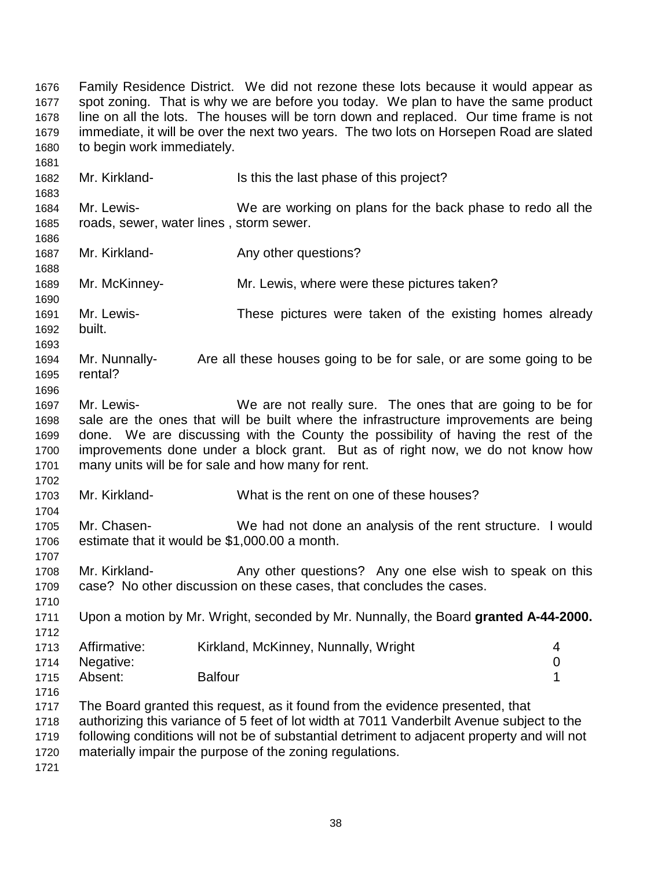1676 Family Residence District. We did not rezone these lots because it would appear as 1677 spot zoning. That is why we are before you today. We plan to have the same product 1678 line on all the lots. The houses will be torn down and replaced. Our time frame is not 1679 immediate, it will be over the next two years. The two lots on Horsepen Road are slated 1680 to begin work immediately. 1681 1682 Mr. Kirkland- Is this the last phase of this project? 1683 1684 Mr. Lewis- We are working on plans for the back phase to redo all the 1685 roads, sewer, water lines , storm sewer. 1686 1687 Mr. Kirkland- **Any other questions?** 1688 1689 Mr. McKinney- Mr. Lewis, where were these pictures taken? 1690 1691 Mr. Lewis- These pictures were taken of the existing homes already 1692 built. 1693 1694 Mr. Nunnally- Are all these houses going to be for sale, or are some going to be 1695 rental? 1696 1697 Mr. Lewis- We are not really sure. The ones that are going to be for 1698 sale are the ones that will be built where the infrastructure improvements are being 1699 done. We are discussing with the County the possibility of having the rest of the 1700 improvements done under a block grant. But as of right now, we do not know how 1701 many units will be for sale and how many for rent. 1702 1703 Mr. Kirkland- What is the rent on one of these houses? 1704 1705 Mr. Chasen- We had not done an analysis of the rent structure. I would 1706 estimate that it would be \$1,000.00 a month. 1707 1708 Mr. Kirkland- Any other questions? Any one else wish to speak on this 1709 case? No other discussion on these cases, that concludes the cases. 1710 1711 Upon a motion by Mr. Wright, seconded by Mr. Nunnally, the Board **granted A-44-2000.** 1712 1713 Affirmative: Kirkland, McKinney, Nunnally, Wright 4 1714 Negative: 0 1715 Absent: Balfour **1716** Balfour 1 1716 1717 The Board granted this request, as it found from the evidence presented, that 1718 authorizing this variance of 5 feet of lot width at 7011 Vanderbilt Avenue subject to the 1719 following conditions will not be of substantial detriment to adjacent property and will not 1720 materially impair the purpose of the zoning regulations.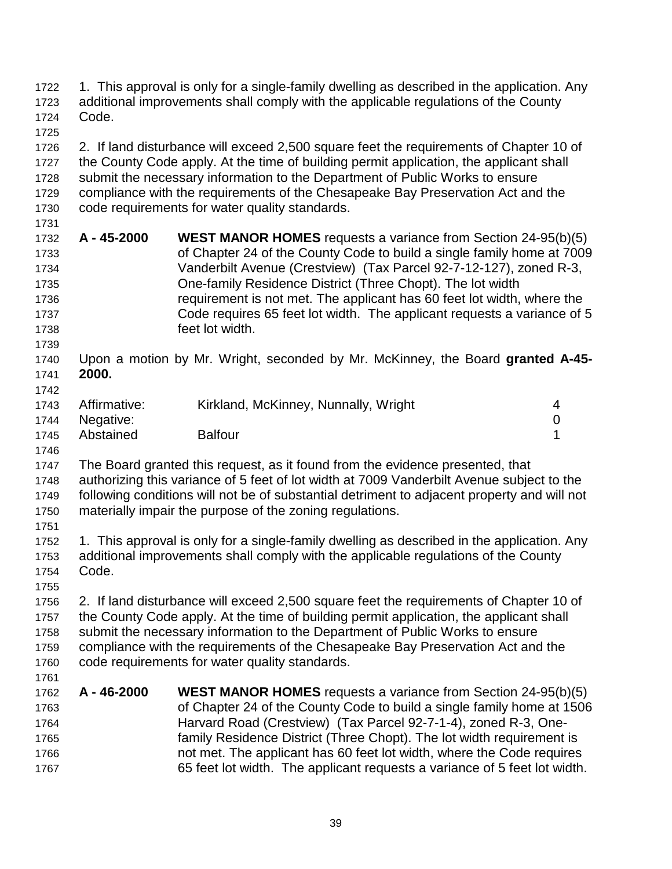| 1722<br>1723                                                         | 1. This approval is only for a single-family dwelling as described in the application. Any<br>additional improvements shall comply with the applicable regulations of the County |                                                                                                                                                                                                                                                                                                                                                                                                                                                            |                       |
|----------------------------------------------------------------------|----------------------------------------------------------------------------------------------------------------------------------------------------------------------------------|------------------------------------------------------------------------------------------------------------------------------------------------------------------------------------------------------------------------------------------------------------------------------------------------------------------------------------------------------------------------------------------------------------------------------------------------------------|-----------------------|
| 1724                                                                 | Code.                                                                                                                                                                            |                                                                                                                                                                                                                                                                                                                                                                                                                                                            |                       |
| 1725<br>1726<br>1727<br>1728<br>1729<br>1730                         |                                                                                                                                                                                  | 2. If land disturbance will exceed 2,500 square feet the requirements of Chapter 10 of<br>the County Code apply. At the time of building permit application, the applicant shall<br>submit the necessary information to the Department of Public Works to ensure<br>compliance with the requirements of the Chesapeake Bay Preservation Act and the<br>code requirements for water quality standards.                                                      |                       |
| 1731<br>1732<br>1733<br>1734<br>1735<br>1736<br>1737<br>1738<br>1739 | A - 45-2000                                                                                                                                                                      | <b>WEST MANOR HOMES</b> requests a variance from Section 24-95(b)(5)<br>of Chapter 24 of the County Code to build a single family home at 7009<br>Vanderbilt Avenue (Crestview) (Tax Parcel 92-7-12-127), zoned R-3,<br>One-family Residence District (Three Chopt). The lot width<br>requirement is not met. The applicant has 60 feet lot width, where the<br>Code requires 65 feet lot width. The applicant requests a variance of 5<br>feet lot width. |                       |
| 1740<br>1741<br>1742                                                 | 2000.                                                                                                                                                                            | Upon a motion by Mr. Wright, seconded by Mr. McKinney, the Board granted A-45-                                                                                                                                                                                                                                                                                                                                                                             |                       |
| 1743<br>1744                                                         | Affirmative:<br>Negative:                                                                                                                                                        | Kirkland, McKinney, Nunnally, Wright                                                                                                                                                                                                                                                                                                                                                                                                                       | 4<br>$\boldsymbol{0}$ |
| 1745                                                                 | Abstained                                                                                                                                                                        | <b>Balfour</b>                                                                                                                                                                                                                                                                                                                                                                                                                                             | 1                     |
| 1746<br>1747<br>1748<br>1749<br>1750<br>1751                         |                                                                                                                                                                                  | The Board granted this request, as it found from the evidence presented, that<br>authorizing this variance of 5 feet of lot width at 7009 Vanderbilt Avenue subject to the<br>following conditions will not be of substantial detriment to adjacent property and will not<br>materially impair the purpose of the zoning regulations.                                                                                                                      |                       |
| 1752<br>1753<br>1754<br>1755                                         | Code.                                                                                                                                                                            | 1. This approval is only for a single-family dwelling as described in the application. Any<br>additional improvements shall comply with the applicable regulations of the County                                                                                                                                                                                                                                                                           |                       |
| 1756<br>1757<br>1758<br>1759<br>1760                                 |                                                                                                                                                                                  | 2. If land disturbance will exceed 2,500 square feet the requirements of Chapter 10 of<br>the County Code apply. At the time of building permit application, the applicant shall<br>submit the necessary information to the Department of Public Works to ensure<br>compliance with the requirements of the Chesapeake Bay Preservation Act and the<br>code requirements for water quality standards.                                                      |                       |
| 1761<br>1762<br>1763<br>1764<br>1765<br>1766<br>1767                 | A-46-2000                                                                                                                                                                        | <b>WEST MANOR HOMES</b> requests a variance from Section 24-95(b)(5)<br>of Chapter 24 of the County Code to build a single family home at 1506<br>Harvard Road (Crestview) (Tax Parcel 92-7-1-4), zoned R-3, One-<br>family Residence District (Three Chopt). The lot width requirement is<br>not met. The applicant has 60 feet lot width, where the Code requires<br>65 feet lot width. The applicant requests a variance of 5 feet lot width.           |                       |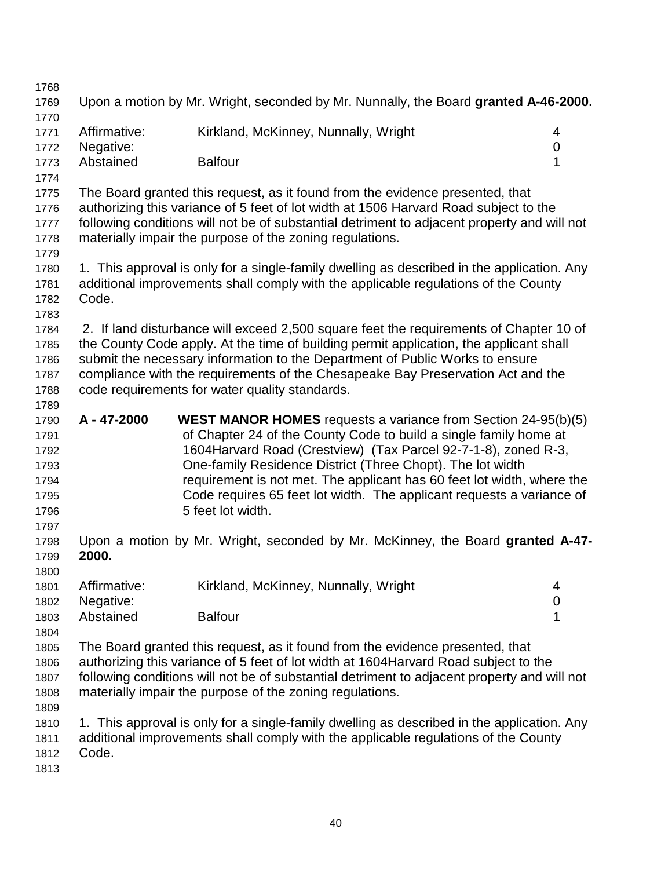| 1768 |              |                                                                                             |                  |
|------|--------------|---------------------------------------------------------------------------------------------|------------------|
| 1769 |              | Upon a motion by Mr. Wright, seconded by Mr. Nunnally, the Board granted A-46-2000.         |                  |
| 1770 |              |                                                                                             |                  |
| 1771 | Affirmative: | Kirkland, McKinney, Nunnally, Wright                                                        | 4                |
| 1772 | Negative:    |                                                                                             | $\boldsymbol{0}$ |
| 1773 | Abstained    | <b>Balfour</b>                                                                              | 1                |
| 1774 |              |                                                                                             |                  |
| 1775 |              | The Board granted this request, as it found from the evidence presented, that               |                  |
| 1776 |              | authorizing this variance of 5 feet of lot width at 1506 Harvard Road subject to the        |                  |
| 1777 |              | following conditions will not be of substantial detriment to adjacent property and will not |                  |
| 1778 |              | materially impair the purpose of the zoning regulations.                                    |                  |
|      |              |                                                                                             |                  |
| 1779 |              |                                                                                             |                  |
| 1780 |              | 1. This approval is only for a single-family dwelling as described in the application. Any  |                  |
| 1781 |              | additional improvements shall comply with the applicable regulations of the County          |                  |
| 1782 | Code.        |                                                                                             |                  |
| 1783 |              |                                                                                             |                  |
| 1784 |              | 2. If land disturbance will exceed 2,500 square feet the requirements of Chapter 10 of      |                  |
| 1785 |              | the County Code apply. At the time of building permit application, the applicant shall      |                  |
| 1786 |              | submit the necessary information to the Department of Public Works to ensure                |                  |
| 1787 |              | compliance with the requirements of the Chesapeake Bay Preservation Act and the             |                  |
| 1788 |              | code requirements for water quality standards.                                              |                  |
| 1789 |              |                                                                                             |                  |
| 1790 | A - 47-2000  | <b>WEST MANOR HOMES</b> requests a variance from Section 24-95(b)(5)                        |                  |
| 1791 |              | of Chapter 24 of the County Code to build a single family home at                           |                  |
| 1792 |              | 1604 Harvard Road (Crestview) (Tax Parcel 92-7-1-8), zoned R-3,                             |                  |
| 1793 |              | One-family Residence District (Three Chopt). The lot width                                  |                  |
| 1794 |              | requirement is not met. The applicant has 60 feet lot width, where the                      |                  |
| 1795 |              | Code requires 65 feet lot width. The applicant requests a variance of                       |                  |
| 1796 |              | 5 feet lot width.                                                                           |                  |
|      |              |                                                                                             |                  |
| 1797 |              |                                                                                             |                  |
| 1798 |              | Upon a motion by Mr. Wright, seconded by Mr. McKinney, the Board granted A-47-              |                  |
| 1799 | 2000.        |                                                                                             |                  |
| 1800 |              |                                                                                             |                  |
| 1801 | Affirmative: | Kirkland, McKinney, Nunnally, Wright                                                        | 4                |
| 1802 | Negative:    |                                                                                             | $\mathbf 0$      |
| 1803 | Abstained    | <b>Balfour</b>                                                                              | 1                |
| 1804 |              |                                                                                             |                  |
| 1805 |              | The Board granted this request, as it found from the evidence presented, that               |                  |
| 1806 |              | authorizing this variance of 5 feet of lot width at 1604 Harvard Road subject to the        |                  |
| 1807 |              | following conditions will not be of substantial detriment to adjacent property and will not |                  |
| 1808 |              | materially impair the purpose of the zoning regulations.                                    |                  |
| 1809 |              |                                                                                             |                  |
| 1810 |              | 1. This approval is only for a single-family dwelling as described in the application. Any  |                  |
| 1811 |              | additional improvements shall comply with the applicable regulations of the County          |                  |
| 1812 | Code.        |                                                                                             |                  |
| 1813 |              |                                                                                             |                  |
|      |              |                                                                                             |                  |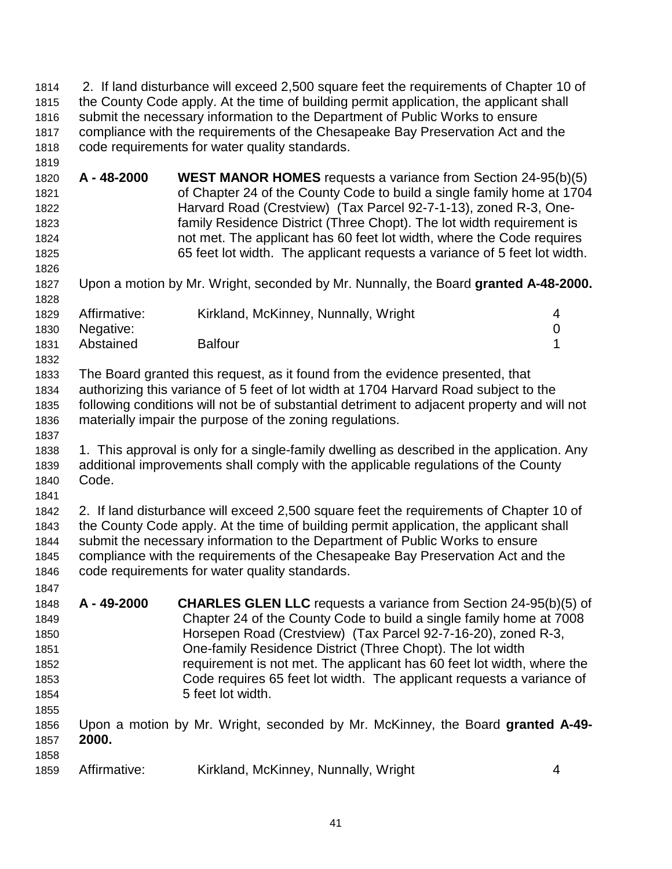1814 2. If land disturbance will exceed 2,500 square feet the requirements of Chapter 10 of 1815 the County Code apply. At the time of building permit application, the applicant shall 1816 submit the necessary information to the Department of Public Works to ensure 1817 compliance with the requirements of the Chesapeake Bay Preservation Act and the 1818 code requirements for water quality standards. 1819

1820 **A - 48-2000 WEST MANOR HOMES** requests a variance from Section 24-95(b)(5) 1821 of Chapter 24 of the County Code to build a single family home at 1704 1822 Harvard Road (Crestview) (Tax Parcel 92-7-1-13), zoned R-3, One-1823 family Residence District (Three Chopt). The lot width requirement is 1824 not met. The applicant has 60 feet lot width, where the Code requires 1825 65 feet lot width. The applicant requests a variance of 5 feet lot width. 1826

1827 Upon a motion by Mr. Wright, seconded by Mr. Nunnally, the Board **granted A-48-2000.** 1828

| 1829 | Affirmative:   | Kirkland, McKinney, Nunnally, Wright |  |
|------|----------------|--------------------------------------|--|
|      | 1830 Negative: |                                      |  |
| 1831 | Abstained      | <b>Balfour</b>                       |  |

1833 The Board granted this request, as it found from the evidence presented, that 1834 authorizing this variance of 5 feet of lot width at 1704 Harvard Road subject to the 1835 following conditions will not be of substantial detriment to adjacent property and will not 1836 materially impair the purpose of the zoning regulations.

1837 1838 1. This approval is only for a single-family dwelling as described in the application. Any 1839 additional improvements shall comply with the applicable regulations of the County 1840 Code.

1841 1842 2. If land disturbance will exceed 2,500 square feet the requirements of Chapter 10 of 1843 the County Code apply. At the time of building permit application, the applicant shall 1844 submit the necessary information to the Department of Public Works to ensure 1845 compliance with the requirements of the Chesapeake Bay Preservation Act and the 1846 code requirements for water quality standards.

1847 1848 **A - 49-2000 CHARLES GLEN LLC** requests a variance from Section 24-95(b)(5) of 1849 Chapter 24 of the County Code to build a single family home at 7008 1850 Horsepen Road (Crestview) (Tax Parcel 92-7-16-20), zoned R-3, 1851 One-family Residence District (Three Chopt). The lot width 1852 requirement is not met. The applicant has 60 feet lot width, where the 1853 Code requires 65 feet lot width. The applicant requests a variance of 1854 5 feet lot width. 1855 1856 Upon a motion by Mr. Wright, seconded by Mr. McKinney, the Board **granted A-49-** 1857 **2000.**

1858

1832

1859 Affirmative: Kirkland, McKinney, Nunnally, Wright 4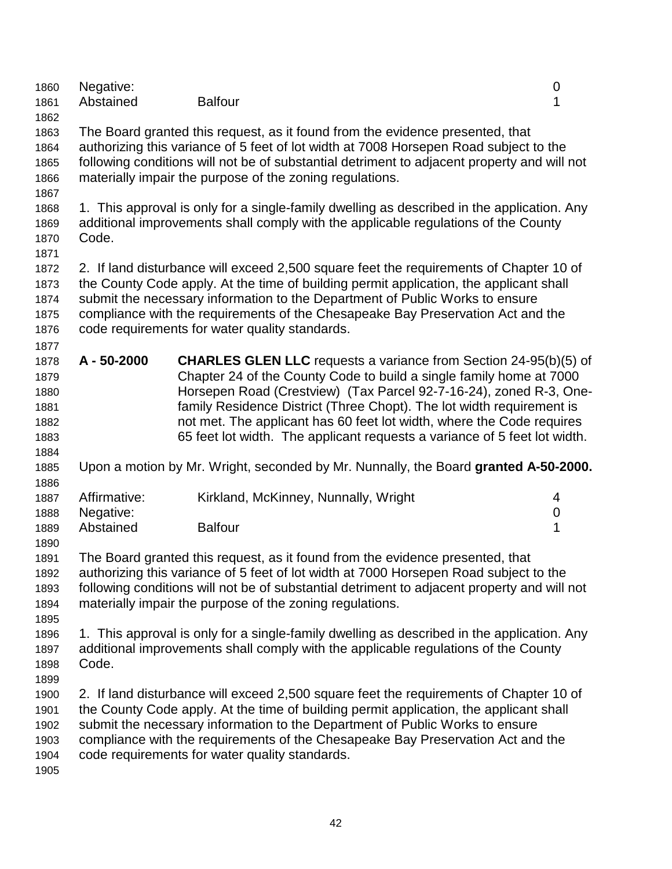| 1860<br>1861<br>1862                                 | Negative:<br>Abstained                 | <b>Balfour</b>                                                                                                                                                                                                                                                                                                                                                                                                                                      | $\boldsymbol{0}$<br>1      |
|------------------------------------------------------|----------------------------------------|-----------------------------------------------------------------------------------------------------------------------------------------------------------------------------------------------------------------------------------------------------------------------------------------------------------------------------------------------------------------------------------------------------------------------------------------------------|----------------------------|
| 1863<br>1864<br>1865<br>1866<br>1867                 |                                        | The Board granted this request, as it found from the evidence presented, that<br>authorizing this variance of 5 feet of lot width at 7008 Horsepen Road subject to the<br>following conditions will not be of substantial detriment to adjacent property and will not<br>materially impair the purpose of the zoning regulations.                                                                                                                   |                            |
| 1868<br>1869<br>1870<br>1871                         | Code.                                  | 1. This approval is only for a single-family dwelling as described in the application. Any<br>additional improvements shall comply with the applicable regulations of the County                                                                                                                                                                                                                                                                    |                            |
| 1872<br>1873<br>1874<br>1875<br>1876<br>1877         |                                        | 2. If land disturbance will exceed 2,500 square feet the requirements of Chapter 10 of<br>the County Code apply. At the time of building permit application, the applicant shall<br>submit the necessary information to the Department of Public Works to ensure<br>compliance with the requirements of the Chesapeake Bay Preservation Act and the<br>code requirements for water quality standards.                                               |                            |
| 1878<br>1879<br>1880<br>1881<br>1882<br>1883<br>1884 | A - 50-2000                            | <b>CHARLES GLEN LLC</b> requests a variance from Section 24-95(b)(5) of<br>Chapter 24 of the County Code to build a single family home at 7000<br>Horsepen Road (Crestview) (Tax Parcel 92-7-16-24), zoned R-3, One-<br>family Residence District (Three Chopt). The lot width requirement is<br>not met. The applicant has 60 feet lot width, where the Code requires<br>65 feet lot width. The applicant requests a variance of 5 feet lot width. |                            |
| 1885<br>1886                                         |                                        | Upon a motion by Mr. Wright, seconded by Mr. Nunnally, the Board granted A-50-2000.                                                                                                                                                                                                                                                                                                                                                                 |                            |
| 1887<br>1888<br>1889                                 | Affirmative:<br>Negative:<br>Abstained | Kirkland, McKinney, Nunnally, Wright<br><b>Balfour</b>                                                                                                                                                                                                                                                                                                                                                                                              | 4<br>$\boldsymbol{0}$<br>1 |
| 1890<br>1891<br>1892<br>1893<br>1894<br>1895         |                                        | The Board granted this request, as it found from the evidence presented, that<br>authorizing this variance of 5 feet of lot width at 7000 Horsepen Road subject to the<br>following conditions will not be of substantial detriment to adjacent property and will not<br>materially impair the purpose of the zoning regulations.                                                                                                                   |                            |
| 1896<br>1897<br>1898<br>1899                         | Code.                                  | 1. This approval is only for a single-family dwelling as described in the application. Any<br>additional improvements shall comply with the applicable regulations of the County                                                                                                                                                                                                                                                                    |                            |
| 1900<br>1901<br>1902<br>1903<br>1904<br>1905         |                                        | 2. If land disturbance will exceed 2,500 square feet the requirements of Chapter 10 of<br>the County Code apply. At the time of building permit application, the applicant shall<br>submit the necessary information to the Department of Public Works to ensure<br>compliance with the requirements of the Chesapeake Bay Preservation Act and the<br>code requirements for water quality standards.                                               |                            |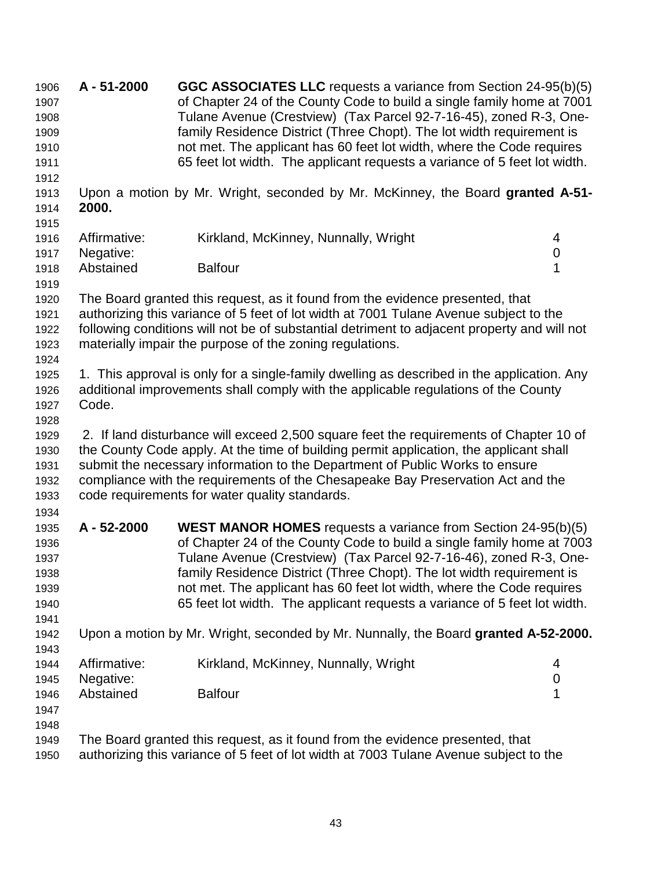1906 **A - 51-2000 GGC ASSOCIATES LLC** requests a variance from Section 24-95(b)(5) 1907 of Chapter 24 of the County Code to build a single family home at 7001 1908 Tulane Avenue (Crestview) (Tax Parcel 92-7-16-45), zoned R-3, One-1909 family Residence District (Three Chopt). The lot width requirement is 1910 not met. The applicant has 60 feet lot width, where the Code requires 1911 65 feet lot width. The applicant requests a variance of 5 feet lot width. 1912 1913 Upon a motion by Mr. Wright, seconded by Mr. McKinney, the Board **granted A-51-** 1914 **2000.** 1915 1916 Affirmative: Kirkland, McKinney, Nunnally, Wright 4 1917 Negative: 0 1918 Abstained Balfour **Balfour** 1 1919 1920 The Board granted this request, as it found from the evidence presented, that 1921 authorizing this variance of 5 feet of lot width at 7001 Tulane Avenue subject to the 1922 following conditions will not be of substantial detriment to adjacent property and will not 1923 materially impair the purpose of the zoning regulations. 1924 1925 1. This approval is only for a single-family dwelling as described in the application. Any 1926 additional improvements shall comply with the applicable regulations of the County 1927 Code. 1928 1929 2. If land disturbance will exceed 2,500 square feet the requirements of Chapter 10 of 1930 the County Code apply. At the time of building permit application, the applicant shall 1931 submit the necessary information to the Department of Public Works to ensure 1932 compliance with the requirements of the Chesapeake Bay Preservation Act and the 1933 code requirements for water quality standards. 1934 1935 **A - 52-2000 WEST MANOR HOMES** requests a variance from Section 24-95(b)(5) 1936 of Chapter 24 of the County Code to build a single family home at 7003 1937 Tulane Avenue (Crestview) (Tax Parcel 92-7-16-46), zoned R-3, One-1938 family Residence District (Three Chopt). The lot width requirement is 1939 not met. The applicant has 60 feet lot width, where the Code requires 1940 65 feet lot width. The applicant requests a variance of 5 feet lot width. 1941 1942 Upon a motion by Mr. Wright, seconded by Mr. Nunnally, the Board **granted A-52-2000.** 1943 1944 Affirmative: Kirkland, McKinney, Nunnally, Wright 4 1945 Negative: 0 1946 Abstained Balfour **1946** Abstained 1 1947 1948 1949 The Board granted this request, as it found from the evidence presented, that 1950 authorizing this variance of 5 feet of lot width at 7003 Tulane Avenue subject to the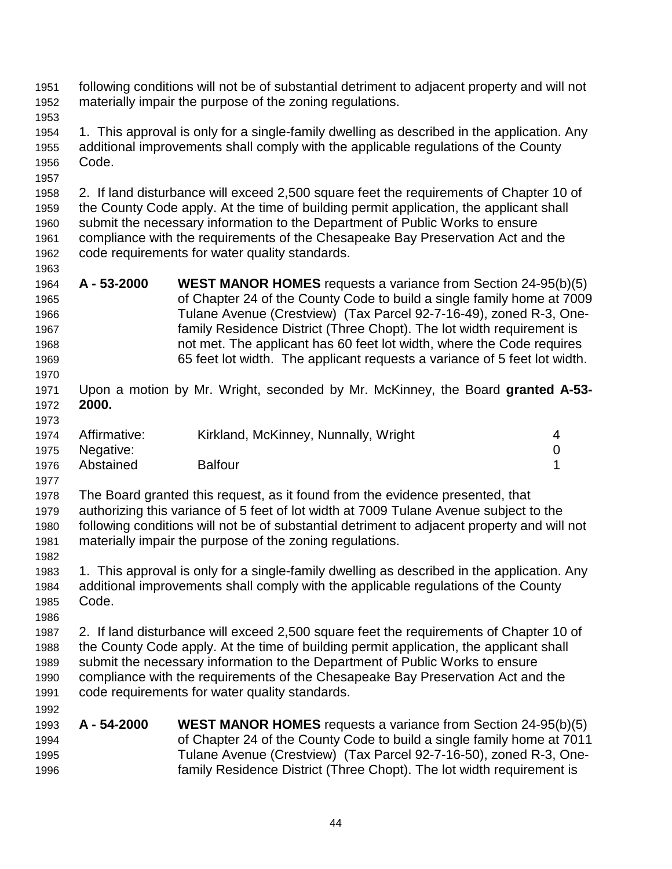- 1951 following conditions will not be of substantial detriment to adjacent property and will not 1952 materially impair the purpose of the zoning regulations.
- 1953

1957

1963

- 1954 1. This approval is only for a single-family dwelling as described in the application. Any 1955 additional improvements shall comply with the applicable regulations of the County 1956 Code.
- 1958 2. If land disturbance will exceed 2,500 square feet the requirements of Chapter 10 of 1959 the County Code apply. At the time of building permit application, the applicant shall 1960 submit the necessary information to the Department of Public Works to ensure 1961 compliance with the requirements of the Chesapeake Bay Preservation Act and the 1962 code requirements for water quality standards.
- 1964 **A 53-2000 WEST MANOR HOMES** requests a variance from Section 24-95(b)(5) 1965 of Chapter 24 of the County Code to build a single family home at 7009 1966 Tulane Avenue (Crestview) (Tax Parcel 92-7-16-49), zoned R-3, One-1967 family Residence District (Three Chopt). The lot width requirement is 1968 not met. The applicant has 60 feet lot width, where the Code requires 1969 65 feet lot width. The applicant requests a variance of 5 feet lot width.
- 1970 1971 Upon a motion by Mr. Wright, seconded by Mr. McKinney, the Board **granted A-53-** 1972 **2000.**
- 1973 1974 Affirmative: Kirkland, McKinney, Nunnally, Wright 4 1975 Negative: 0 1976 Abstained Balfour **Balfour** 1
- 1977 1978 The Board granted this request, as it found from the evidence presented, that 1979 authorizing this variance of 5 feet of lot width at 7009 Tulane Avenue subject to the 1980 following conditions will not be of substantial detriment to adjacent property and will not 1981 materially impair the purpose of the zoning regulations. 1982
- 1983 1. This approval is only for a single-family dwelling as described in the application. Any 1984 additional improvements shall comply with the applicable regulations of the County 1985 Code.
- 1986 1987 2. If land disturbance will exceed 2,500 square feet the requirements of Chapter 10 of 1988 the County Code apply. At the time of building permit application, the applicant shall 1989 submit the necessary information to the Department of Public Works to ensure 1990 compliance with the requirements of the Chesapeake Bay Preservation Act and the 1991 code requirements for water quality standards.
- 1993 **A 54-2000 WEST MANOR HOMES** requests a variance from Section 24-95(b)(5) 1994 of Chapter 24 of the County Code to build a single family home at 7011 1995 Tulane Avenue (Crestview) (Tax Parcel 92-7-16-50), zoned R-3, One-1996 family Residence District (Three Chopt). The lot width requirement is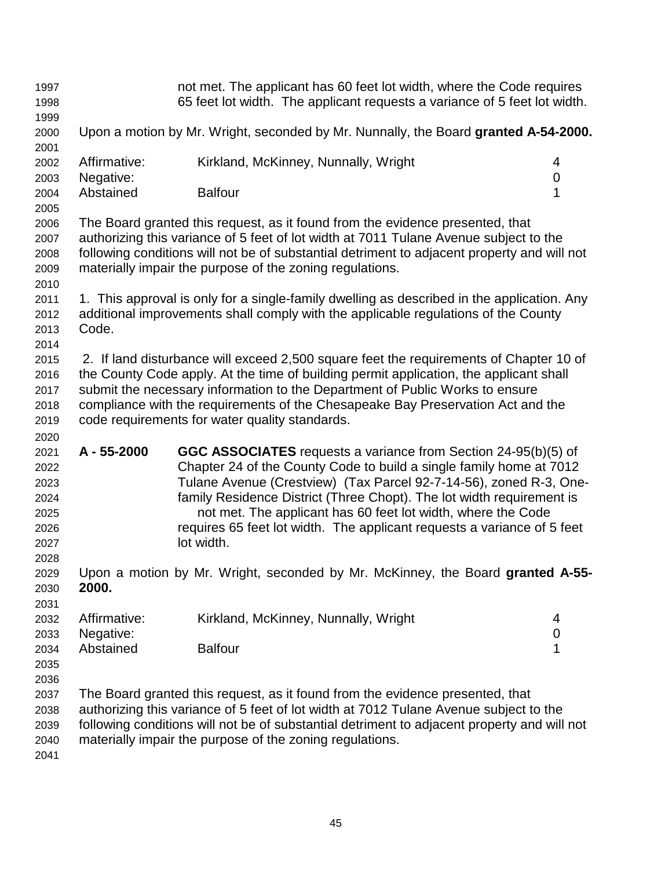| 1997<br>1998<br>1999                                                 |                                        |                                                | not met. The applicant has 60 feet lot width, where the Code requires<br>65 feet lot width. The applicant requests a variance of 5 feet lot width.                                                                                                                                                                                                                                                                              |                            |
|----------------------------------------------------------------------|----------------------------------------|------------------------------------------------|---------------------------------------------------------------------------------------------------------------------------------------------------------------------------------------------------------------------------------------------------------------------------------------------------------------------------------------------------------------------------------------------------------------------------------|----------------------------|
| 2000<br>2001                                                         |                                        |                                                | Upon a motion by Mr. Wright, seconded by Mr. Nunnally, the Board granted A-54-2000.                                                                                                                                                                                                                                                                                                                                             |                            |
| 2002<br>2003                                                         | Affirmative:<br>Negative:              |                                                | Kirkland, McKinney, Nunnally, Wright                                                                                                                                                                                                                                                                                                                                                                                            | 4<br>0                     |
| 2004<br>2005                                                         | Abstained                              | <b>Balfour</b>                                 |                                                                                                                                                                                                                                                                                                                                                                                                                                 | 1                          |
| 2006<br>2007<br>2008<br>2009<br>2010                                 |                                        |                                                | The Board granted this request, as it found from the evidence presented, that<br>authorizing this variance of 5 feet of lot width at 7011 Tulane Avenue subject to the<br>following conditions will not be of substantial detriment to adjacent property and will not<br>materially impair the purpose of the zoning regulations.                                                                                               |                            |
| 2011<br>2012<br>2013<br>2014                                         | Code.                                  |                                                | 1. This approval is only for a single-family dwelling as described in the application. Any<br>additional improvements shall comply with the applicable regulations of the County                                                                                                                                                                                                                                                |                            |
| 2015<br>2016<br>2017<br>2018<br>2019                                 |                                        | code requirements for water quality standards. | 2. If land disturbance will exceed 2,500 square feet the requirements of Chapter 10 of<br>the County Code apply. At the time of building permit application, the applicant shall<br>submit the necessary information to the Department of Public Works to ensure<br>compliance with the requirements of the Chesapeake Bay Preservation Act and the                                                                             |                            |
| 2020<br>2021<br>2022<br>2023<br>2024<br>2025<br>2026<br>2027<br>2028 | A - 55-2000                            | lot width.                                     | GGC ASSOCIATES requests a variance from Section 24-95(b)(5) of<br>Chapter 24 of the County Code to build a single family home at 7012<br>Tulane Avenue (Crestview) (Tax Parcel 92-7-14-56), zoned R-3, One-<br>family Residence District (Three Chopt). The lot width requirement is<br>not met. The applicant has 60 feet lot width, where the Code<br>requires 65 feet lot width. The applicant requests a variance of 5 feet |                            |
| 2029<br>2030<br>2031                                                 | 2000.                                  |                                                | Upon a motion by Mr. Wright, seconded by Mr. McKinney, the Board granted A-55-                                                                                                                                                                                                                                                                                                                                                  |                            |
| 2032<br>2033<br>2034<br>2035                                         | Affirmative:<br>Negative:<br>Abstained | <b>Balfour</b>                                 | Kirkland, McKinney, Nunnally, Wright                                                                                                                                                                                                                                                                                                                                                                                            | 4<br>$\boldsymbol{0}$<br>1 |
| 2036<br>2037<br>2038<br>2039<br>2040<br>2041                         |                                        |                                                | The Board granted this request, as it found from the evidence presented, that<br>authorizing this variance of 5 feet of lot width at 7012 Tulane Avenue subject to the<br>following conditions will not be of substantial detriment to adjacent property and will not<br>materially impair the purpose of the zoning regulations.                                                                                               |                            |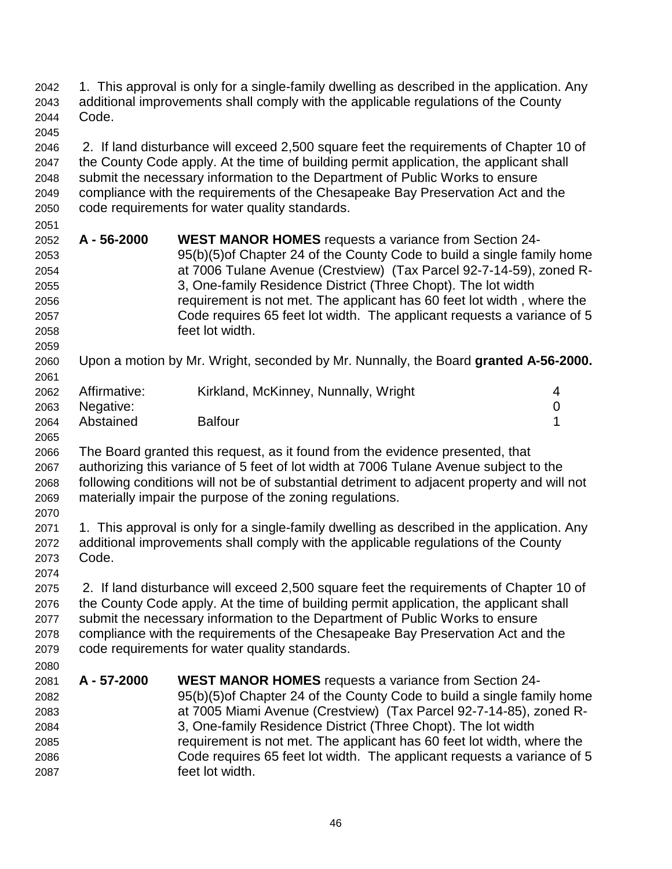2043 additional improvements shall comply with the applicable regulations of the County 2044 Code. 2045 2046 2. If land disturbance will exceed 2,500 square feet the requirements of Chapter 10 of 2047 the County Code apply. At the time of building permit application, the applicant shall 2048 submit the necessary information to the Department of Public Works to ensure 2049 compliance with the requirements of the Chesapeake Bay Preservation Act and the 2050 code requirements for water quality standards. 2051 2052 **A - 56-2000 WEST MANOR HOMES** requests a variance from Section 24- 2053 95(b)(5)of Chapter 24 of the County Code to build a single family home 2054 at 7006 Tulane Avenue (Crestview) (Tax Parcel 92-7-14-59), zoned R-2055 3, One-family Residence District (Three Chopt). The lot width 2056 requirement is not met. The applicant has 60 feet lot width , where the 2057 Code requires 65 feet lot width. The applicant requests a variance of 5 2058 feet lot width. 2059 2060 Upon a motion by Mr. Wright, seconded by Mr. Nunnally, the Board **granted A-56-2000.** 2061 2062 Affirmative: Kirkland, McKinney, Nunnally, Wright 4 2063 Negative: 0 2064 Abstained Balfour **1** 2065 2066 The Board granted this request, as it found from the evidence presented, that 2067 authorizing this variance of 5 feet of lot width at 7006 Tulane Avenue subject to the 2068 following conditions will not be of substantial detriment to adjacent property and will not 2069 materially impair the purpose of the zoning regulations. 2070 2071 1. This approval is only for a single-family dwelling as described in the application. Any 2072 additional improvements shall comply with the applicable regulations of the County 2073 Code. 2074 2075 2. If land disturbance will exceed 2,500 square feet the requirements of Chapter 10 of 2076 the County Code apply. At the time of building permit application, the applicant shall 2077 submit the necessary information to the Department of Public Works to ensure 2078 compliance with the requirements of the Chesapeake Bay Preservation Act and the 2079 code requirements for water quality standards. 2080 2081 **A - 57-2000 WEST MANOR HOMES** requests a variance from Section 24- 2082 95(b)(5)of Chapter 24 of the County Code to build a single family home 2083 at 7005 Miami Avenue (Crestview) (Tax Parcel 92-7-14-85), zoned R-2084 3, One-family Residence District (Three Chopt). The lot width 2085 requirement is not met. The applicant has 60 feet lot width, where the 2086 Code requires 65 feet lot width. The applicant requests a variance of 5 2087 feet lot width.

2042 1. This approval is only for a single-family dwelling as described in the application. Any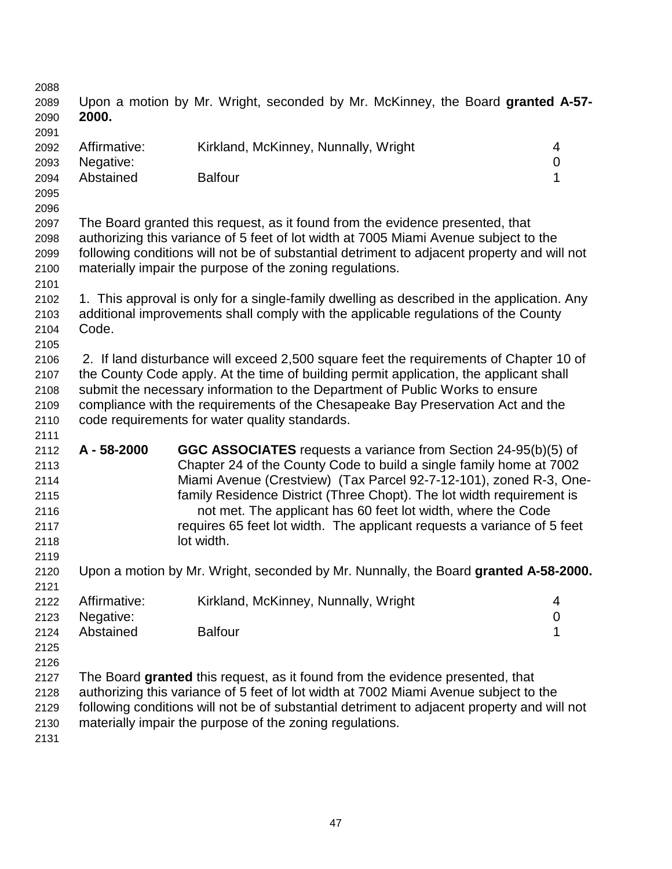| 2088<br>2089<br>2090<br>2091 | 2000.        | Upon a motion by Mr. Wright, seconded by Mr. McKinney, the Board granted A-57-              |             |
|------------------------------|--------------|---------------------------------------------------------------------------------------------|-------------|
| 2092                         | Affirmative: | Kirkland, McKinney, Nunnally, Wright                                                        | 4           |
| 2093                         | Negative:    |                                                                                             | $\pmb{0}$   |
| 2094                         | Abstained    | <b>Balfour</b>                                                                              | 1           |
| 2095                         |              |                                                                                             |             |
| 2096                         |              |                                                                                             |             |
| 2097                         |              | The Board granted this request, as it found from the evidence presented, that               |             |
| 2098                         |              | authorizing this variance of 5 feet of lot width at 7005 Miami Avenue subject to the        |             |
| 2099                         |              | following conditions will not be of substantial detriment to adjacent property and will not |             |
| 2100                         |              | materially impair the purpose of the zoning regulations.                                    |             |
| 2101                         |              |                                                                                             |             |
| 2102                         |              | 1. This approval is only for a single-family dwelling as described in the application. Any  |             |
| 2103                         |              | additional improvements shall comply with the applicable regulations of the County          |             |
| 2104                         | Code.        |                                                                                             |             |
| 2105                         |              |                                                                                             |             |
| 2106                         |              | 2. If land disturbance will exceed 2,500 square feet the requirements of Chapter 10 of      |             |
| 2107                         |              | the County Code apply. At the time of building permit application, the applicant shall      |             |
| 2108                         |              | submit the necessary information to the Department of Public Works to ensure                |             |
| 2109                         |              | compliance with the requirements of the Chesapeake Bay Preservation Act and the             |             |
| 2110                         |              | code requirements for water quality standards.                                              |             |
| 2111                         |              |                                                                                             |             |
| 2112                         | A-58-2000    | GGC ASSOCIATES requests a variance from Section 24-95(b)(5) of                              |             |
| 2113                         |              | Chapter 24 of the County Code to build a single family home at 7002                         |             |
| 2114                         |              | Miami Avenue (Crestview) (Tax Parcel 92-7-12-101), zoned R-3, One-                          |             |
| 2115                         |              | family Residence District (Three Chopt). The lot width requirement is                       |             |
| 2116                         |              | not met. The applicant has 60 feet lot width, where the Code                                |             |
| 2117                         |              | requires 65 feet lot width. The applicant requests a variance of 5 feet                     |             |
| 2118                         |              | lot width.                                                                                  |             |
| 2119                         |              |                                                                                             |             |
| 2120                         |              | Upon a motion by Mr. Wright, seconded by Mr. Nunnally, the Board granted A-58-2000.         |             |
| 2121                         |              |                                                                                             |             |
| 2122                         | Affirmative: | Kirkland, McKinney, Nunnally, Wright                                                        | 4           |
| 2123                         | Negative:    |                                                                                             | $\mathbf 0$ |
| 2124                         | Abstained    | <b>Balfour</b>                                                                              | 1           |
| 2125                         |              |                                                                                             |             |
| 2126                         |              |                                                                                             |             |
| 2127                         |              | The Board granted this request, as it found from the evidence presented, that               |             |
| 2128                         |              | authorizing this variance of 5 feet of lot width at 7002 Miami Avenue subject to the        |             |
| 2129                         |              | following conditions will not be of substantial detriment to adjacent property and will not |             |
| 2130                         |              | materially impair the purpose of the zoning regulations.                                    |             |
| 2131                         |              |                                                                                             |             |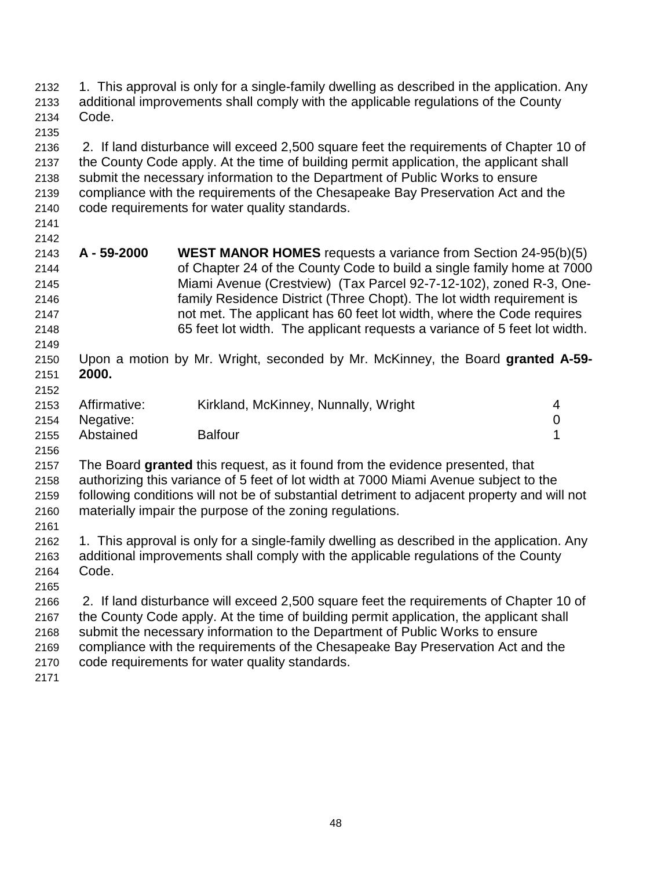| 2132<br>2133<br>2134                                         | 1. This approval is only for a single-family dwelling as described in the application. Any<br>additional improvements shall comply with the applicable regulations of the County<br>Code. |                                                                                                                                                                                                                                                                                                                                                                                                                                                     |                       |
|--------------------------------------------------------------|-------------------------------------------------------------------------------------------------------------------------------------------------------------------------------------------|-----------------------------------------------------------------------------------------------------------------------------------------------------------------------------------------------------------------------------------------------------------------------------------------------------------------------------------------------------------------------------------------------------------------------------------------------------|-----------------------|
| 2135<br>2136<br>2137<br>2138<br>2139<br>2140<br>2141         |                                                                                                                                                                                           | 2. If land disturbance will exceed 2,500 square feet the requirements of Chapter 10 of<br>the County Code apply. At the time of building permit application, the applicant shall<br>submit the necessary information to the Department of Public Works to ensure<br>compliance with the requirements of the Chesapeake Bay Preservation Act and the<br>code requirements for water quality standards.                                               |                       |
| 2142<br>2143<br>2144<br>2145<br>2146<br>2147<br>2148<br>2149 | A-59-2000                                                                                                                                                                                 | <b>WEST MANOR HOMES</b> requests a variance from Section 24-95(b)(5)<br>of Chapter 24 of the County Code to build a single family home at 7000<br>Miami Avenue (Crestview) (Tax Parcel 92-7-12-102), zoned R-3, One-<br>family Residence District (Three Chopt). The lot width requirement is<br>not met. The applicant has 60 feet lot width, where the Code requires<br>65 feet lot width. The applicant requests a variance of 5 feet lot width. |                       |
| 2150<br>2151<br>2152                                         | 2000.                                                                                                                                                                                     | Upon a motion by Mr. Wright, seconded by Mr. McKinney, the Board granted A-59-                                                                                                                                                                                                                                                                                                                                                                      |                       |
| 2153<br>2154<br>2155                                         | Affirmative:<br>Negative:<br>Abstained                                                                                                                                                    | Kirkland, McKinney, Nunnally, Wright<br><b>Balfour</b>                                                                                                                                                                                                                                                                                                                                                                                              | 4<br>$\mathbf 0$<br>1 |
| 2156<br>2157<br>2158<br>2159<br>2160<br>2161                 |                                                                                                                                                                                           | The Board granted this request, as it found from the evidence presented, that<br>authorizing this variance of 5 feet of lot width at 7000 Miami Avenue subject to the<br>following conditions will not be of substantial detriment to adjacent property and will not<br>materially impair the purpose of the zoning regulations.                                                                                                                    |                       |
| 2162<br>2163<br>2164<br>2165                                 | Code.                                                                                                                                                                                     | 1. This approval is only for a single-family dwelling as described in the application. Any<br>additional improvements shall comply with the applicable regulations of the County                                                                                                                                                                                                                                                                    |                       |
| 2166<br>2167<br>2168<br>2169<br>2170<br>2171                 |                                                                                                                                                                                           | 2. If land disturbance will exceed 2,500 square feet the requirements of Chapter 10 of<br>the County Code apply. At the time of building permit application, the applicant shall<br>submit the necessary information to the Department of Public Works to ensure<br>compliance with the requirements of the Chesapeake Bay Preservation Act and the<br>code requirements for water quality standards.                                               |                       |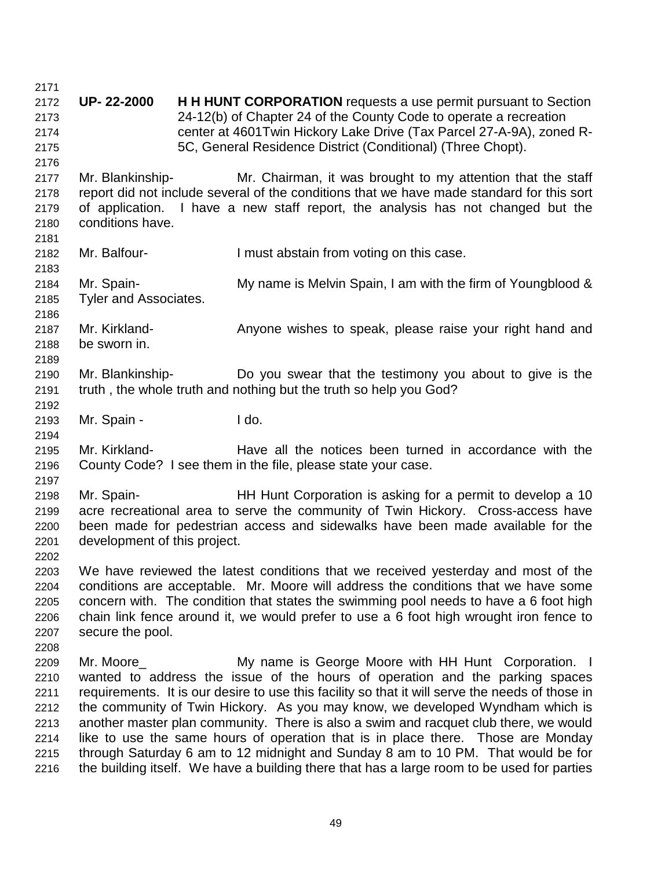2171 2172 **UP- 22-2000 H H HUNT CORPORATION** requests a use permit pursuant to Section 2173 24-12(b) of Chapter 24 of the County Code to operate a recreation 2174 center at 4601Twin Hickory Lake Drive (Tax Parcel 27-A-9A), zoned R-2175 5C, General Residence District (Conditional) (Three Chopt). 2176 2177 Mr. Blankinship- Mr. Chairman, it was brought to my attention that the staff 2178 report did not include several of the conditions that we have made standard for this sort 2179 of application. I have a new staff report, the analysis has not changed but the 2180 conditions have. 2181 2182 Mr. Balfour- I must abstain from voting on this case. 2183 2184 Mr. Spain- My name is Melvin Spain, I am with the firm of Youngblood & 2185 Tyler and Associates. 2186 2187 Mr. Kirkland- **Anyone wishes to speak, please raise your right hand and** 2188 be sworn in. 2189 2190 Mr. Blankinship- Do you swear that the testimony you about to give is the 2191 truth , the whole truth and nothing but the truth so help you God? 2192 2193 Mr. Spain - I do. 2194 2195 Mr. Kirkland- Have all the notices been turned in accordance with the 2196 County Code? I see them in the file, please state your case. 2197 2198 Mr. Spain- HH Hunt Corporation is asking for a permit to develop a 10 2199 acre recreational area to serve the community of Twin Hickory. Cross-access have 2200 been made for pedestrian access and sidewalks have been made available for the 2201 development of this project. 2202 2203 We have reviewed the latest conditions that we received yesterday and most of the 2204 conditions are acceptable. Mr. Moore will address the conditions that we have some 2205 concern with. The condition that states the swimming pool needs to have a 6 foot high 2206 chain link fence around it, we would prefer to use a 6 foot high wrought iron fence to 2207 secure the pool. 2208 2209 Mr. Moore **My name is George Moore with HH Hunt Corporation.** I 2210 wanted to address the issue of the hours of operation and the parking spaces 2211 requirements. It is our desire to use this facility so that it will serve the needs of those in 2212 the community of Twin Hickory. As you may know, we developed Wyndham which is 2213 another master plan community. There is also a swim and racquet club there, we would 2214 like to use the same hours of operation that is in place there. Those are Monday 2215 through Saturday 6 am to 12 midnight and Sunday 8 am to 10 PM. That would be for 2216 the building itself. We have a building there that has a large room to be used for parties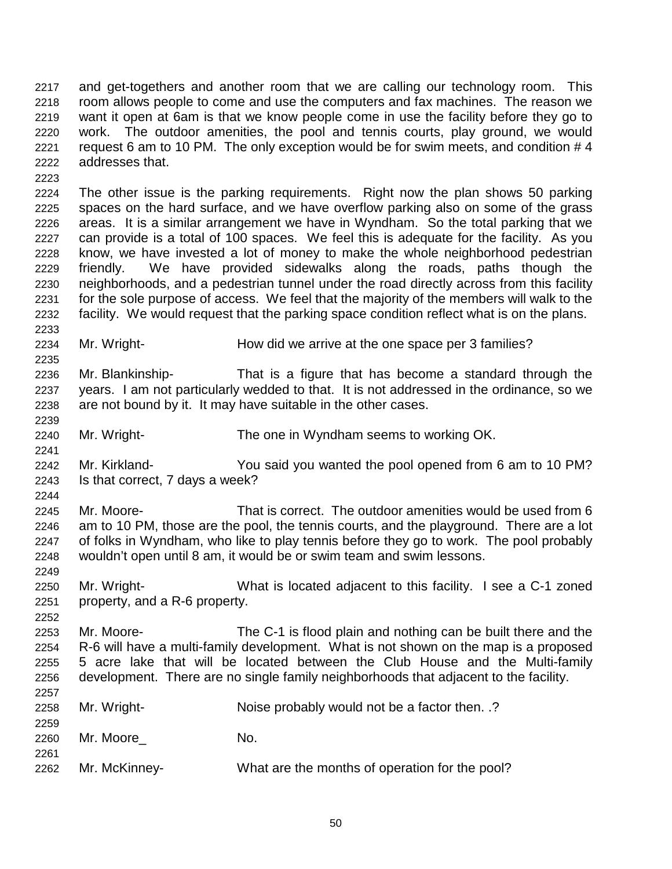2217 and get-togethers and another room that we are calling our technology room. This 2218 room allows people to come and use the computers and fax machines. The reason we 2219 want it open at 6am is that we know people come in use the facility before they go to 2220 work. The outdoor amenities, the pool and tennis courts, play ground, we would 2221 request 6 am to 10 PM. The only exception would be for swim meets, and condition # 4 2222 addresses that.

2224 The other issue is the parking requirements. Right now the plan shows 50 parking 2225 spaces on the hard surface, and we have overflow parking also on some of the grass 2226 areas. It is a similar arrangement we have in Wyndham. So the total parking that we 2227 can provide is a total of 100 spaces. We feel this is adequate for the facility. As you 2228 know, we have invested a lot of money to make the whole neighborhood pedestrian 2229 friendly. We have provided sidewalks along the roads, paths though the 2230 neighborhoods, and a pedestrian tunnel under the road directly across from this facility 2231 for the sole purpose of access. We feel that the majority of the members will walk to the 2232 facility. We would request that the parking space condition reflect what is on the plans. 2233

- 2234 Mr. Wright- How did we arrive at the one space per 3 families?
- 2236 Mr. Blankinship- That is a figure that has become a standard through the 2237 years. I am not particularly wedded to that. It is not addressed in the ordinance, so we 2238 are not bound by it. It may have suitable in the other cases.
- 2240 Mr. Wright- The one in Wyndham seems to working OK.

2223

2235

2239

2241

2249

2252

- 2242 Mr. Kirkland- You said you wanted the pool opened from 6 am to 10 PM? 2243 Is that correct, 7 days a week?
- 2244 2245 Mr. Moore- That is correct. The outdoor amenities would be used from 6 2246 am to 10 PM, those are the pool, the tennis courts, and the playground. There are a lot 2247 of folks in Wyndham, who like to play tennis before they go to work. The pool probably 2248 wouldn't open until 8 am, it would be or swim team and swim lessons.
- 2250 Mr. Wright- What is located adjacent to this facility. I see a C-1 zoned 2251 property, and a R-6 property.
- 2253 Mr. Moore- The C-1 is flood plain and nothing can be built there and the 2254 R-6 will have a multi-family development. What is not shown on the map is a proposed 2255 5 acre lake that will be located between the Club House and the Multi-family 2256 development. There are no single family neighborhoods that adjacent to the facility.

| 2258<br>2259 | Mr. Wright-   | Noise probably would not be a factor then. .?  |
|--------------|---------------|------------------------------------------------|
| 2260         | Mr. Moore     | No.                                            |
| 2261<br>2262 | Mr. McKinney- | What are the months of operation for the pool? |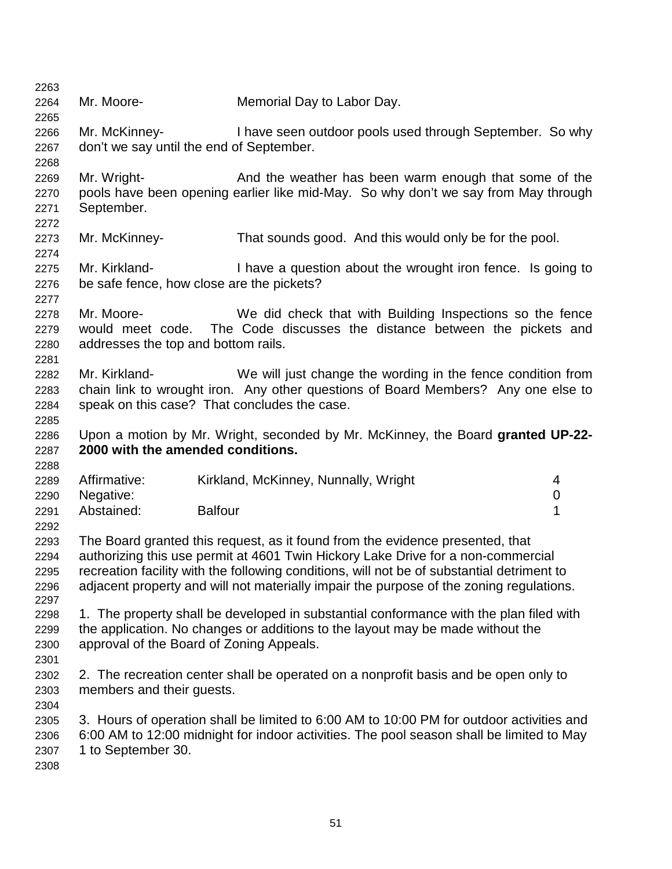| 2263 |                                     |                                                                                            |                  |
|------|-------------------------------------|--------------------------------------------------------------------------------------------|------------------|
| 2264 | Mr. Moore-                          | Memorial Day to Labor Day.                                                                 |                  |
| 2265 |                                     |                                                                                            |                  |
| 2266 | Mr. McKinney-                       | I have seen outdoor pools used through September. So why                                   |                  |
| 2267 |                                     | don't we say until the end of September.                                                   |                  |
| 2268 |                                     |                                                                                            |                  |
| 2269 | Mr. Wright-                         | And the weather has been warm enough that some of the                                      |                  |
| 2270 |                                     | pools have been opening earlier like mid-May. So why don't we say from May through         |                  |
| 2271 | September.                          |                                                                                            |                  |
| 2272 |                                     |                                                                                            |                  |
| 2273 | Mr. McKinney-                       | That sounds good. And this would only be for the pool.                                     |                  |
| 2274 |                                     |                                                                                            |                  |
| 2275 | Mr. Kirkland-                       | I have a question about the wrought iron fence. Is going to                                |                  |
| 2276 |                                     | be safe fence, how close are the pickets?                                                  |                  |
| 2277 |                                     |                                                                                            |                  |
| 2278 | Mr. Moore-                          | We did check that with Building Inspections so the fence                                   |                  |
| 2279 |                                     | would meet code. The Code discusses the distance between the pickets and                   |                  |
| 2280 | addresses the top and bottom rails. |                                                                                            |                  |
| 2281 |                                     |                                                                                            |                  |
| 2282 | Mr. Kirkland-                       | We will just change the wording in the fence condition from                                |                  |
| 2283 |                                     | chain link to wrought iron. Any other questions of Board Members? Any one else to          |                  |
|      |                                     | speak on this case? That concludes the case.                                               |                  |
| 2284 |                                     |                                                                                            |                  |
| 2285 |                                     |                                                                                            |                  |
| 2286 | 2000 with the amended conditions.   | Upon a motion by Mr. Wright, seconded by Mr. McKinney, the Board granted UP-22-            |                  |
| 2287 |                                     |                                                                                            |                  |
| 2288 | Affirmative:                        |                                                                                            |                  |
| 2289 |                                     | Kirkland, McKinney, Nunnally, Wright                                                       | 4                |
| 2290 | Negative:                           |                                                                                            | $\boldsymbol{0}$ |
| 2291 | Abstained:                          | <b>Balfour</b>                                                                             | 1                |
| 2292 |                                     |                                                                                            |                  |
| 2293 |                                     | The Board granted this request, as it found from the evidence presented, that              |                  |
| 2294 |                                     | authorizing this use permit at 4601 Twin Hickory Lake Drive for a non-commercial           |                  |
| 2295 |                                     | recreation facility with the following conditions, will not be of substantial detriment to |                  |
| 2296 |                                     | adjacent property and will not materially impair the purpose of the zoning regulations.    |                  |
| 2297 |                                     |                                                                                            |                  |
| 2298 |                                     | 1. The property shall be developed in substantial conformance with the plan filed with     |                  |
| 2299 |                                     | the application. No changes or additions to the layout may be made without the             |                  |
| 2300 |                                     | approval of the Board of Zoning Appeals.                                                   |                  |
| 2301 |                                     |                                                                                            |                  |
| 2302 |                                     | 2. The recreation center shall be operated on a nonprofit basis and be open only to        |                  |
| 2303 | members and their guests.           |                                                                                            |                  |
| 2304 |                                     |                                                                                            |                  |
| 2305 |                                     | 3. Hours of operation shall be limited to 6:00 AM to 10:00 PM for outdoor activities and   |                  |
| 2306 |                                     | 6:00 AM to 12:00 midnight for indoor activities. The pool season shall be limited to May   |                  |
| 2307 | 1 to September 30.                  |                                                                                            |                  |
| 2308 |                                     |                                                                                            |                  |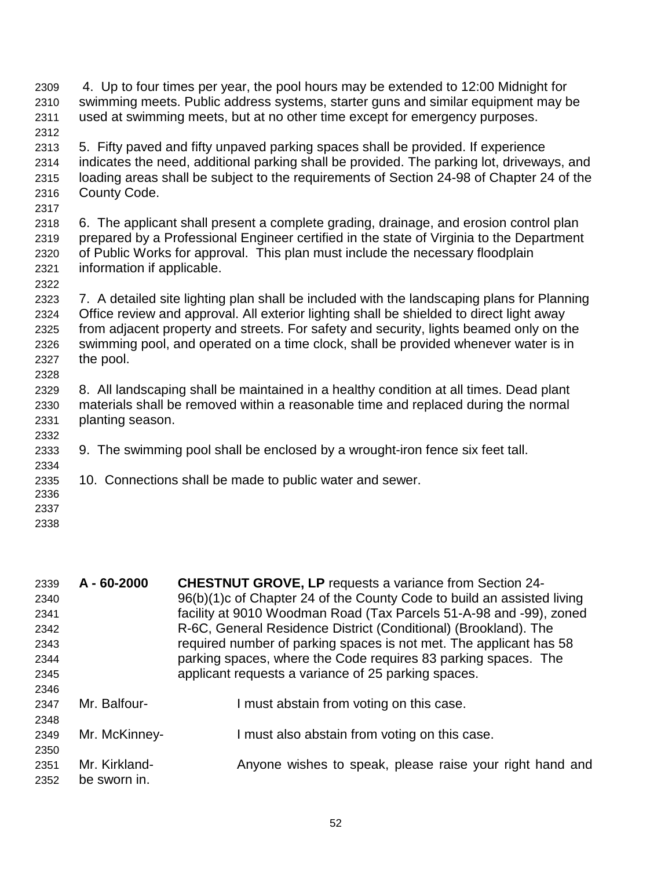2309 4. Up to four times per year, the pool hours may be extended to 12:00 Midnight for 2310 swimming meets. Public address systems, starter guns and similar equipment may be 2311 used at swimming meets, but at no other time except for emergency purposes. 2312 2313 5. Fifty paved and fifty unpaved parking spaces shall be provided. If experience 2314 indicates the need, additional parking shall be provided. The parking lot, driveways, and 2315 loading areas shall be subject to the requirements of Section 24-98 of Chapter 24 of the 2316 County Code. 2317 2318 6. The applicant shall present a complete grading, drainage, and erosion control plan 2319 prepared by a Professional Engineer certified in the state of Virginia to the Department 2320 of Public Works for approval. This plan must include the necessary floodplain 2321 information if applicable. 2322 2323 7. A detailed site lighting plan shall be included with the landscaping plans for Planning 2324 Office review and approval. All exterior lighting shall be shielded to direct light away 2325 from adjacent property and streets. For safety and security, lights beamed only on the 2326 swimming pool, and operated on a time clock, shall be provided whenever water is in 2327 the pool. 2328 2329 8. All landscaping shall be maintained in a healthy condition at all times. Dead plant 2330 materials shall be removed within a reasonable time and replaced during the normal 2331 planting season. 2332 2333 9. The swimming pool shall be enclosed by a wrought-iron fence six feet tall. 2334 2335 10. Connections shall be made to public water and sewer. 2336 2337 2338

| $A - 60 - 2000$ | <b>CHESTNUT GROVE, LP requests a variance from Section 24-</b>         |
|-----------------|------------------------------------------------------------------------|
|                 | 96(b)(1)c of Chapter 24 of the County Code to build an assisted living |
|                 | facility at 9010 Woodman Road (Tax Parcels 51-A-98 and -99), zoned     |
|                 | R-6C, General Residence District (Conditional) (Brookland). The        |
|                 | required number of parking spaces is not met. The applicant has 58     |
|                 | parking spaces, where the Code requires 83 parking spaces. The         |
|                 | applicant requests a variance of 25 parking spaces.                    |
|                 |                                                                        |
| Mr. Balfour-    | I must abstain from voting on this case.                               |
|                 |                                                                        |
| Mr. McKinney-   | I must also abstain from voting on this case.                          |
|                 |                                                                        |
| Mr. Kirkland-   | Anyone wishes to speak, please raise your right hand and               |
| be sworn in.    |                                                                        |
|                 |                                                                        |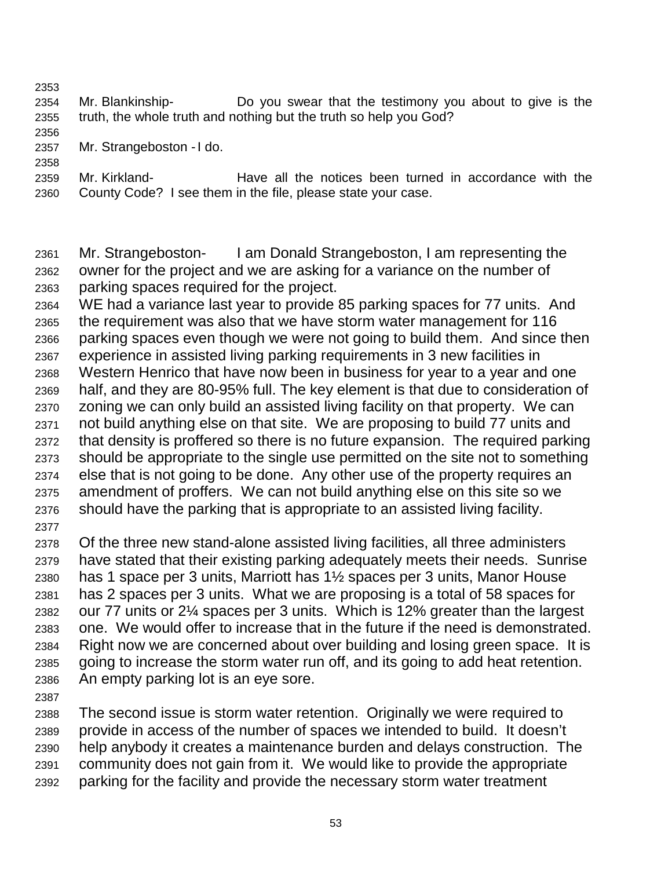2353

2358

- 2354 Mr. Blankinship- Do you swear that the testimony you about to give is the 2355 truth, the whole truth and nothing but the truth so help you God?
- 2356 2357 Mr. Strangeboston - I do.
- 2359 Mr. Kirkland- Have all the notices been turned in accordance with the 2360 County Code? I see them in the file, please state your case.

2361 Mr. Strangeboston- I am Donald Strangeboston, I am representing the 2362 owner for the project and we are asking for a variance on the number of 2363 parking spaces required for the project.

2364 WE had a variance last year to provide 85 parking spaces for 77 units. And 2365 the requirement was also that we have storm water management for 116 2366 parking spaces even though we were not going to build them. And since then 2367 experience in assisted living parking requirements in 3 new facilities in 2368 Western Henrico that have now been in business for year to a year and one 2369 half, and they are 80-95% full. The key element is that due to consideration of 2370 zoning we can only build an assisted living facility on that property. We can 2371 not build anything else on that site. We are proposing to build 77 units and 2372 that density is proffered so there is no future expansion. The required parking 2373 should be appropriate to the single use permitted on the site not to something 2374 else that is not going to be done. Any other use of the property requires an 2375 amendment of proffers. We can not build anything else on this site so we 2376 should have the parking that is appropriate to an assisted living facility.

2377

2378 Of the three new stand-alone assisted living facilities, all three administers 2379 have stated that their existing parking adequately meets their needs. Sunrise 2380 has 1 space per 3 units, Marriott has 1½ spaces per 3 units, Manor House 2381 has 2 spaces per 3 units. What we are proposing is a total of 58 spaces for 2382 our 77 units or 2¼ spaces per 3 units. Which is 12% greater than the largest 2383 one. We would offer to increase that in the future if the need is demonstrated. 2384 Right now we are concerned about over building and losing green space. It is 2385 going to increase the storm water run off, and its going to add heat retention. 2386 An empty parking lot is an eye sore.

2387

2388 The second issue is storm water retention. Originally we were required to 2389 provide in access of the number of spaces we intended to build. It doesn't 2390 help anybody it creates a maintenance burden and delays construction. The 2391 community does not gain from it. We would like to provide the appropriate 2392 parking for the facility and provide the necessary storm water treatment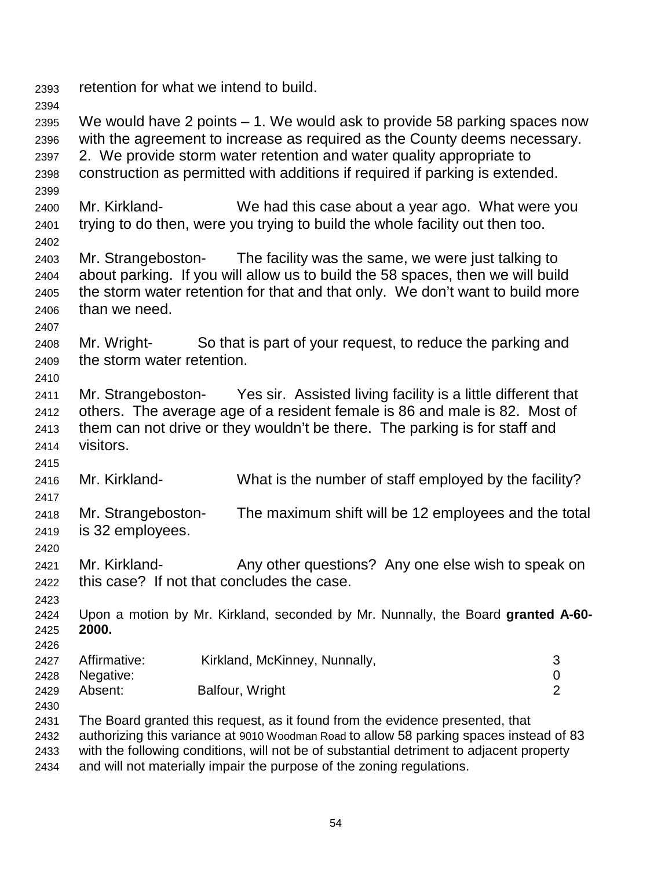2393 retention for what we intend to build. 2394 2395 We would have 2 points – 1. We would ask to provide 58 parking spaces now 2396 with the agreement to increase as required as the County deems necessary. 2397 2. We provide storm water retention and water quality appropriate to 2398 construction as permitted with additions if required if parking is extended. 2399 2400 Mr. Kirkland- We had this case about a year ago. What were you 2401 trying to do then, were you trying to build the whole facility out then too. 2402 2403 Mr. Strangeboston- The facility was the same, we were just talking to 2404 about parking. If you will allow us to build the 58 spaces, then we will build 2405 the storm water retention for that and that only. We don't want to build more 2406 than we need. 2407 2408 Mr. Wright- So that is part of your request, to reduce the parking and 2409 the storm water retention. 2410 2411 Mr. Strangeboston- Yes sir. Assisted living facility is a little different that 2412 others. The average age of a resident female is 86 and male is 82. Most of 2413 them can not drive or they wouldn't be there. The parking is for staff and 2414 visitors. 2415 2416 Mr. Kirkland- What is the number of staff employed by the facility? 2417 2418 Mr. Strangeboston- The maximum shift will be 12 employees and the total 2419 is 32 employees. 2420 2421 Mr. Kirkland- Any other questions? Any one else wish to speak on 2422 this case? If not that concludes the case. 2423 2424 Upon a motion by Mr. Kirkland, seconded by Mr. Nunnally, the Board **granted A-60-** 2425 **2000.** 2426 2427 Affirmative: Kirkland, McKinney, Nunnally, 3 2428 Negative: 0 2429 Absent: Balfour, Wright 2 2430 2431 The Board granted this request, as it found from the evidence presented, that 2432 authorizing this variance at 9010 Woodman Road to allow 58 parking spaces instead of 83 2433 with the following conditions, will not be of substantial detriment to adjacent property

2434 and will not materially impair the purpose of the zoning regulations.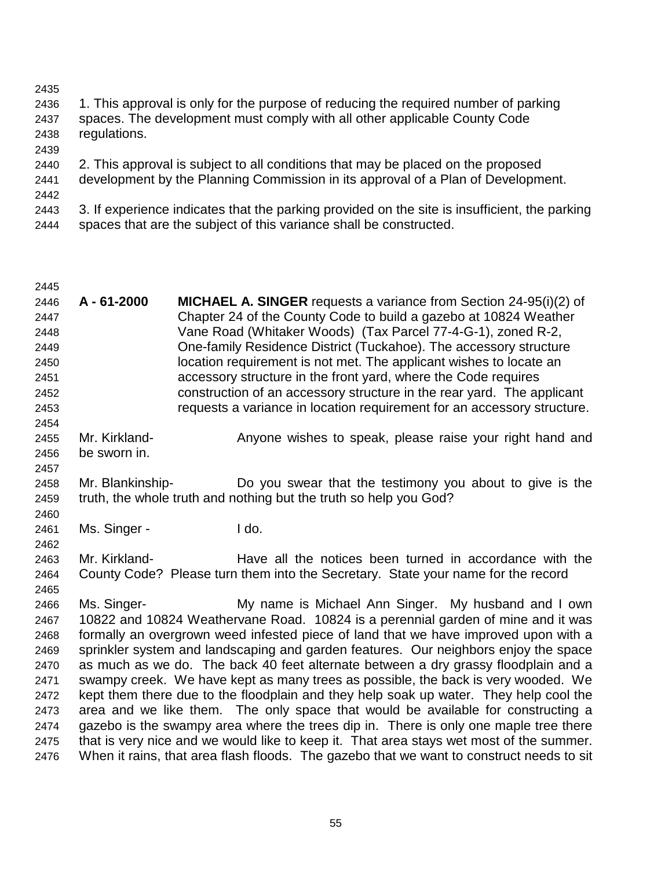- 2435 2436 1. This approval is only for the purpose of reducing the required number of parking 2437 spaces. The development must comply with all other applicable County Code 2438 regulations. 2439 2440 2. This approval is subject to all conditions that may be placed on the proposed 2441 development by the Planning Commission in its approval of a Plan of Development. 2442 2443 3. If experience indicates that the parking provided on the site is insufficient, the parking 2444 spaces that are the subject of this variance shall be constructed.
- 2445 2446 **A - 61-2000 MICHAEL A. SINGER** requests a variance from Section 24-95(i)(2) of 2447 Chapter 24 of the County Code to build a gazebo at 10824 Weather 2448 Vane Road (Whitaker Woods) (Tax Parcel 77-4-G-1), zoned R-2, 2449 One-family Residence District (Tuckahoe). The accessory structure 2450 location requirement is not met. The applicant wishes to locate an 2451 accessory structure in the front yard, where the Code requires 2452 construction of an accessory structure in the rear yard. The applicant 2453 requests a variance in location requirement for an accessory structure. 2454 2455 Mr. Kirkland- **Anyone wishes to speak, please raise your right hand and** 2456 be sworn in. 2457 2458 Mr. Blankinship- Do you swear that the testimony you about to give is the 2459 truth, the whole truth and nothing but the truth so help you God? 2460 2461 Ms. Singer - I do. 2462 2463 Mr. Kirkland- Have all the notices been turned in accordance with the 2464 County Code? Please turn them into the Secretary. State your name for the record 2465 2466 Ms. Singer- My name is Michael Ann Singer. My husband and I own 2467 10822 and 10824 Weathervane Road. 10824 is a perennial garden of mine and it was 2468 formally an overgrown weed infested piece of land that we have improved upon with a 2469 sprinkler system and landscaping and garden features. Our neighbors enjoy the space 2470 as much as we do. The back 40 feet alternate between a dry grassy floodplain and a 2471 swampy creek. We have kept as many trees as possible, the back is very wooded. We 2472 kept them there due to the floodplain and they help soak up water. They help cool the 2473 area and we like them. The only space that would be available for constructing a 2474 gazebo is the swampy area where the trees dip in. There is only one maple tree there 2475 that is very nice and we would like to keep it. That area stays wet most of the summer. 2476 When it rains, that area flash floods. The gazebo that we want to construct needs to sit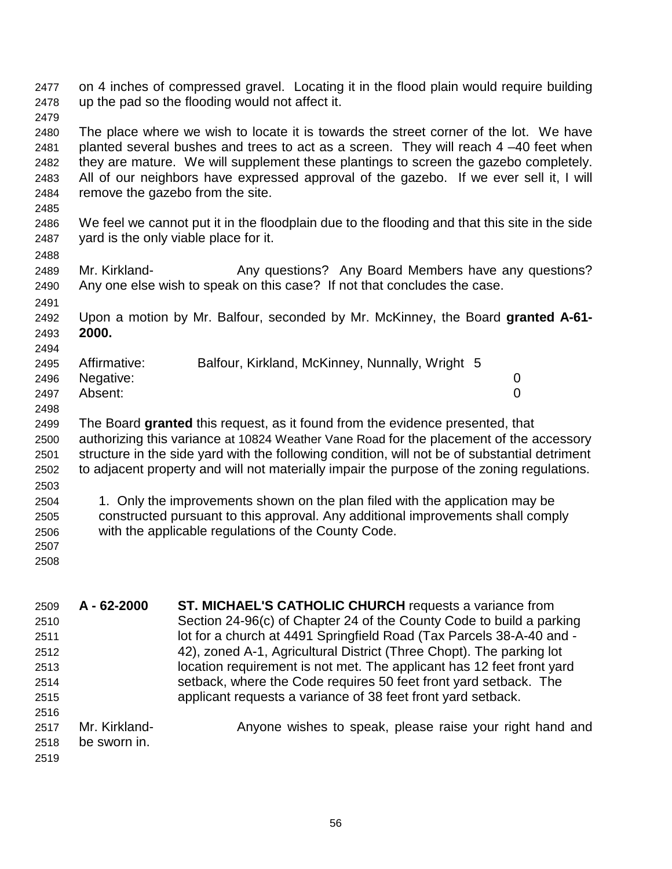2477 on 4 inches of compressed gravel. Locating it in the flood plain would require building 2478 up the pad so the flooding would not affect it. 2479 2480 The place where we wish to locate it is towards the street corner of the lot. We have 2481 planted several bushes and trees to act as a screen. They will reach 4 –40 feet when 2482 they are mature. We will supplement these plantings to screen the gazebo completely. 2483 All of our neighbors have expressed approval of the gazebo. If we ever sell it, I will 2484 remove the gazebo from the site. 2485 2486 We feel we cannot put it in the floodplain due to the flooding and that this site in the side 2487 yard is the only viable place for it. 2488 2489 Mr. Kirkland- **Any questions?** Any Board Members have any questions? 2490 Any one else wish to speak on this case? If not that concludes the case. 2491 2492 Upon a motion by Mr. Balfour, seconded by Mr. McKinney, the Board **granted A-61-** 2493 **2000.** 2494 2495 Affirmative: Balfour, Kirkland, McKinney, Nunnally, Wright 5 2496 Negative: 0 2497 Absent: 0 2498 2499 The Board **granted** this request, as it found from the evidence presented, that 2500 authorizing this variance at 10824 Weather Vane Road for the placement of the accessory 2501 structure in the side yard with the following condition, will not be of substantial detriment 2502 to adjacent property and will not materially impair the purpose of the zoning regulations. 2503 2504 1. Only the improvements shown on the plan filed with the application may be 2505 constructed pursuant to this approval. Any additional improvements shall comply 2506 with the applicable regulations of the County Code. 2507 2508 2509 **A - 62-2000 ST. MICHAEL'S CATHOLIC CHURCH** requests a variance from

| 2509 | A - 62-2000   | <b>ST. MICHAEL'S CATHOLIC CHURCH</b> requests a variance from         |
|------|---------------|-----------------------------------------------------------------------|
| 2510 |               | Section 24-96(c) of Chapter 24 of the County Code to build a parking  |
| 2511 |               | lot for a church at 4491 Springfield Road (Tax Parcels 38-A-40 and -  |
| 2512 |               | 42), zoned A-1, Agricultural District (Three Chopt). The parking lot  |
| 2513 |               | location requirement is not met. The applicant has 12 feet front yard |
| 2514 |               | setback, where the Code requires 50 feet front yard setback. The      |
| 2515 |               | applicant requests a variance of 38 feet front yard setback.          |
| 2516 |               |                                                                       |
| 2517 | Mr. Kirkland- | Anyone wishes to speak, please raise your right hand and              |
| 2518 | be sworn in.  |                                                                       |
| 2519 |               |                                                                       |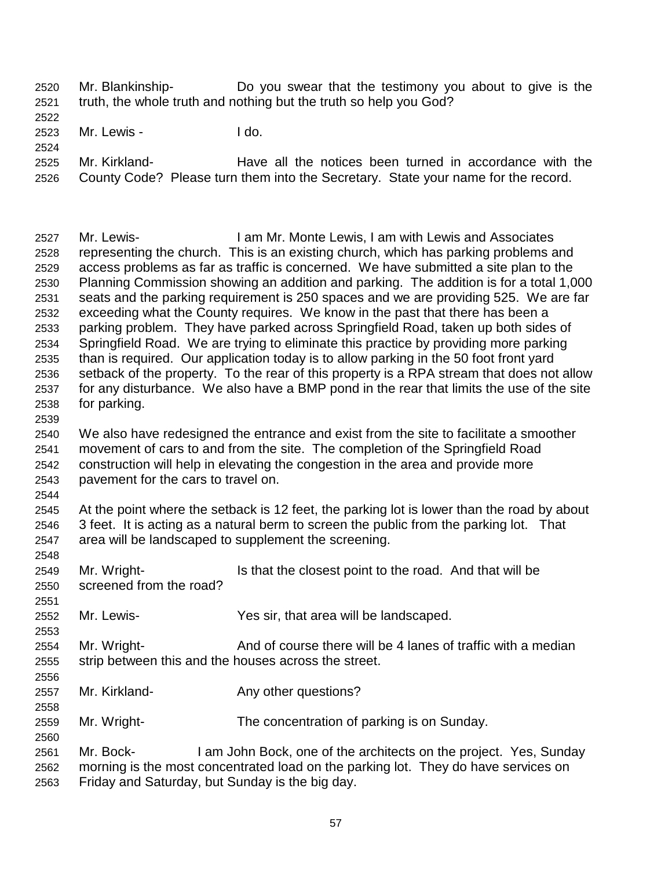- 2520 Mr. Blankinship- Do you swear that the testimony you about to give is the 2521 truth, the whole truth and nothing but the truth so help you God?
- 2522

2523 Mr. Lewis - I do.

2524

2525 Mr. Kirkland- Have all the notices been turned in accordance with the 2526 County Code? Please turn them into the Secretary. State your name for the record.

2527 Mr. Lewis- I am Mr. Monte Lewis, I am with Lewis and Associates 2528 representing the church. This is an existing church, which has parking problems and 2529 access problems as far as traffic is concerned. We have submitted a site plan to the 2530 Planning Commission showing an addition and parking. The addition is for a total 1,000 2531 seats and the parking requirement is 250 spaces and we are providing 525. We are far 2532 exceeding what the County requires. We know in the past that there has been a 2533 parking problem. They have parked across Springfield Road, taken up both sides of 2534 Springfield Road. We are trying to eliminate this practice by providing more parking 2535 than is required. Our application today is to allow parking in the 50 foot front yard 2536 setback of the property. To the rear of this property is a RPA stream that does not allow 2537 for any disturbance. We also have a BMP pond in the rear that limits the use of the site 2538 for parking. 2539

- 2540 We also have redesigned the entrance and exist from the site to facilitate a smoother 2541 movement of cars to and from the site. The completion of the Springfield Road 2542 construction will help in elevating the congestion in the area and provide more 2543 pavement for the cars to travel on.
- 2545 At the point where the setback is 12 feet, the parking lot is lower than the road by about 2546 3 feet. It is acting as a natural berm to screen the public from the parking lot. That 2547 area will be landscaped to supplement the screening.
- 2548

2551

2553

2558

2560

- 2549 Mr. Wright- Is that the closest point to the road. And that will be 2550 screened from the road?
- 2552 Mr. Lewis- Yes sir, that area will be landscaped.
- 2554 Mr. Wright- And of course there will be 4 lanes of traffic with a median 2555 strip between this and the houses across the street. 2556
- 2557 Mr. Kirkland- Any other questions?
- 2559 Mr. Wright- The concentration of parking is on Sunday.
- 2561 Mr. Bock- I am John Bock, one of the architects on the project. Yes, Sunday 2562 morning is the most concentrated load on the parking lot. They do have services on 2563 Friday and Saturday, but Sunday is the big day.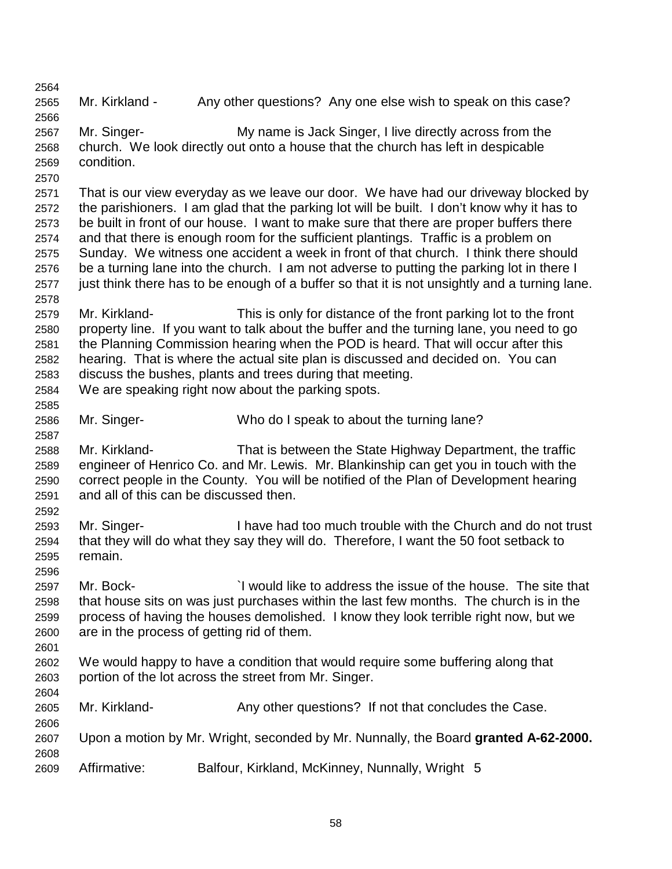2564 2565 Mr. Kirkland - Any other questions? Any one else wish to speak on this case? 2566 2567 Mr. Singer- My name is Jack Singer, I live directly across from the 2568 church. We look directly out onto a house that the church has left in despicable 2569 condition. 2570 2571 That is our view everyday as we leave our door. We have had our driveway blocked by 2572 the parishioners. I am glad that the parking lot will be built. I don't know why it has to 2573 be built in front of our house. I want to make sure that there are proper buffers there 2574 and that there is enough room for the sufficient plantings. Traffic is a problem on 2575 Sunday. We witness one accident a week in front of that church. I think there should 2576 be a turning lane into the church. I am not adverse to putting the parking lot in there I 2577 just think there has to be enough of a buffer so that it is not unsightly and a turning lane. 2578 2579 Mr. Kirkland- This is only for distance of the front parking lot to the front 2580 property line. If you want to talk about the buffer and the turning lane, you need to go 2581 the Planning Commission hearing when the POD is heard. That will occur after this 2582 hearing. That is where the actual site plan is discussed and decided on. You can 2583 discuss the bushes, plants and trees during that meeting. 2584 We are speaking right now about the parking spots. 2585 2586 Mr. Singer- Who do I speak to about the turning lane? 2587 2588 Mr. Kirkland- That is between the State Highway Department, the traffic 2589 engineer of Henrico Co. and Mr. Lewis. Mr. Blankinship can get you in touch with the 2590 correct people in the County. You will be notified of the Plan of Development hearing 2591 and all of this can be discussed then. 2592 2593 Mr. Singer- I have had too much trouble with the Church and do not trust 2594 that they will do what they say they will do. Therefore, I want the 50 foot setback to 2595 remain. 2596 2597 Mr. Bock- `I would like to address the issue of the house. The site that 2598 that house sits on was just purchases within the last few months. The church is in the 2599 process of having the houses demolished. I know they look terrible right now, but we 2600 are in the process of getting rid of them. 2601 2602 We would happy to have a condition that would require some buffering along that 2603 portion of the lot across the street from Mr. Singer. 2604 2605 Mr. Kirkland- Any other questions? If not that concludes the Case. 2606 2607 Upon a motion by Mr. Wright, seconded by Mr. Nunnally, the Board **granted A-62-2000.** 2608 2609 Affirmative: Balfour, Kirkland, McKinney, Nunnally, Wright 5